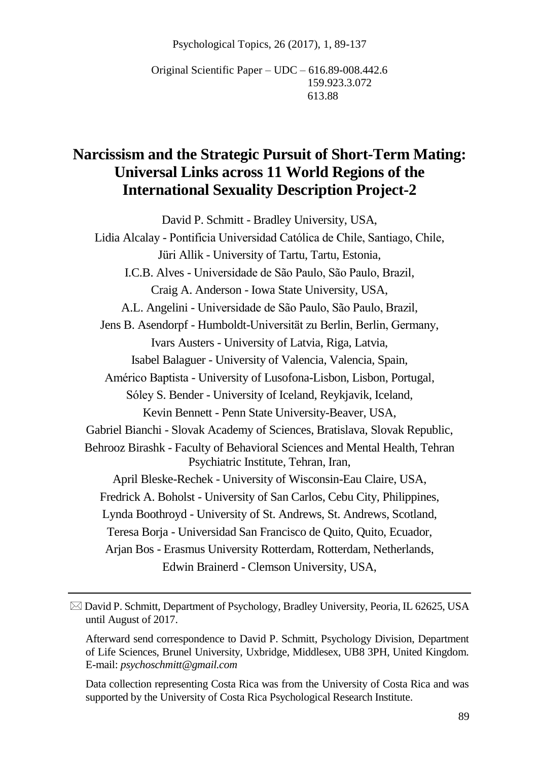Psychological Topics, 26 (2017), 1, 89-137

Original Scientific Paper – UDC – 616.89-008.442.6 159.923.3.072 613.88

# **Narcissism and the Strategic Pursuit of Short-Term Mating: Universal Links across 11 World Regions of the International Sexuality Description Project-2**

David P. Schmitt - Bradley University, USA, Lidia Alcalay - Pontificia Universidad Católica de Chile, Santiago, Chile, Jüri Allik - University of Tartu, Tartu, Estonia, I.C.B. Alves - Universidade de São Paulo, São Paulo, Brazil, Craig A. Anderson - Iowa State University, USA, A.L. Angelini - Universidade de São Paulo, São Paulo, Brazil, Jens B. Asendorpf - Humboldt-Universität zu Berlin, Berlin, Germany, Ivars Austers - University of Latvia, Riga, Latvia, Isabel Balaguer - University of Valencia, Valencia, Spain, Américo Baptista - University of Lusofona-Lisbon, Lisbon, Portugal, Sóley S. Bender - University of Iceland, Reykjavik, Iceland, Kevin Bennett - Penn State University-Beaver, USA, Gabriel Bianchi - Slovak Academy of Sciences, Bratislava, Slovak Republic, Behrooz Birashk - Faculty of Behavioral Sciences and Mental Health, Tehran Psychiatric Institute, Tehran, Iran, April Bleske-Rechek - University of Wisconsin-Eau Claire, USA, Fredrick A. Boholst - University of San Carlos, Cebu City, Philippines, Lynda Boothroyd - University of St. Andrews, St. Andrews, Scotland, Teresa Borja - Universidad San Francisco de Quito, Quito, Ecuador, Arjan Bos - Erasmus University Rotterdam, Rotterdam, Netherlands, Edwin Brainerd - Clemson University, USA,

 $\boxtimes$  David P. Schmitt, Department of Psychology, Bradley University, Peoria, IL 62625, USA until August of 2017.

Afterward send correspondence to David P. Schmitt, Psychology Division, Department of Life Sciences, Brunel University, Uxbridge, Middlesex, UB8 3PH, United Kingdom. E-mail: *psychoschmitt@gmail.com*

Data collection representing Costa Rica was from the University of Costa Rica and was supported by the University of Costa Rica Psychological Research Institute.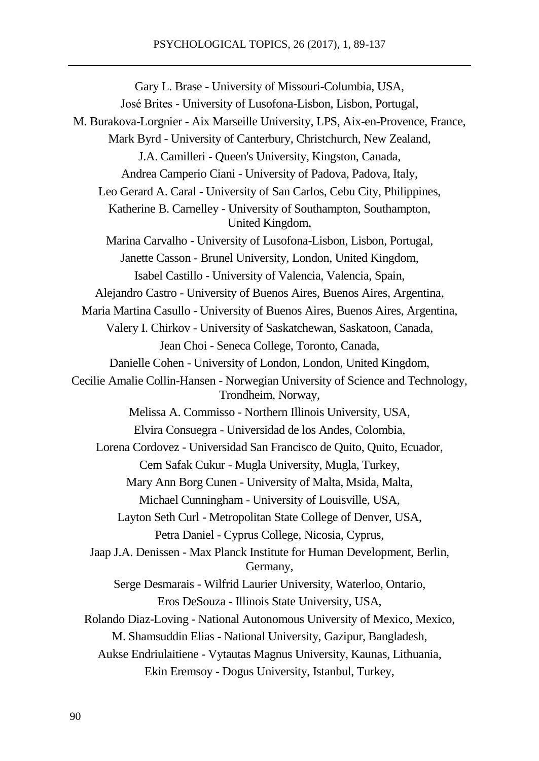Gary L. Brase - University of Missouri-Columbia, USA, José Brites - University of Lusofona-Lisbon, Lisbon, Portugal, M. Burakova-Lorgnier - Aix Marseille University, LPS, Aix-en-Provence, France, Mark Byrd - University of Canterbury, Christchurch, New Zealand, J.A. Camilleri - Queen's University, Kingston, Canada, Andrea Camperio Ciani - University of Padova, Padova, Italy, Leo Gerard A. Caral - University of San Carlos, Cebu City, Philippines, Katherine B. Carnelley - University of Southampton, Southampton, United Kingdom, Marina Carvalho - University of Lusofona-Lisbon, Lisbon, Portugal, Janette Casson - Brunel University, London, United Kingdom, Isabel Castillo - University of Valencia, Valencia, Spain, Alejandro Castro - University of Buenos Aires, Buenos Aires, Argentina, Maria Martina Casullo - University of Buenos Aires, Buenos Aires, Argentina, Valery I. Chirkov - University of Saskatchewan, Saskatoon, Canada, Jean Choi - Seneca College, Toronto, Canada, Danielle Cohen - University of London, London, United Kingdom, Cecilie Amalie Collin-Hansen - Norwegian University of Science and Technology, Trondheim, Norway, Melissa A. Commisso - Northern Illinois University, USA, Elvira Consuegra - Universidad de los Andes, Colombia, Lorena Cordovez - Universidad San Francisco de Quito, Quito, Ecuador, Cem Safak Cukur - Mugla University, Mugla, Turkey, Mary Ann Borg Cunen - University of Malta, Msida, Malta, Michael Cunningham - University of Louisville, USA, Layton Seth Curl - Metropolitan State College of Denver, USA, Petra Daniel - Cyprus College, Nicosia, Cyprus, Jaap J.A. Denissen - Max Planck Institute for Human Development, Berlin, Germany, Serge Desmarais - Wilfrid Laurier University, Waterloo, Ontario, Eros DeSouza - Illinois State University, USA, Rolando Diaz-Loving - National Autonomous University of Mexico, Mexico, M. Shamsuddin Elias - National University, Gazipur, Bangladesh, Aukse Endriulaitiene - Vytautas Magnus University, Kaunas, Lithuania, Ekin Eremsoy - Dogus University, Istanbul, Turkey,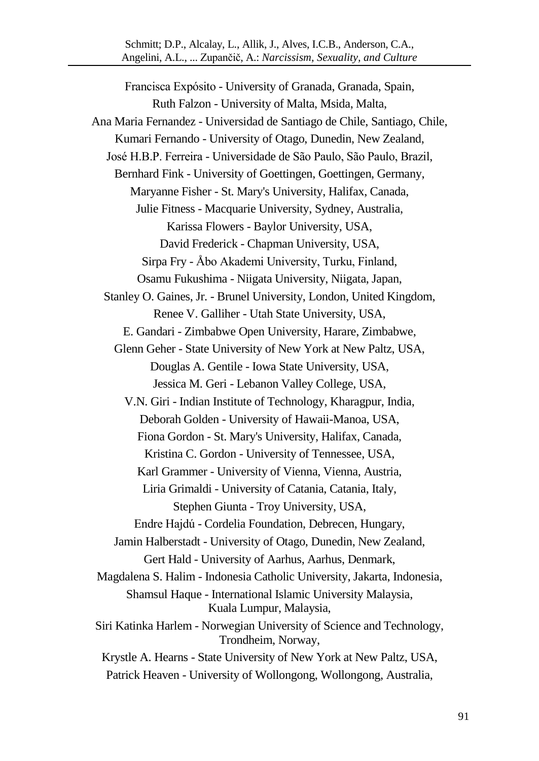Francisca Expósito - University of Granada, Granada, Spain, Ruth Falzon - University of Malta, Msida, Malta, Ana Maria Fernandez - Universidad de Santiago de Chile, Santiago, Chile, Kumari Fernando - University of Otago, Dunedin, New Zealand, José H.B.P. Ferreira - Universidade de São Paulo, São Paulo, Brazil, Bernhard Fink - University of Goettingen, Goettingen, Germany, Maryanne Fisher - St. Mary's University, Halifax, Canada, Julie Fitness - Macquarie University, Sydney, Australia, Karissa Flowers - Baylor University, USA, David Frederick - Chapman University, USA, Sirpa Fry - Åbo Akademi University, Turku, Finland, Osamu Fukushima - Niigata University, Niigata, Japan, Stanley O. Gaines, Jr. - Brunel University, London, United Kingdom, Renee V. Galliher - Utah State University, USA, E. Gandari - Zimbabwe Open University, Harare, Zimbabwe, Glenn Geher - State University of New York at New Paltz, USA, Douglas A. Gentile - Iowa State University, USA, Jessica M. Geri - Lebanon Valley College, USA, V.N. Giri - Indian Institute of Technology, Kharagpur, India, Deborah Golden - University of Hawaii-Manoa, USA, Fiona Gordon - St. Mary's University, Halifax, Canada, Kristina C. Gordon - University of Tennessee, USA, Karl Grammer - University of Vienna, Vienna, Austria, Liria Grimaldi - University of Catania, Catania, Italy, Stephen Giunta - Troy University, USA, Endre Hajdú - Cordelia Foundation, Debrecen, Hungary, Jamin Halberstadt - University of Otago, Dunedin, New Zealand, Gert Hald - University of Aarhus, Aarhus, Denmark, Magdalena S. Halim - Indonesia Catholic University, Jakarta, Indonesia, Shamsul Haque - International Islamic University Malaysia, Kuala Lumpur, Malaysia, Siri Katinka Harlem - Norwegian University of Science and Technology, Trondheim, Norway, Krystle A. Hearns - State University of New York at New Paltz, USA, Patrick Heaven - University of Wollongong, Wollongong, Australia,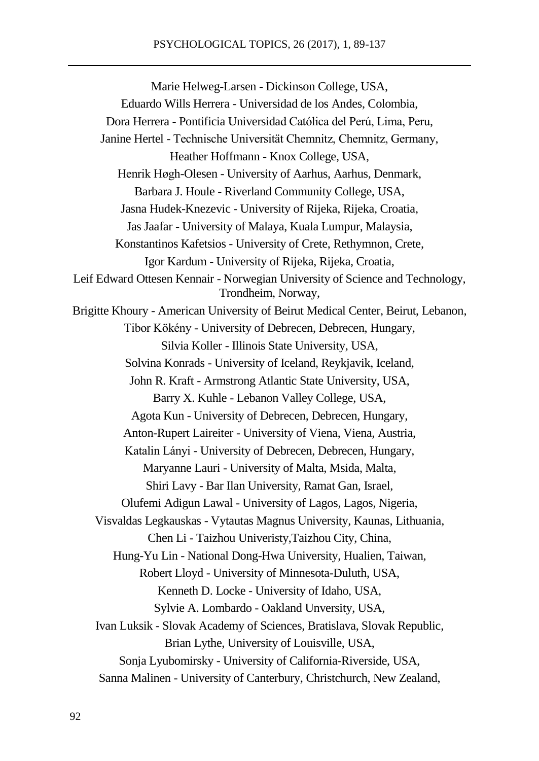Marie Helweg-Larsen - Dickinson College, USA, Eduardo Wills Herrera - Universidad de los Andes, Colombia, Dora Herrera - Pontificia Universidad Católica del Perú, Lima, Peru, Janine Hertel - Technische Universität Chemnitz, Chemnitz, Germany, Heather Hoffmann - Knox College, USA, Henrik Høgh-Olesen - University of Aarhus, Aarhus, Denmark, Barbara J. Houle - Riverland Community College, USA, Jasna Hudek-Knezevic - University of Rijeka, Rijeka, Croatia, Jas Jaafar - University of Malaya, Kuala Lumpur, Malaysia, Konstantinos Kafetsios - University of Crete, Rethymnon, Crete, Igor Kardum - University of Rijeka, Rijeka, Croatia, Leif Edward Ottesen Kennair - Norwegian University of Science and Technology, Trondheim, Norway, Brigitte Khoury - American University of Beirut Medical Center, Beirut, Lebanon, Tibor Kökény - University of Debrecen, Debrecen, Hungary, Silvia Koller - Illinois State University, USA, Solvina Konrads - University of Iceland, Reykjavik, Iceland, John R. Kraft - Armstrong Atlantic State University, USA, Barry X. Kuhle - Lebanon Valley College, USA, Agota Kun - University of Debrecen, Debrecen, Hungary, Anton-Rupert Laireiter - University of Viena, Viena, Austria, Katalin Lányi - University of Debrecen, Debrecen, Hungary, Maryanne Lauri - University of Malta, Msida, Malta, Shiri Lavy - Bar Ilan University, Ramat Gan, Israel, Olufemi Adigun Lawal - University of Lagos, Lagos, Nigeria, Visvaldas Legkauskas - Vytautas Magnus University, Kaunas, Lithuania, Chen Li - Taizhou Univeristy,Taizhou City, China, Hung-Yu Lin - National Dong-Hwa University, Hualien, Taiwan, Robert Lloyd - University of Minnesota-Duluth, USA, Kenneth D. Locke - University of Idaho, USA, Sylvie A. Lombardo - Oakland Unversity, USA, Ivan Luksik - Slovak Academy of Sciences, Bratislava, Slovak Republic, Brian Lythe, University of Louisville, USA, Sonja Lyubomirsky - University of California-Riverside, USA, Sanna Malinen - University of Canterbury, Christchurch, New Zealand,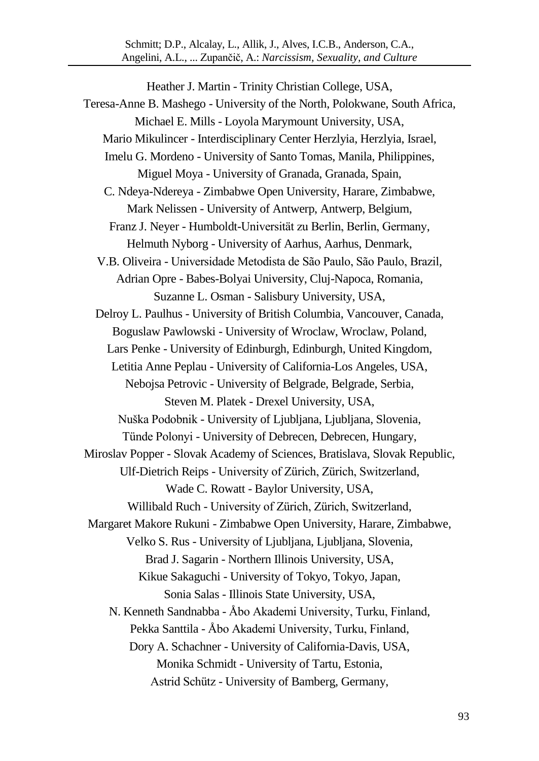Schmitt; D.P., Alcalay, L., Allik, J., Alves, I.C.B., Anderson, C.A., Angelini, A.L., ... Zupančič, A.: *Narcissism, Sexuality, and Culture*

Heather J. Martin - Trinity Christian College, USA, Teresa-Anne B. Mashego - University of the North, Polokwane, South Africa, Michael E. Mills - Loyola Marymount University, USA, Mario Mikulincer - Interdisciplinary Center Herzlyia, Herzlyia, Israel, Imelu G. Mordeno - University of Santo Tomas, Manila, Philippines, Miguel Moya - University of Granada, Granada, Spain, C. Ndeya-Ndereya - Zimbabwe Open University, Harare, Zimbabwe, Mark Nelissen - University of Antwerp, Antwerp, Belgium, Franz J. Neyer - Humboldt-Universität zu Berlin, Berlin, Germany, Helmuth Nyborg - University of Aarhus, Aarhus, Denmark, V.B. Oliveira - Universidade Metodista de São Paulo, São Paulo, Brazil, Adrian Opre - Babes-Bolyai University, Cluj-Napoca, Romania, Suzanne L. Osman - Salisbury University, USA, Delroy L. Paulhus - University of British Columbia, Vancouver, Canada, Boguslaw Pawlowski - University of Wroclaw, Wroclaw, Poland, Lars Penke - University of Edinburgh, Edinburgh, United Kingdom, Letitia Anne Peplau - University of California-Los Angeles, USA, Nebojsa Petrovic - University of Belgrade, Belgrade, Serbia, Steven M. Platek - Drexel University, USA, Nuška Podobnik - University of Ljubljana, Ljubljana, Slovenia, Tünde Polonyi - University of Debrecen, Debrecen, Hungary, Miroslav Popper - Slovak Academy of Sciences, Bratislava, Slovak Republic, Ulf-Dietrich Reips - University of Zürich, Zürich, Switzerland, Wade C. Rowatt - Baylor University, USA, Willibald Ruch - University of Zürich, Zürich, Switzerland, Margaret Makore Rukuni - Zimbabwe Open University, Harare, Zimbabwe, Velko S. Rus - University of Ljubljana, Ljubljana, Slovenia, Brad J. Sagarin - Northern Illinois University, USA, Kikue Sakaguchi - University of Tokyo, Tokyo, Japan, Sonia Salas - Illinois State University, USA, N. Kenneth Sandnabba - Åbo Akademi University, Turku, Finland, Pekka Santtila - Åbo Akademi University, Turku, Finland, Dory A. Schachner - University of California-Davis, USA, Monika Schmidt - University of Tartu, Estonia, Astrid Schütz - University of Bamberg, Germany,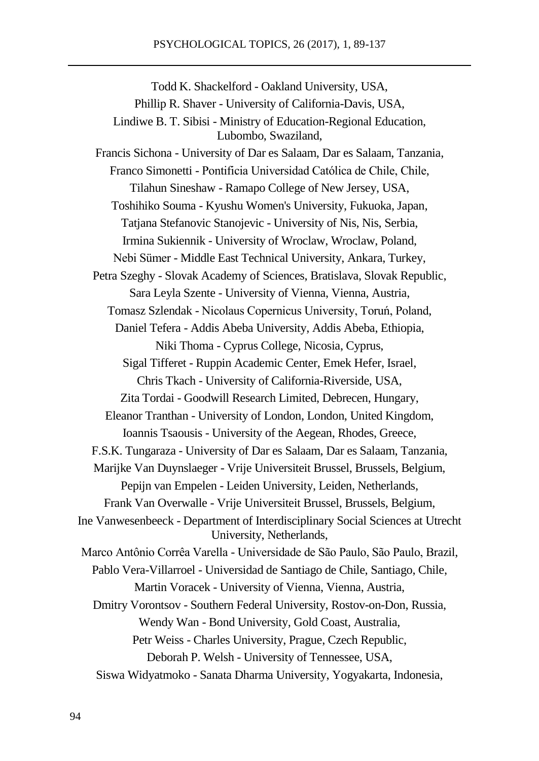Todd K. Shackelford - Oakland University, USA, Phillip R. Shaver - University of California-Davis, USA, Lindiwe B. T. Sibisi - Ministry of Education-Regional Education, Lubombo, Swaziland, Francis Sichona - University of Dar es Salaam, Dar es Salaam, Tanzania, Franco Simonetti - Pontificia Universidad Católica de Chile, Chile, Tilahun Sineshaw - Ramapo College of New Jersey, USA, Toshihiko Souma - Kyushu Women's University, Fukuoka, Japan, Tatjana Stefanovic Stanojevic - University of Nis, Nis, Serbia, Irmina Sukiennik - University of Wroclaw, Wroclaw, Poland, Nebi Sümer - Middle East Technical University, Ankara, Turkey, Petra Szeghy - Slovak Academy of Sciences, Bratislava, Slovak Republic, Sara Leyla Szente - University of Vienna, Vienna, Austria, Tomasz Szlendak - Nicolaus Copernicus University, Toruń, Poland, Daniel Tefera - Addis Abeba University, Addis Abeba, Ethiopia, Niki Thoma - Cyprus College, Nicosia, Cyprus, Sigal Tifferet - Ruppin Academic Center, Emek Hefer, Israel, Chris Tkach - University of California-Riverside, USA, Zita Tordai - Goodwill Research Limited, Debrecen, Hungary, Eleanor Tranthan - University of London, London, United Kingdom, Ioannis Tsaousis - University of the Aegean, Rhodes, Greece, F.S.K. Tungaraza - University of Dar es Salaam, Dar es Salaam, Tanzania, Marijke Van Duynslaeger - Vrije Universiteit Brussel, Brussels, Belgium, Pepijn van Empelen - Leiden University, Leiden, Netherlands, Frank Van Overwalle - Vrije Universiteit Brussel, Brussels, Belgium, Ine Vanwesenbeeck - Department of Interdisciplinary Social Sciences at Utrecht University, Netherlands, Marco Antônio Corrêa Varella - Universidade de São Paulo, São Paulo, Brazil, Pablo Vera-Villarroel - Universidad de Santiago de Chile, Santiago, Chile, Martin Voracek - University of Vienna, Vienna, Austria, Dmitry Vorontsov - Southern Federal University, Rostov-on-Don, Russia, Wendy Wan - Bond University, Gold Coast, Australia, Petr Weiss - Charles University, Prague, Czech Republic, Deborah P. Welsh - University of Tennessee, USA, Siswa Widyatmoko - Sanata Dharma University, Yogyakarta, Indonesia,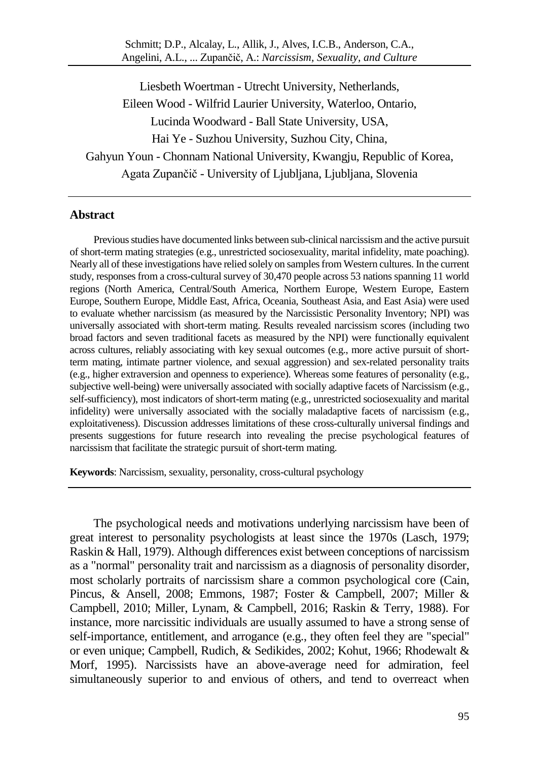Schmitt; D.P., Alcalay, L., Allik, J., Alves, I.C.B., Anderson, C.A., Angelini, A.L., ... Zupančič, A.: *Narcissism, Sexuality, and Culture*

Liesbeth Woertman - Utrecht University, Netherlands, Eileen Wood - Wilfrid Laurier University, Waterloo, Ontario, Lucinda Woodward - Ball State University, USA, Hai Ye - Suzhou University, Suzhou City, China, Gahyun Youn - Chonnam National University, Kwangju, Republic of Korea, Agata Zupančič - University of Ljubljana, Ljubljana, Slovenia

#### **Abstract**

Previous studies have documented links between sub-clinical narcissism and the active pursuit of short-term mating strategies (e.g., unrestricted sociosexuality, marital infidelity, mate poaching). Nearly all of these investigations have relied solely on samples from Western cultures. In the current study, responsesfrom a cross-cultural survey of 30,470 people across 53 nations spanning 11 world regions (North America, Central/South America, Northern Europe, Western Europe, Eastern Europe, Southern Europe, Middle East, Africa, Oceania, Southeast Asia, and East Asia) were used to evaluate whether narcissism (as measured by the Narcissistic Personality Inventory; NPI) was universally associated with short-term mating. Results revealed narcissism scores (including two broad factors and seven traditional facets as measured by the NPI) were functionally equivalent across cultures, reliably associating with key sexual outcomes (e.g., more active pursuit of shortterm mating, intimate partner violence, and sexual aggression) and sex-related personality traits (e.g., higher extraversion and openness to experience). Whereas some features of personality (e.g., subjective well-being) were universally associated with socially adaptive facets of Narcissism (e.g., self-sufficiency), most indicators of short-term mating (e.g., unrestricted sociosexuality and marital infidelity) were universally associated with the socially maladaptive facets of narcissism (e.g., exploitativeness). Discussion addresses limitations of these cross-culturally universal findings and presents suggestions for future research into revealing the precise psychological features of narcissism that facilitate the strategic pursuit of short-term mating.

**Keywords**: Narcissism, sexuality, personality, cross-cultural psychology

The psychological needs and motivations underlying narcissism have been of great interest to personality psychologists at least since the 1970s (Lasch, 1979; Raskin & Hall, 1979). Although differences exist between conceptions of narcissism as a "normal" personality trait and narcissism as a diagnosis of personality disorder, most scholarly portraits of narcissism share a common psychological core (Cain, Pincus, & Ansell, 2008; Emmons, 1987; Foster & Campbell, 2007; Miller & Campbell, 2010; Miller, Lynam, & Campbell, 2016; Raskin & Terry, 1988). For instance, more narcissitic individuals are usually assumed to have a strong sense of self-importance, entitlement, and arrogance (e.g., they often feel they are "special" or even unique; Campbell, Rudich, & Sedikides, 2002; Kohut, 1966; Rhodewalt & Morf, 1995). Narcissists have an above-average need for admiration, feel simultaneously superior to and envious of others, and tend to overreact when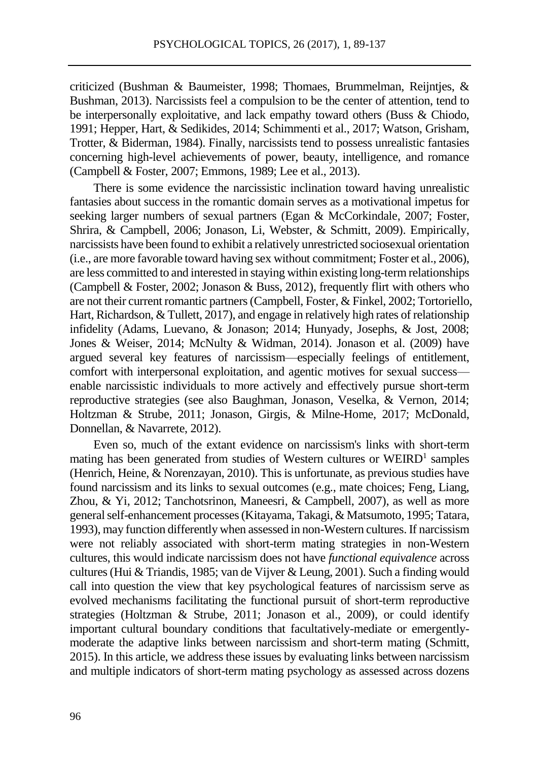criticized (Bushman & Baumeister, 1998; Thomaes, Brummelman, Reijntjes, & Bushman, 2013). Narcissists feel a compulsion to be the center of attention, tend to be interpersonally exploitative, and lack empathy toward others (Buss & Chiodo, 1991; Hepper, Hart, & Sedikides, 2014; Schimmenti et al., 2017; Watson, Grisham, Trotter, & Biderman, 1984). Finally, narcissists tend to possess unrealistic fantasies concerning high-level achievements of power, beauty, intelligence, and romance (Campbell & Foster, 2007; Emmons, 1989; Lee et al., 2013).

There is some evidence the narcissistic inclination toward having unrealistic fantasies about success in the romantic domain serves as a motivational impetus for seeking larger numbers of sexual partners (Egan & McCorkindale, 2007; Foster, Shrira, & Campbell, 2006; Jonason, Li, Webster, & Schmitt, 2009). Empirically, narcissists have been found to exhibit a relatively unrestricted sociosexual orientation (i.e., are more favorable toward having sex without commitment; Foster et al., 2006), are less committed to and interested in staying within existing long-term relationships (Campbell & Foster, 2002; Jonason & Buss, 2012), frequently flirt with others who are not their current romantic partners (Campbell, Foster, & Finkel, 2002; Tortoriello, Hart, Richardson, & Tullett, 2017), and engage in relatively high rates of relationship infidelity (Adams, Luevano, & Jonason; 2014; Hunyady, Josephs, & Jost, 2008; Jones & Weiser, 2014; McNulty & Widman, 2014). Jonason et al. (2009) have argued several key features of narcissism—especially feelings of entitlement, comfort with interpersonal exploitation, and agentic motives for sexual success enable narcissistic individuals to more actively and effectively pursue short-term reproductive strategies (see also Baughman, Jonason, Veselka, & Vernon, 2014; Holtzman & Strube, 2011; Jonason, Girgis, & Milne-Home, 2017; McDonald, Donnellan, & Navarrete, 2012).

Even so, much of the extant evidence on narcissism's links with short-term mating has been generated from studies of Western cultures or WEIRD<sup>1</sup> samples (Henrich, Heine, & Norenzayan, 2010). This is unfortunate, as previous studies have found narcissism and its links to sexual outcomes (e.g., mate choices; Feng, Liang, Zhou, & Yi, 2012; Tanchotsrinon, Maneesri, & Campbell, 2007), as well as more general self-enhancement processes (Kitayama, Takagi, & Matsumoto, 1995; Tatara, 1993), may function differently when assessed in non-Western cultures. If narcissism were not reliably associated with short-term mating strategies in non-Western cultures, this would indicate narcissism does not have *functional equivalence* across cultures (Hui & Triandis, 1985; van de Vijver & Leung, 2001). Such a finding would call into question the view that key psychological features of narcissism serve as evolved mechanisms facilitating the functional pursuit of short-term reproductive strategies (Holtzman & Strube, 2011; Jonason et al., 2009), or could identify important cultural boundary conditions that facultatively-mediate or emergentlymoderate the adaptive links between narcissism and short-term mating (Schmitt, 2015). In this article, we address these issues by evaluating links between narcissism and multiple indicators of short-term mating psychology as assessed across dozens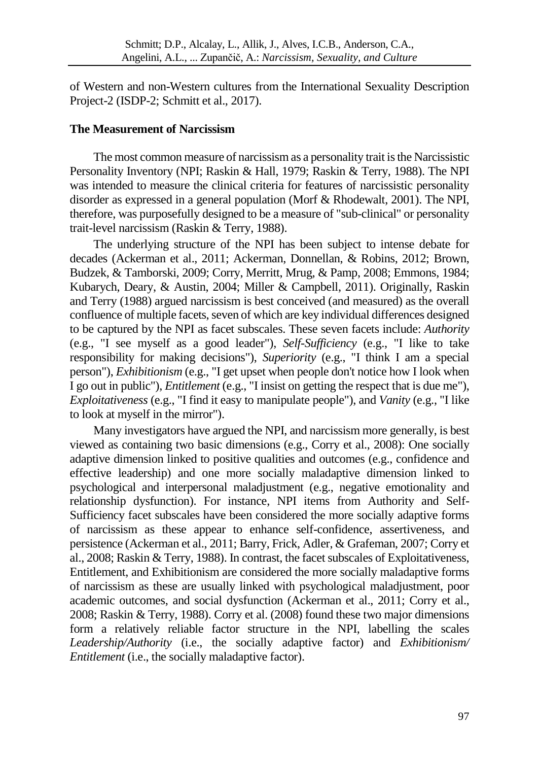of Western and non-Western cultures from the International Sexuality Description Project-2 (ISDP-2; Schmitt et al., 2017).

## **The Measurement of Narcissism**

The most common measure of narcissism as a personality trait is the Narcissistic Personality Inventory (NPI; Raskin & Hall, 1979; Raskin & Terry, 1988). The NPI was intended to measure the clinical criteria for features of narcissistic personality disorder as expressed in a general population (Morf & Rhodewalt, 2001). The NPI, therefore, was purposefully designed to be a measure of "sub-clinical" or personality trait-level narcissism (Raskin & Terry, 1988).

The underlying structure of the NPI has been subject to intense debate for decades (Ackerman et al., 2011; Ackerman, Donnellan, & Robins, 2012; Brown, Budzek, & Tamborski, 2009; Corry, Merritt, Mrug, & Pamp, 2008; Emmons, 1984; Kubarych, Deary, & Austin, 2004; Miller & Campbell, 2011). Originally, Raskin and Terry (1988) argued narcissism is best conceived (and measured) as the overall confluence of multiple facets, seven of which are key individual differences designed to be captured by the NPI as facet subscales. These seven facets include: *Authority* (e.g., "I see myself as a good leader"), *Self-Sufficiency* (e.g., "I like to take responsibility for making decisions"), *Superiority* (e.g., "I think I am a special person"), *Exhibitionism* (e.g., "I get upset when people don't notice how I look when I go out in public"), *Entitlement* (e.g., "I insist on getting the respect that is due me"), *Exploitativeness* (e.g., "I find it easy to manipulate people"), and *Vanity* (e.g., "I like to look at myself in the mirror").

Many investigators have argued the NPI, and narcissism more generally, is best viewed as containing two basic dimensions (e.g., Corry et al., 2008): One socially adaptive dimension linked to positive qualities and outcomes (e.g., confidence and effective leadership) and one more socially maladaptive dimension linked to psychological and interpersonal maladjustment (e.g., negative emotionality and relationship dysfunction). For instance, NPI items from Authority and Self-Sufficiency facet subscales have been considered the more socially adaptive forms of narcissism as these appear to enhance self-confidence, assertiveness, and persistence (Ackerman et al., 2011; Barry, Frick, Adler, & Grafeman, 2007; Corry et al., 2008; Raskin & Terry, 1988). In contrast, the facet subscales of Exploitativeness, Entitlement, and Exhibitionism are considered the more socially maladaptive forms of narcissism as these are usually linked with psychological maladjustment, poor academic outcomes, and social dysfunction (Ackerman et al., 2011; Corry et al., 2008; Raskin & Terry, 1988). Corry et al. (2008) found these two major dimensions form a relatively reliable factor structure in the NPI, labelling the scales *Leadership/Authority* (i.e., the socially adaptive factor) and *Exhibitionism/ Entitlement* (i.e., the socially maladaptive factor).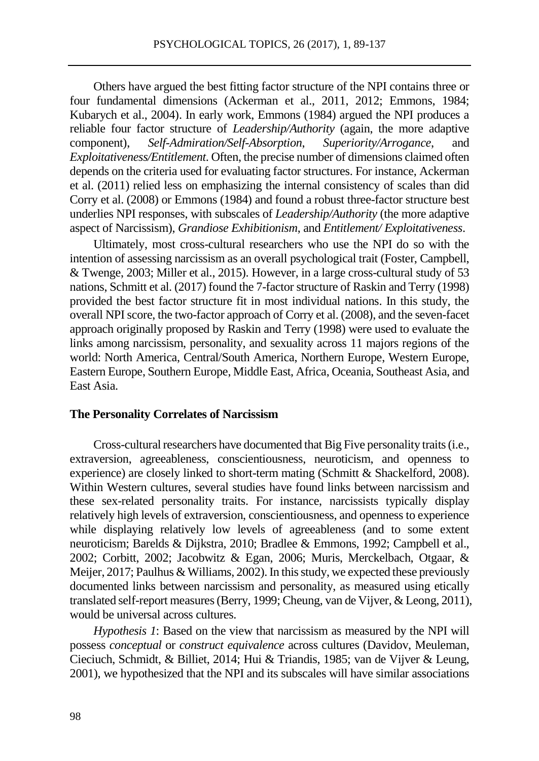Others have argued the best fitting factor structure of the NPI contains three or four fundamental dimensions (Ackerman et al., 2011, 2012; Emmons, 1984; Kubarych et al., 2004). In early work, Emmons (1984) argued the NPI produces a reliable four factor structure of *Leadership/Authority* (again, the more adaptive component), *Self-Admiration/Self-Absorption*, *Superiority/Arrogance*, and *Exploitativeness/Entitlement*. Often, the precise number of dimensions claimed often depends on the criteria used for evaluating factor structures. For instance, Ackerman et al. (2011) relied less on emphasizing the internal consistency of scales than did Corry et al. (2008) or Emmons (1984) and found a robust three-factor structure best underlies NPI responses, with subscales of *Leadership/Authority* (the more adaptive aspect of Narcissism), *Grandiose Exhibitionism*, and *Entitlement/ Exploitativeness*.

Ultimately, most cross-cultural researchers who use the NPI do so with the intention of assessing narcissism as an overall psychological trait (Foster, Campbell, & Twenge, 2003; Miller et al., 2015). However, in a large cross-cultural study of 53 nations, Schmitt et al. (2017) found the 7-factor structure of Raskin and Terry (1998) provided the best factor structure fit in most individual nations. In this study, the overall NPI score, the two-factor approach of Corry et al. (2008), and the seven-facet approach originally proposed by Raskin and Terry (1998) were used to evaluate the links among narcissism, personality, and sexuality across 11 majors regions of the world: North America, Central/South America, Northern Europe, Western Europe, Eastern Europe, Southern Europe, Middle East, Africa, Oceania, Southeast Asia, and East Asia.

#### **The Personality Correlates of Narcissism**

Cross-cultural researchers have documented that Big Five personality traits (i.e., extraversion, agreeableness, conscientiousness, neuroticism, and openness to experience) are closely linked to short-term mating (Schmitt & Shackelford, 2008). Within Western cultures, several studies have found links between narcissism and these sex-related personality traits. For instance, narcissists typically display relatively high levels of extraversion, conscientiousness, and openness to experience while displaying relatively low levels of agreeableness (and to some extent neuroticism; Barelds & Dijkstra, 2010; Bradlee & Emmons, 1992; Campbell et al., 2002; Corbitt, 2002; Jacobwitz & Egan, 2006; Muris, Merckelbach, Otgaar, & Meijer, 2017; Paulhus & Williams, 2002). In this study, we expected these previously documented links between narcissism and personality, as measured using etically translated self-report measures (Berry, 1999; Cheung, van de Vijver, & Leong, 2011), would be universal across cultures.

*Hypothesis 1*: Based on the view that narcissism as measured by the NPI will possess *conceptual* or *construct equivalence* across cultures (Davidov, Meuleman, Cieciuch, Schmidt, & Billiet, 2014; Hui & Triandis, 1985; van de Vijver & Leung, 2001), we hypothesized that the NPI and its subscales will have similar associations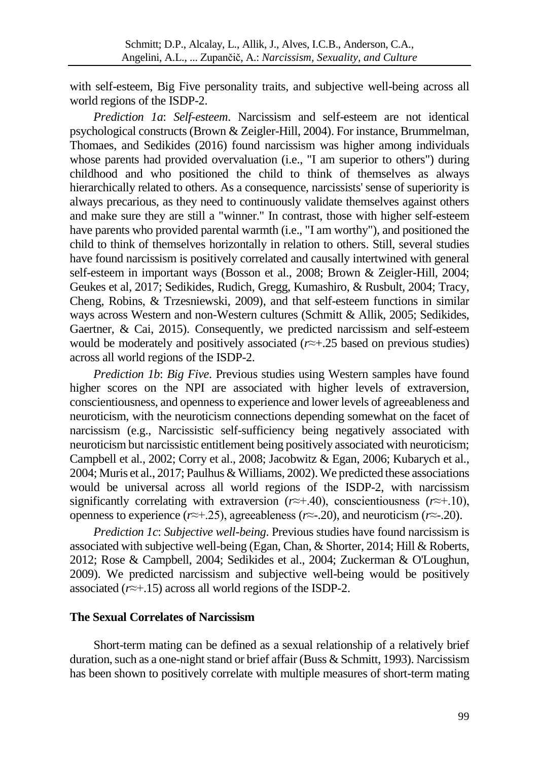with self-esteem, Big Five personality traits, and subjective well-being across all world regions of the ISDP-2.

*Prediction 1a*: *Self-esteem*. Narcissism and self-esteem are not identical psychological constructs (Brown & Zeigler-Hill, 2004). For instance, Brummelman, Thomaes, and Sedikides (2016) found narcissism was higher among individuals whose parents had provided overvaluation *(i.e., "I am superior to others")* during childhood and who positioned the child to think of themselves as always hierarchically related to others. As a consequence, narcissists' sense of superiority is always precarious, as they need to continuously validate themselves against others and make sure they are still a "winner." In contrast, those with higher self-esteem have parents who provided parental warmth (i.e., "I am worthy"), and positioned the child to think of themselves horizontally in relation to others. Still, several studies have found narcissism is positively correlated and causally intertwined with general self-esteem in important ways (Bosson et al., 2008; Brown & Zeigler-Hill, 2004; Geukes et al, 2017; Sedikides, Rudich, Gregg, Kumashiro, & Rusbult, 2004; Tracy, Cheng, Robins, & Trzesniewski, 2009), and that self-esteem functions in similar ways across Western and non-Western cultures (Schmitt & Allik, 2005; Sedikides, Gaertner, & Cai, 2015). Consequently, we predicted narcissism and self-esteem would be moderately and positively associated (*r≈*+.25 based on previous studies) across all world regions of the ISDP-2.

*Prediction 1b*: *Big Five*. Previous studies using Western samples have found higher scores on the NPI are associated with higher levels of extraversion, conscientiousness, and openness to experience and lower levels of agreeableness and neuroticism, with the neuroticism connections depending somewhat on the facet of narcissism (e.g., Narcissistic self-sufficiency being negatively associated with neuroticism but narcissistic entitlement being positively associated with neuroticism; Campbell et al., 2002; Corry et al., 2008; Jacobwitz & Egan, 2006; Kubarych et al., 2004; Muris et al., 2017; Paulhus & Williams, 2002). We predicted these associations would be universal across all world regions of the ISDP-2, with narcissism significantly correlating with extraversion (*r*≈+.40), conscientiousness (*r*≈+.10), openness to experience (*r*≈+.25), agreeableness (*r*≈-.20), and neuroticism (*r*≈-.20).

*Prediction 1c*: *Subjective well-being*. Previous studies have found narcissism is associated with subjective well-being (Egan, Chan, & Shorter, 2014; Hill & Roberts, 2012; Rose & Campbell, 2004; Sedikides et al., 2004; Zuckerman & O'Loughun, 2009). We predicted narcissism and subjective well-being would be positively associated (*r*≈+.15) across all world regions of the ISDP-2.

## **The Sexual Correlates of Narcissism**

Short-term mating can be defined as a sexual relationship of a relatively brief duration, such as a one-night stand or brief affair (Buss & Schmitt, 1993). Narcissism has been shown to positively correlate with multiple measures of short-term mating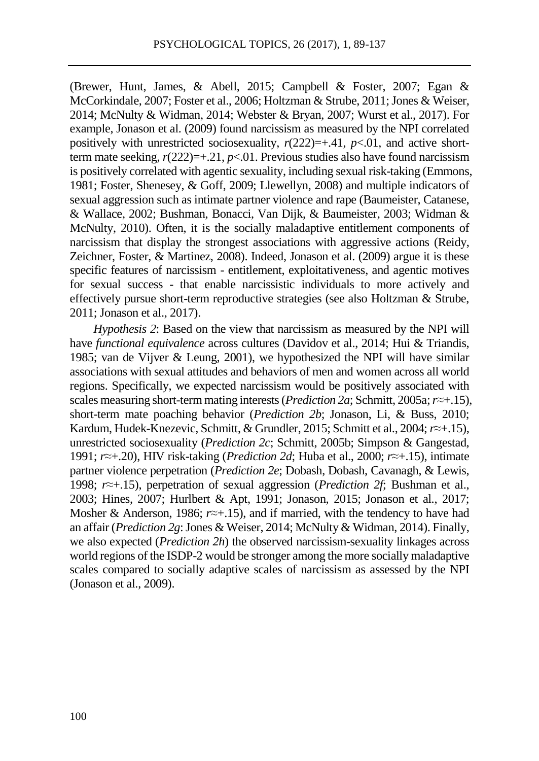(Brewer, Hunt, James, & Abell, 2015; Campbell & Foster, 2007; Egan & McCorkindale, 2007; Foster et al., 2006; Holtzman & Strube, 2011; Jones & Weiser, 2014; McNulty & Widman, 2014; Webster & Bryan, 2007; Wurst et al., 2017). For example, Jonason et al. (2009) found narcissism as measured by the NPI correlated positively with unrestricted sociosexuality,  $r(222)=+0.41$ ,  $p<0.01$ , and active shortterm mate seeking,  $r(222)=+0.21$ ,  $p<-01$ . Previous studies also have found narcissism is positively correlated with agentic sexuality, including sexual risk-taking (Emmons, 1981; Foster, Shenesey, & Goff, 2009; Llewellyn, 2008) and multiple indicators of sexual aggression such as intimate partner violence and rape (Baumeister, Catanese, & Wallace, 2002; Bushman, Bonacci, Van Dijk, & Baumeister, 2003; Widman & McNulty, 2010). Often, it is the socially maladaptive entitlement components of narcissism that display the strongest associations with aggressive actions (Reidy, Zeichner, Foster, & Martinez, 2008). Indeed, Jonason et al. (2009) argue it is these specific features of narcissism - entitlement, exploitativeness, and agentic motives for sexual success - that enable narcissistic individuals to more actively and effectively pursue short-term reproductive strategies (see also Holtzman & Strube, 2011; Jonason et al., 2017).

*Hypothesis 2*: Based on the view that narcissism as measured by the NPI will have *functional equivalence* across cultures (Davidov et al., 2014; Hui & Triandis, 1985; van de Vijver & Leung, 2001), we hypothesized the NPI will have similar associations with sexual attitudes and behaviors of men and women across all world regions. Specifically, we expected narcissism would be positively associated with scales measuring short-term mating interests (*Prediction 2a*; Schmitt, 2005a; *r≈*+.15), short-term mate poaching behavior (*Prediction 2b*; Jonason, Li, & Buss, 2010; Kardum, Hudek-Knezevic, Schmitt, & Grundler, 2015; Schmitt et al., 2004; *r≈*+.15), unrestricted sociosexuality (*Prediction 2c*; Schmitt, 2005b; Simpson & Gangestad, 1991; *r≈*+.20), HIV risk-taking (*Prediction 2d*; Huba et al., 2000; *r≈*+.15), intimate partner violence perpetration (*Prediction 2e*; Dobash, Dobash, Cavanagh, & Lewis, 1998; *r≈*+.15), perpetration of sexual aggression (*Prediction 2f*; Bushman et al., 2003; Hines, 2007; Hurlbert & Apt, 1991; Jonason, 2015; Jonason et al., 2017; Mosher & Anderson, 1986; *r≈*+.15), and if married, with the tendency to have had an affair (*Prediction 2g*: Jones & Weiser, 2014; McNulty & Widman, 2014). Finally, we also expected (*Prediction 2h*) the observed narcissism-sexuality linkages across world regions of the ISDP-2 would be stronger among the more socially maladaptive scales compared to socially adaptive scales of narcissism as assessed by the NPI (Jonason et al., 2009).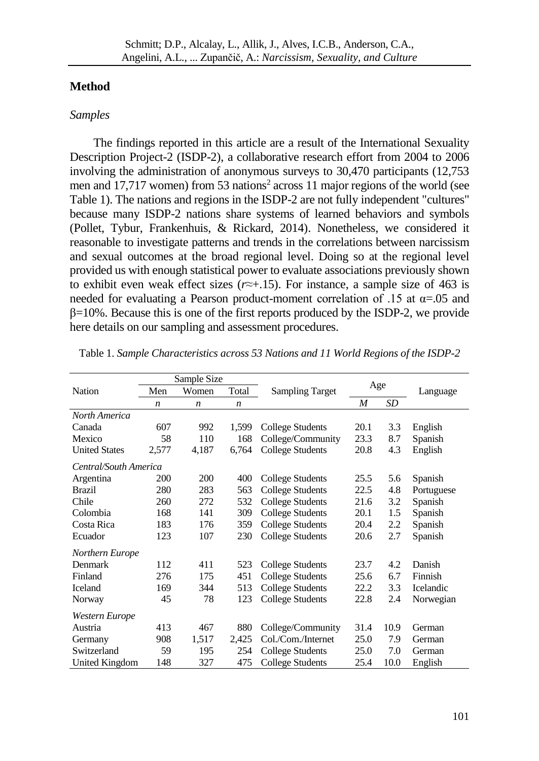#### **Method**

#### *Samples*

The findings reported in this article are a result of the International Sexuality Description Project-2 (ISDP-2), a collaborative research effort from 2004 to 2006 involving the administration of anonymous surveys to 30,470 participants (12,753 men and 17,717 women) from 53 nations<sup>2</sup> across 11 major regions of the world (see Table 1). The nations and regions in the ISDP-2 are not fully independent "cultures" because many ISDP-2 nations share systems of learned behaviors and symbols (Pollet, Tybur, Frankenhuis, & Rickard, 2014). Nonetheless, we considered it reasonable to investigate patterns and trends in the correlations between narcissism and sexual outcomes at the broad regional level. Doing so at the regional level provided us with enough statistical power to evaluate associations previously shown to exhibit even weak effect sizes (*r≈*+.15). For instance, a sample size of 463 is needed for evaluating a Pearson product-moment correlation of .15 at  $\alpha$ =.05 and  $\beta$ =10%. Because this is one of the first reports produced by the ISDP-2, we provide here details on our sampling and assessment procedures.

|                       |                  | Sample Size      |                  |                         |      |      |            |
|-----------------------|------------------|------------------|------------------|-------------------------|------|------|------------|
| Nation                | Men              | Women            | Total            | <b>Sampling Target</b>  | Age  |      | Language   |
|                       | $\boldsymbol{n}$ | $\boldsymbol{n}$ | $\boldsymbol{n}$ |                         | M    | SD   |            |
| North America         |                  |                  |                  |                         |      |      |            |
| Canada                | 607              | 992              | 1,599            | College Students        | 20.1 | 3.3  | English    |
| Mexico                | 58               | 110              | 168              | College/Community       | 23.3 | 8.7  | Spanish    |
| <b>United States</b>  | 2,577            | 4,187            | 6,764            | <b>College Students</b> | 20.8 | 4.3  | English    |
| Central/South America |                  |                  |                  |                         |      |      |            |
| Argentina             | 200              | 200              | 400              | College Students        | 25.5 | 5.6  | Spanish    |
| <b>Brazil</b>         | 280              | 283              | 563              | <b>College Students</b> | 22.5 | 4.8  | Portuguese |
| Chile                 | 260              | 272              | 532              | College Students        | 21.6 | 3.2  | Spanish    |
| Colombia              | 168              | 141              | 309              | College Students        | 20.1 | 1.5  | Spanish    |
| Costa Rica            | 183              | 176              | 359              | <b>College Students</b> | 20.4 | 2.2  | Spanish    |
| Ecuador               | 123              | 107              | 230              | College Students        | 20.6 | 2.7  | Spanish    |
| Northern Europe       |                  |                  |                  |                         |      |      |            |
| Denmark               | 112              | 411              | 523              | College Students        | 23.7 | 4.2  | Danish     |
| Finland               | 276              | 175              | 451              | <b>College Students</b> | 25.6 | 6.7  | Finnish    |
| <b>Iceland</b>        | 169              | 344              | 513              | <b>College Students</b> | 22.2 | 3.3  | Icelandic  |
| Norway                | 45               | 78               | 123              | College Students        | 22.8 | 2.4  | Norwegian  |
| Western Europe        |                  |                  |                  |                         |      |      |            |
| Austria               | 413              | 467              | 880              | College/Community       | 31.4 | 10.9 | German     |
| Germany               | 908              | 1,517            | 2,425            | Col./Com./Internet      | 25.0 | 7.9  | German     |
| Switzerland           | 59               | 195              | 254              | <b>College Students</b> | 25.0 | 7.0  | German     |
| United Kingdom        | 148              | 327              | 475              | College Students        | 25.4 | 10.0 | English    |

Table 1. *Sample Characteristics across 53 Nations and 11 World Regions of the ISDP-2*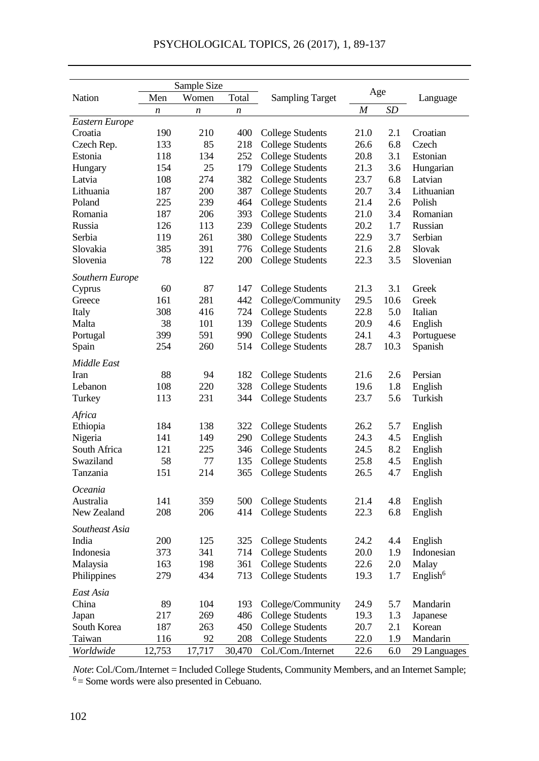|                 |                  | Sample Size      |        |                                                    | Age  |         |                      |
|-----------------|------------------|------------------|--------|----------------------------------------------------|------|---------|----------------------|
| Nation          | Men              | Women            | Total  | <b>Sampling Target</b>                             |      |         | Language             |
|                 | $\boldsymbol{n}$ | $\boldsymbol{n}$ | n      |                                                    | M    | SD      |                      |
| Eastern Europe  |                  |                  |        |                                                    |      |         |                      |
| Croatia         | 190              | 210              | 400    | College Students                                   | 21.0 | 2.1     | Croatian             |
| Czech Rep.      | 133              | 85               | 218    | College Students                                   | 26.6 | 6.8     | Czech                |
| Estonia         | 118              | 134              | 252    | College Students                                   | 20.8 | 3.1     | Estonian             |
| Hungary         | 154              | 25               | 179    | <b>College Students</b>                            | 21.3 | 3.6     | Hungarian            |
| Latvia          | 108              | 274              | 382    | <b>College Students</b>                            | 23.7 | 6.8     | Latvian              |
| Lithuania       | 187              | 200              | 387    | <b>College Students</b>                            | 20.7 | 3.4     | Lithuanian           |
| Poland          | 225              | 239              | 464    | <b>College Students</b>                            | 21.4 | 2.6     | Polish               |
| Romania         | 187              | 206              | 393    | <b>College Students</b>                            | 21.0 | 3.4     | Romanian             |
| Russia          | 126              | 113              | 239    | College Students                                   | 20.2 | 1.7     | Russian              |
| Serbia          | 119              | 261              | 380    | College Students                                   | 22.9 | 3.7     | Serbian              |
| Slovakia        | 385              | 391              | 776    | <b>College Students</b>                            | 21.6 | 2.8     | Slovak               |
| Slovenia        | 78               | 122              | 200    | College Students                                   | 22.3 | 3.5     | Slovenian            |
| Southern Europe |                  |                  |        |                                                    |      |         |                      |
| Cyprus          | 60               | 87               | 147    | College Students                                   | 21.3 | 3.1     | Greek                |
| Greece          | 161              | 281              | 442    | College/Community                                  | 29.5 | 10.6    | Greek                |
| Italy           | 308              | 416              | 724    | <b>College Students</b>                            | 22.8 | 5.0     | Italian              |
|                 | 38               | 101              | 139    |                                                    | 20.9 | 4.6     |                      |
| Malta           | 399              | 591              | 990    | <b>College Students</b><br><b>College Students</b> | 24.1 | 4.3     | English              |
| Portugal        | 254              | 260              | 514    |                                                    | 28.7 | 10.3    | Portuguese           |
| Spain           |                  |                  |        | College Students                                   |      |         | Spanish              |
| Middle East     |                  |                  |        |                                                    |      |         |                      |
| Iran            | 88               | 94               | 182    | College Students                                   | 21.6 | 2.6     | Persian              |
| Lebanon         | 108              | 220              | 328    | <b>College Students</b>                            | 19.6 | 1.8     | English              |
| Turkey          | 113              | 231              | 344    | <b>College Students</b>                            | 23.7 | 5.6     | Turkish              |
| Africa          |                  |                  |        |                                                    |      |         |                      |
| Ethiopia        | 184              | 138              | 322    | College Students                                   | 26.2 | 5.7     | English              |
| Nigeria         | 141              | 149              | 290    | College Students                                   | 24.3 | 4.5     | English              |
| South Africa    | 121              | 225              | 346    | College Students                                   | 24.5 | 8.2     | English              |
| Swaziland       | 58               | 77               | 135    | <b>College Students</b>                            | 25.8 | 4.5     | English              |
| Tanzania        | 151              | 214              | 365    | <b>College Students</b>                            | 26.5 | 4.7     | English              |
|                 |                  |                  |        |                                                    |      |         |                      |
| Oceania         |                  |                  |        |                                                    |      |         |                      |
| Australia       | 141              | 359              | 500    | College Students                                   | 21.4 | 4.8     | English              |
| New Zealand     | 208              | 206              | 414    | College Students                                   | 22.3 | 6.8     | English              |
| Southeast Asia  |                  |                  |        |                                                    |      |         |                      |
| India           | 200              | 125              | 325    | College Students                                   | 24.2 | 4.4     | English              |
| Indonesia       | 373              | 341              | 714    | College Students                                   | 20.0 | 1.9     | Indonesian           |
| Malaysia        | 163              | 198              | 361    | <b>College Students</b>                            | 22.6 | $2.0\,$ | Malay                |
| Philippines     | 279              | 434              | 713    | <b>College Students</b>                            | 19.3 | 1.7     |                      |
|                 |                  |                  |        |                                                    |      |         | English <sup>6</sup> |
| East Asia       |                  |                  |        |                                                    |      |         |                      |
| China           | 89               | 104              | 193    | College/Community                                  | 24.9 | 5.7     | Mandarin             |
| Japan           | 217              | 269              | 486    | College Students                                   | 19.3 | 1.3     | Japanese             |
| South Korea     | 187              | 263              | 450    | College Students                                   | 20.7 | 2.1     | Korean               |
| Taiwan          | 116              | 92               | 208    | <b>College Students</b>                            | 22.0 | 1.9     | Mandarin             |
| Worldwide       | 12,753           | 17,717           | 30,470 | Col./Com./Internet                                 | 22.6 | 6.0     | 29 Languages         |

*Note*: Col./Com./Internet = Included College Students, Community Members, and an Internet Sample;  $6 =$  Some words were also presented in Cebuano.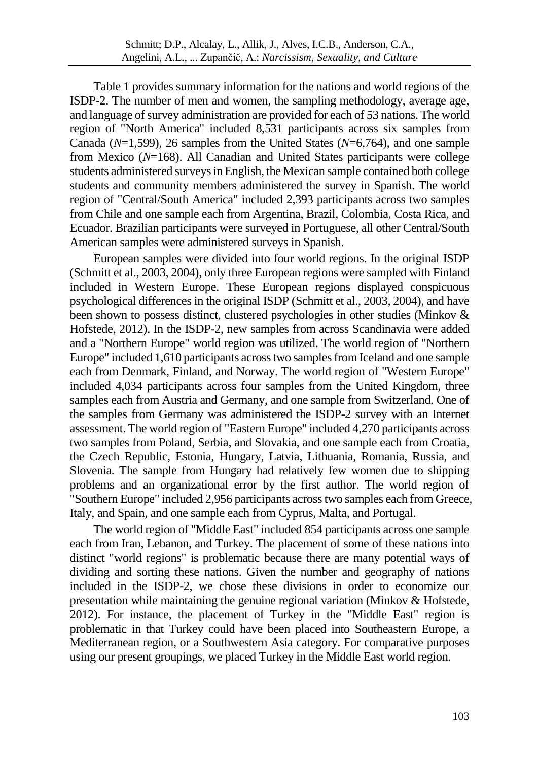Table 1 provides summary information for the nations and world regions of the ISDP-2. The number of men and women, the sampling methodology, average age, and language of survey administration are provided for each of 53 nations. The world region of "North America" included 8,531 participants across six samples from Canada (*N*=1,599), 26 samples from the United States (*N*=6,764), and one sample from Mexico (*N*=168). All Canadian and United States participants were college students administered surveys in English, the Mexican sample contained both college students and community members administered the survey in Spanish. The world region of "Central/South America" included 2,393 participants across two samples from Chile and one sample each from Argentina, Brazil, Colombia, Costa Rica, and Ecuador. Brazilian participants were surveyed in Portuguese, all other Central/South American samples were administered surveys in Spanish.

European samples were divided into four world regions. In the original ISDP (Schmitt et al., 2003, 2004), only three European regions were sampled with Finland included in Western Europe. These European regions displayed conspicuous psychological differences in the original ISDP (Schmitt et al., 2003, 2004), and have been shown to possess distinct, clustered psychologies in other studies (Minkov & Hofstede, 2012). In the ISDP-2, new samples from across Scandinavia were added and a "Northern Europe" world region was utilized. The world region of "Northern Europe" included 1,610 participants across two samples from Iceland and one sample each from Denmark, Finland, and Norway. The world region of "Western Europe" included 4,034 participants across four samples from the United Kingdom, three samples each from Austria and Germany, and one sample from Switzerland. One of the samples from Germany was administered the ISDP-2 survey with an Internet assessment. The world region of "Eastern Europe" included 4,270 participants across two samples from Poland, Serbia, and Slovakia, and one sample each from Croatia, the Czech Republic, Estonia, Hungary, Latvia, Lithuania, Romania, Russia, and Slovenia. The sample from Hungary had relatively few women due to shipping problems and an organizational error by the first author. The world region of "Southern Europe" included 2,956 participants across two samples each from Greece, Italy, and Spain, and one sample each from Cyprus, Malta, and Portugal.

The world region of "Middle East" included 854 participants across one sample each from Iran, Lebanon, and Turkey. The placement of some of these nations into distinct "world regions" is problematic because there are many potential ways of dividing and sorting these nations. Given the number and geography of nations included in the ISDP-2, we chose these divisions in order to economize our presentation while maintaining the genuine regional variation (Minkov & Hofstede, 2012). For instance, the placement of Turkey in the "Middle East" region is problematic in that Turkey could have been placed into Southeastern Europe, a Mediterranean region, or a Southwestern Asia category. For comparative purposes using our present groupings, we placed Turkey in the Middle East world region.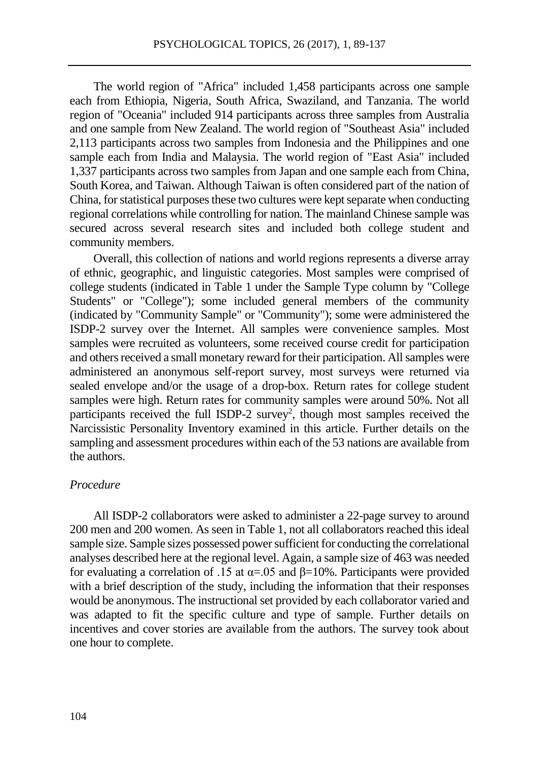The world region of "Africa" included 1,458 participants across one sample each from Ethiopia, Nigeria, South Africa, Swaziland, and Tanzania. The world region of "Oceania" included 914 participants across three samples from Australia and one sample from New Zealand. The world region of "Southeast Asia" included 2,113 participants across two samples from Indonesia and the Philippines and one sample each from India and Malaysia. The world region of "East Asia" included 1,337 participants across two samples from Japan and one sample each from China, South Korea, and Taiwan. Although Taiwan is often considered part of the nation of China, for statistical purposes these two cultures were kept separate when conducting regional correlations while controlling for nation. The mainland Chinese sample was secured across several research sites and included both college student and community members.

Overall, this collection of nations and world regions represents a diverse array of ethnic, geographic, and linguistic categories. Most samples were comprised of college students (indicated in Table 1 under the Sample Type column by "College Students" or "College"); some included general members of the community (indicated by "Community Sample" or "Community"); some were administered the ISDP-2 survey over the Internet. All samples were convenience samples. Most samples were recruited as volunteers, some received course credit for participation and others received a small monetary reward for their participation. All samples were administered an anonymous self-report survey, most surveys were returned via sealed envelope and/or the usage of a drop-box. Return rates for college student samples were high. Return rates for community samples were around 50%. Not all participants received the full ISDP-2 survey<sup>2</sup>, though most samples received the Narcissistic Personality Inventory examined in this article. Further details on the sampling and assessment procedures within each of the 53 nations are available from the authors.

#### *Procedure*

All ISDP-2 collaborators were asked to administer a 22-page survey to around 200 men and 200 women. As seen in Table 1, not all collaborators reached this ideal sample size. Sample sizes possessed power sufficient for conducting the correlational analyses described here at the regional level. Again, a sample size of 463 was needed for evaluating a correlation of .15 at  $\alpha$ =.05 and  $\beta$ =10%. Participants were provided with a brief description of the study, including the information that their responses would be anonymous. The instructional set provided by each collaborator varied and was adapted to fit the specific culture and type of sample. Further details on incentives and cover stories are available from the authors. The survey took about one hour to complete.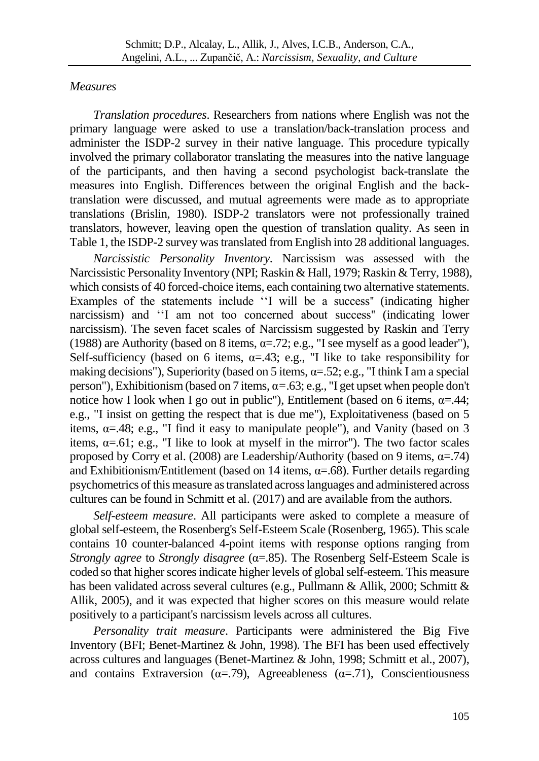## *Measures*

*Translation procedures*. Researchers from nations where English was not the primary language were asked to use a translation/back-translation process and administer the ISDP-2 survey in their native language. This procedure typically involved the primary collaborator translating the measures into the native language of the participants, and then having a second psychologist back-translate the measures into English. Differences between the original English and the backtranslation were discussed, and mutual agreements were made as to appropriate translations (Brislin, 1980). ISDP-2 translators were not professionally trained translators, however, leaving open the question of translation quality. As seen in Table 1, the ISDP-2 survey was translated from English into 28 additional languages.

*Narcissistic Personality Inventory*. Narcissism was assessed with the Narcissistic Personality Inventory (NPI; Raskin & Hall, 1979; Raskin & Terry, 1988), which consists of 40 forced-choice items, each containing two alternative statements. Examples of the statements include ''I will be a success'' (indicating higher narcissism) and ''I am not too concerned about success'' (indicating lower narcissism). The seven facet scales of Narcissism suggested by Raskin and Terry (1988) are Authority (based on 8 items,  $\alpha = 72$ ; e.g., "I see myself as a good leader"), Self-sufficiency (based on 6 items,  $\alpha = .43$ ; e.g., "I like to take responsibility for making decisions"), Superiority (based on 5 items,  $\alpha = 52$ ; e.g., "I think I am a special person"), Exhibitionism (based on 7 items, α*=*.63; e.g., "I get upset when people don't notice how I look when I go out in public"), Entitlement (based on 6 items,  $\alpha = .44$ ; e.g., "I insist on getting the respect that is due me"), Exploitativeness (based on 5 items,  $\alpha = 48$ ; e.g., "I find it easy to manipulate people"), and Vanity (based on 3 items,  $\alpha = 61$ ; e.g., "I like to look at myself in the mirror"). The two factor scales proposed by Corry et al. (2008) are Leadership/Authority (based on 9 items,  $\alpha = .74$ ) and Exhibitionism/Entitlement (based on 14 items,  $\alpha = .68$ ). Further details regarding psychometrics of this measure as translated across languages and administered across cultures can be found in Schmitt et al. (2017) and are available from the authors.

*Self-esteem measure*. All participants were asked to complete a measure of global self-esteem, the Rosenberg's Self-Esteem Scale (Rosenberg, 1965). This scale contains 10 counter-balanced 4-point items with response options ranging from *Strongly agree* to *Strongly disagree* (α=.85). The Rosenberg Self-Esteem Scale is coded so that higher scores indicate higher levels of global self-esteem. This measure has been validated across several cultures (e.g., Pullmann & Allik, 2000; Schmitt & Allik, 2005), and it was expected that higher scores on this measure would relate positively to a participant's narcissism levels across all cultures.

*Personality trait measure*. Participants were administered the Big Five Inventory (BFI; Benet-Martinez & John, 1998). The BFI has been used effectively across cultures and languages (Benet-Martinez & John, 1998; Schmitt et al., 2007), and contains Extraversion ( $\alpha$ =.79), Agreeableness ( $\alpha$ =.71), Conscientiousness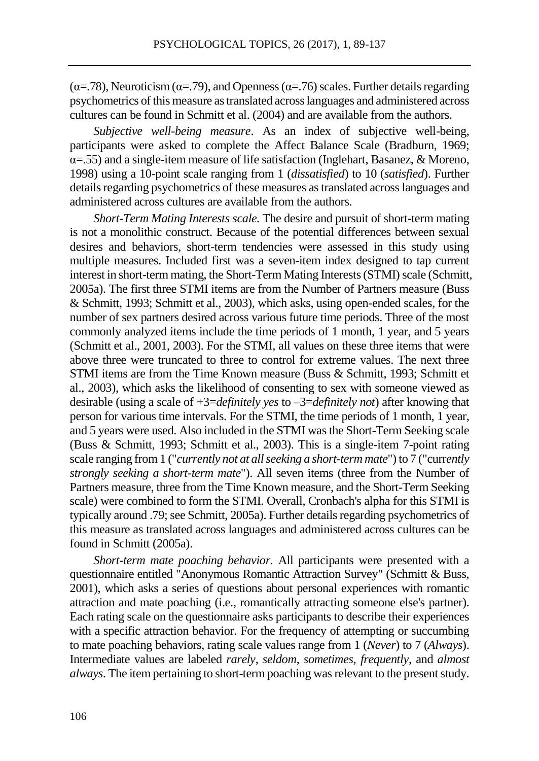( $\alpha$ =.78), Neuroticism ( $\alpha$ =.79), and Openness ( $\alpha$ =.76) scales. Further details regarding psychometrics of this measure as translated across languages and administered across cultures can be found in Schmitt et al. (2004) and are available from the authors.

*Subjective well-being measure*. As an index of subjective well-being, participants were asked to complete the Affect Balance Scale (Bradburn, 1969;  $\alpha$ =.55) and a single-item measure of life satisfaction (Inglehart, Basanez, & Moreno, 1998) using a 10-point scale ranging from 1 (*dissatisfied*) to 10 (*satisfied*). Further details regarding psychometrics of these measures as translated across languages and administered across cultures are available from the authors.

*Short-Term Mating Interests scale.* The desire and pursuit of short-term mating is not a monolithic construct. Because of the potential differences between sexual desires and behaviors, short-term tendencies were assessed in this study using multiple measures. Included first was a seven-item index designed to tap current interest in short-term mating, the Short-Term Mating Interests (STMI) scale (Schmitt, 2005a). The first three STMI items are from the Number of Partners measure (Buss & Schmitt, 1993; Schmitt et al., 2003), which asks, using open-ended scales, for the number of sex partners desired across various future time periods. Three of the most commonly analyzed items include the time periods of 1 month, 1 year, and 5 years (Schmitt et al., 2001, 2003). For the STMI, all values on these three items that were above three were truncated to three to control for extreme values. The next three STMI items are from the Time Known measure (Buss & Schmitt, 1993; Schmitt et al., 2003), which asks the likelihood of consenting to sex with someone viewed as desirable (using a scale of +3=*definitely yes* to –3=*definitely not*) after knowing that person for various time intervals. For the STMI, the time periods of 1 month, 1 year, and 5 years were used. Also included in the STMI was the Short-Term Seeking scale (Buss & Schmitt, 1993; Schmitt et al., 2003). This is a single-item 7-point rating scale ranging from 1 ("*currently not at all seeking a short-term mate*") to 7 ("curr*ently strongly seeking a short-term mate*"). All seven items (three from the Number of Partners measure, three from the Time Known measure, and the Short-Term Seeking scale) were combined to form the STMI. Overall, Cronbach's alpha for this STMI is typically around .79; see Schmitt, 2005a). Further details regarding psychometrics of this measure as translated across languages and administered across cultures can be found in Schmitt (2005a).

*Short-term mate poaching behavior.* All participants were presented with a questionnaire entitled "Anonymous Romantic Attraction Survey" (Schmitt & Buss, 2001), which asks a series of questions about personal experiences with romantic attraction and mate poaching (i.e., romantically attracting someone else's partner). Each rating scale on the questionnaire asks participants to describe their experiences with a specific attraction behavior. For the frequency of attempting or succumbing to mate poaching behaviors, rating scale values range from 1 (*Never*) to 7 (*Always*). Intermediate values are labeled *rarely*, *seldom*, *sometimes*, *frequently*, and *almost always*. The item pertaining to short-term poaching was relevant to the present study.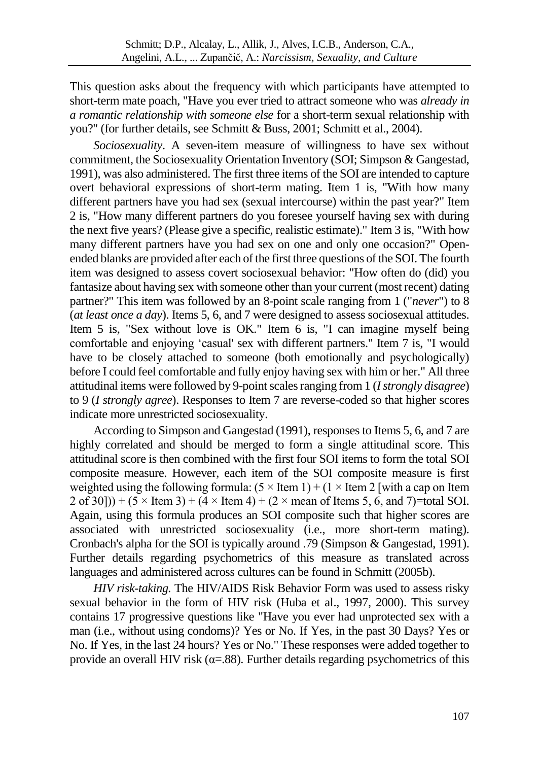This question asks about the frequency with which participants have attempted to short-term mate poach, "Have you ever tried to attract someone who was *already in a romantic relationship with someone else* for a short-term sexual relationship with you?" (for further details, see Schmitt & Buss, 2001; Schmitt et al., 2004).

*Sociosexuality*. A seven-item measure of willingness to have sex without commitment, the Sociosexuality Orientation Inventory (SOI; Simpson & Gangestad, 1991), was also administered. The first three items of the SOI are intended to capture overt behavioral expressions of short-term mating. Item 1 is, "With how many different partners have you had sex (sexual intercourse) within the past year?" Item 2 is, "How many different partners do you foresee yourself having sex with during the next five years? (Please give a specific, realistic estimate)." Item 3 is, "With how many different partners have you had sex on one and only one occasion?" Openended blanks are provided after each of the first three questions of the SOI. The fourth item was designed to assess covert sociosexual behavior: "How often do (did) you fantasize about having sex with someone other than your current (most recent) dating partner?" This item was followed by an 8-point scale ranging from 1 ("*never*") to 8 (*at least once a day*). Items 5, 6, and 7 were designed to assess sociosexual attitudes. Item 5 is, "Sex without love is OK." Item 6 is, "I can imagine myself being comfortable and enjoying 'casual' sex with different partners." Item 7 is, "I would have to be closely attached to someone (both emotionally and psychologically) before I could feel comfortable and fully enjoy having sex with him or her." All three attitudinal items were followed by 9-point scales ranging from 1 (*I strongly disagree*) to 9 (*I strongly agree*). Responses to Item 7 are reverse-coded so that higher scores indicate more unrestricted sociosexuality.

According to Simpson and Gangestad (1991), responses to Items 5, 6, and 7 are highly correlated and should be merged to form a single attitudinal score. This attitudinal score is then combined with the first four SOI items to form the total SOI composite measure. However, each item of the SOI composite measure is first weighted using the following formula:  $(5 \times$  Item 1) +  $(1 \times$  Item 2 [with a cap on Item  $2$  of 30])) + (5  $\times$  Item 3) + (4  $\times$  Item 4) + (2  $\times$  mean of Items 5, 6, and 7)=total SOI. Again, using this formula produces an SOI composite such that higher scores are associated with unrestricted sociosexuality (i.e., more short-term mating). Cronbach's alpha for the SOI is typically around .79 (Simpson & Gangestad, 1991). Further details regarding psychometrics of this measure as translated across languages and administered across cultures can be found in Schmitt (2005b).

*HIV risk-taking.* The HIV/AIDS Risk Behavior Form was used to assess risky sexual behavior in the form of HIV risk (Huba et al., 1997, 2000). This survey contains 17 progressive questions like "Have you ever had unprotected sex with a man (i.e., without using condoms)? Yes or No. If Yes, in the past 30 Days? Yes or No. If Yes, in the last 24 hours? Yes or No." These responses were added together to provide an overall HIV risk  $(\alpha = 0.88)$ . Further details regarding psychometrics of this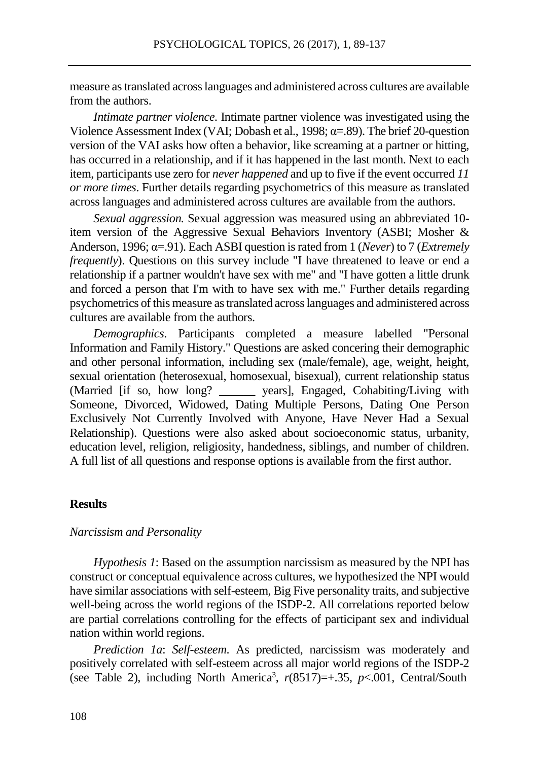measure as translated across languages and administered across cultures are available from the authors.

*Intimate partner violence.* Intimate partner violence was investigated using the Violence Assessment Index (VAI; Dobash et al., 1998;  $\alpha = .89$ ). The brief 20-question version of the VAI asks how often a behavior, like screaming at a partner or hitting, has occurred in a relationship, and if it has happened in the last month. Next to each item, participants use zero for *never happened* and up to five if the event occurred *11 or more times*. Further details regarding psychometrics of this measure as translated across languages and administered across cultures are available from the authors.

*Sexual aggression.* Sexual aggression was measured using an abbreviated 10 item version of the Aggressive Sexual Behaviors Inventory (ASBI; Mosher & Anderson, 1996; α=.91). Each ASBI question israted from 1 (*Never*) to 7 (*Extremely frequently*). Questions on this survey include "I have threatened to leave or end a relationship if a partner wouldn't have sex with me" and "I have gotten a little drunk and forced a person that I'm with to have sex with me." Further details regarding psychometrics of this measure as translated across languages and administered across cultures are available from the authors.

*Demographics*. Participants completed a measure labelled "Personal Information and Family History." Questions are asked concering their demographic and other personal information, including sex (male/female), age, weight, height, sexual orientation (heterosexual, homosexual, bisexual), current relationship status (Married [if so, how long? \_\_\_\_\_\_ years], Engaged, Cohabiting/Living with Someone, Divorced, Widowed, Dating Multiple Persons, Dating One Person Exclusively Not Currently Involved with Anyone, Have Never Had a Sexual Relationship). Questions were also asked about socioeconomic status, urbanity, education level, religion, religiosity, handedness, siblings, and number of children. A full list of all questions and response options is available from the first author.

#### **Results**

#### *Narcissism and Personality*

*Hypothesis 1*: Based on the assumption narcissism as measured by the NPI has construct or conceptual equivalence across cultures, we hypothesized the NPI would have similar associations with self-esteem, Big Five personality traits, and subjective well-being across the world regions of the ISDP-2. All correlations reported below are partial correlations controlling for the effects of participant sex and individual nation within world regions.

*Prediction 1a*: *Self-esteem*. As predicted, narcissism was moderately and positively correlated with self-esteem across all major world regions of the ISDP-2 (see Table 2), including North America<sup>3</sup>,  $r(8517)=+0.35$ ,  $p<0.001$ , Central/South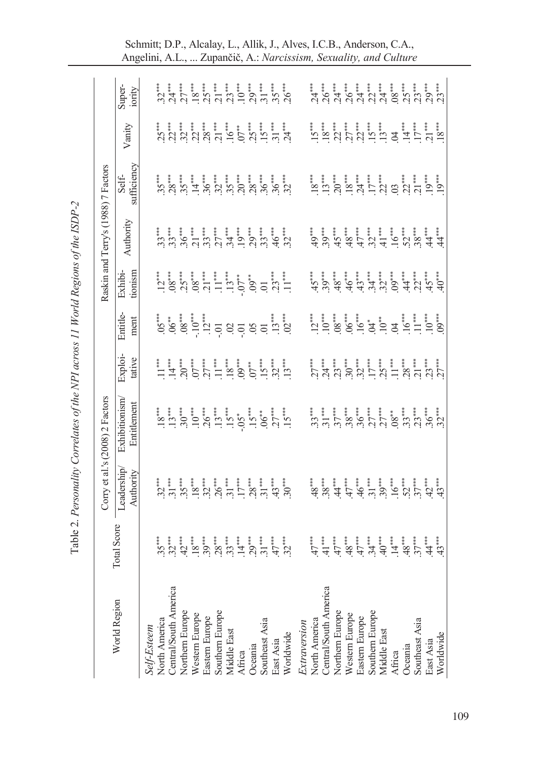|                                        |             |                         | Corry et al.'s (2008) 2 Factors |                   |                                                                                                                                                                                                                                                                                                                       |                                                                                                                                                                                                                                                                                                                                                                                                                                                                                                          | Raskin and Terry's (1988) 7 Factors                                  |                      |        |                                                                                                                             |
|----------------------------------------|-------------|-------------------------|---------------------------------|-------------------|-----------------------------------------------------------------------------------------------------------------------------------------------------------------------------------------------------------------------------------------------------------------------------------------------------------------------|----------------------------------------------------------------------------------------------------------------------------------------------------------------------------------------------------------------------------------------------------------------------------------------------------------------------------------------------------------------------------------------------------------------------------------------------------------------------------------------------------------|----------------------------------------------------------------------|----------------------|--------|-----------------------------------------------------------------------------------------------------------------------------|
| World Region                           | Total Score | Leadership<br>Authority | Exhibitionism<br>Entitlement    | Exploi-<br>tative | Entitle-<br>ment                                                                                                                                                                                                                                                                                                      | Exhibi-<br>tionism                                                                                                                                                                                                                                                                                                                                                                                                                                                                                       | Authority                                                            | Self-<br>sufficiency | Vanity | Super-<br>iority                                                                                                            |
| Self-Esteem                            |             |                         |                                 |                   |                                                                                                                                                                                                                                                                                                                       |                                                                                                                                                                                                                                                                                                                                                                                                                                                                                                          |                                                                      |                      |        |                                                                                                                             |
| North America                          |             |                         |                                 |                   |                                                                                                                                                                                                                                                                                                                       |                                                                                                                                                                                                                                                                                                                                                                                                                                                                                                          |                                                                      |                      |        |                                                                                                                             |
| Central/South America                  |             |                         |                                 |                   |                                                                                                                                                                                                                                                                                                                       | $\frac{1}{10} \underbrace{10}_{0} \underbrace{10}_{0} \underbrace{10}_{0} \underbrace{11}_{0} \underbrace{11}_{1} \underbrace{11}_{1} \underbrace{10}_{0} \underbrace{10}_{0} \underbrace{11}_{0} \underbrace{11}_{1} \underbrace{11}_{1} \underbrace{11}_{1} \underbrace{11}_{1} \underbrace{11}_{1} \underbrace{11}_{1} \underbrace{11}_{1} \underbrace{11}_{1} \underbrace{11}_{1} \underbrace{11}_{1} \underbrace{11}_{1} \underbrace{11}_{1} \underbrace{11}_{1} \underbrace{11}_{1} \underbrace{1$ |                                                                      |                      |        |                                                                                                                             |
| Northern Europe                        |             |                         |                                 |                   |                                                                                                                                                                                                                                                                                                                       |                                                                                                                                                                                                                                                                                                                                                                                                                                                                                                          |                                                                      |                      |        |                                                                                                                             |
| Western Europe<br>Eastern Europe       |             |                         |                                 |                   |                                                                                                                                                                                                                                                                                                                       |                                                                                                                                                                                                                                                                                                                                                                                                                                                                                                          |                                                                      |                      |        |                                                                                                                             |
|                                        |             |                         |                                 |                   |                                                                                                                                                                                                                                                                                                                       |                                                                                                                                                                                                                                                                                                                                                                                                                                                                                                          |                                                                      |                      |        |                                                                                                                             |
| Southern Europe                        |             |                         |                                 |                   |                                                                                                                                                                                                                                                                                                                       |                                                                                                                                                                                                                                                                                                                                                                                                                                                                                                          |                                                                      |                      |        |                                                                                                                             |
| Middle East                            |             |                         |                                 |                   |                                                                                                                                                                                                                                                                                                                       |                                                                                                                                                                                                                                                                                                                                                                                                                                                                                                          |                                                                      |                      |        |                                                                                                                             |
| Africa<br>Oceania<br>Southeast Asia    |             |                         |                                 |                   |                                                                                                                                                                                                                                                                                                                       |                                                                                                                                                                                                                                                                                                                                                                                                                                                                                                          |                                                                      |                      |        |                                                                                                                             |
|                                        |             |                         |                                 |                   |                                                                                                                                                                                                                                                                                                                       |                                                                                                                                                                                                                                                                                                                                                                                                                                                                                                          |                                                                      |                      |        |                                                                                                                             |
|                                        |             |                         |                                 |                   |                                                                                                                                                                                                                                                                                                                       |                                                                                                                                                                                                                                                                                                                                                                                                                                                                                                          |                                                                      |                      |        |                                                                                                                             |
| East Asia<br>Worldwide                 |             |                         |                                 |                   |                                                                                                                                                                                                                                                                                                                       |                                                                                                                                                                                                                                                                                                                                                                                                                                                                                                          |                                                                      |                      |        |                                                                                                                             |
|                                        |             |                         |                                 |                   | $5.8$ $\frac{1}{2}$ $\frac{1}{2}$ $\frac{1}{2}$ $\frac{1}{2}$ $\frac{1}{2}$ $\frac{1}{2}$ $\frac{1}{2}$ $\frac{1}{2}$ $\frac{1}{2}$ $\frac{1}{2}$ $\frac{1}{2}$ $\frac{1}{2}$ $\frac{1}{2}$ $\frac{1}{2}$ $\frac{1}{2}$ $\frac{1}{2}$ $\frac{1}{2}$ $\frac{1}{2}$ $\frac{1}{2}$ $\frac{1}{2}$ $\frac{1}{2}$ $\frac{1$ |                                                                                                                                                                                                                                                                                                                                                                                                                                                                                                          |                                                                      |                      |        |                                                                                                                             |
| Extraversion                           |             |                         |                                 |                   |                                                                                                                                                                                                                                                                                                                       |                                                                                                                                                                                                                                                                                                                                                                                                                                                                                                          |                                                                      |                      |        |                                                                                                                             |
| North America<br>Central/South America |             |                         |                                 |                   |                                                                                                                                                                                                                                                                                                                       |                                                                                                                                                                                                                                                                                                                                                                                                                                                                                                          | ैं ।<br>अर्थ स्थान में प्राप्त संस्कृत<br>स्थान संस्कृत अपने संस्कृत |                      |        | <b>.</b><br>A G A G A G A G G G G A G G A G A G G A G A G A G A G A G A G A G A G A G A G A G A G A G A G A G A G A G A G A |
|                                        |             |                         |                                 |                   |                                                                                                                                                                                                                                                                                                                       |                                                                                                                                                                                                                                                                                                                                                                                                                                                                                                          |                                                                      |                      |        |                                                                                                                             |
| Northern Europe                        |             |                         |                                 |                   |                                                                                                                                                                                                                                                                                                                       |                                                                                                                                                                                                                                                                                                                                                                                                                                                                                                          |                                                                      |                      |        |                                                                                                                             |
| Western Europe                         |             |                         |                                 |                   |                                                                                                                                                                                                                                                                                                                       |                                                                                                                                                                                                                                                                                                                                                                                                                                                                                                          |                                                                      |                      |        |                                                                                                                             |
| Eastern Europe                         |             |                         |                                 |                   |                                                                                                                                                                                                                                                                                                                       |                                                                                                                                                                                                                                                                                                                                                                                                                                                                                                          |                                                                      |                      |        |                                                                                                                             |
| Southern Europe<br>Middle East         |             |                         |                                 |                   |                                                                                                                                                                                                                                                                                                                       |                                                                                                                                                                                                                                                                                                                                                                                                                                                                                                          |                                                                      |                      |        |                                                                                                                             |
|                                        |             |                         |                                 |                   |                                                                                                                                                                                                                                                                                                                       |                                                                                                                                                                                                                                                                                                                                                                                                                                                                                                          |                                                                      |                      |        |                                                                                                                             |
| Africa<br>Oceania                      |             |                         |                                 |                   |                                                                                                                                                                                                                                                                                                                       |                                                                                                                                                                                                                                                                                                                                                                                                                                                                                                          |                                                                      |                      |        |                                                                                                                             |
|                                        |             |                         |                                 |                   |                                                                                                                                                                                                                                                                                                                       |                                                                                                                                                                                                                                                                                                                                                                                                                                                                                                          |                                                                      |                      |        |                                                                                                                             |
| Southeast Asia                         |             |                         |                                 |                   |                                                                                                                                                                                                                                                                                                                       |                                                                                                                                                                                                                                                                                                                                                                                                                                                                                                          |                                                                      |                      |        |                                                                                                                             |
| East Asia                              |             |                         |                                 |                   |                                                                                                                                                                                                                                                                                                                       |                                                                                                                                                                                                                                                                                                                                                                                                                                                                                                          |                                                                      |                      |        |                                                                                                                             |
| Worldwide                              |             |                         |                                 |                   |                                                                                                                                                                                                                                                                                                                       |                                                                                                                                                                                                                                                                                                                                                                                                                                                                                                          |                                                                      |                      |        |                                                                                                                             |

Schmitt; D.P., Alcalay, L., Allik, J., Alves, I.C.B., Anderson, C.A., Angelini, A.L., ... Zupančič, A.: *Narcissism, Sexuality, and Culture*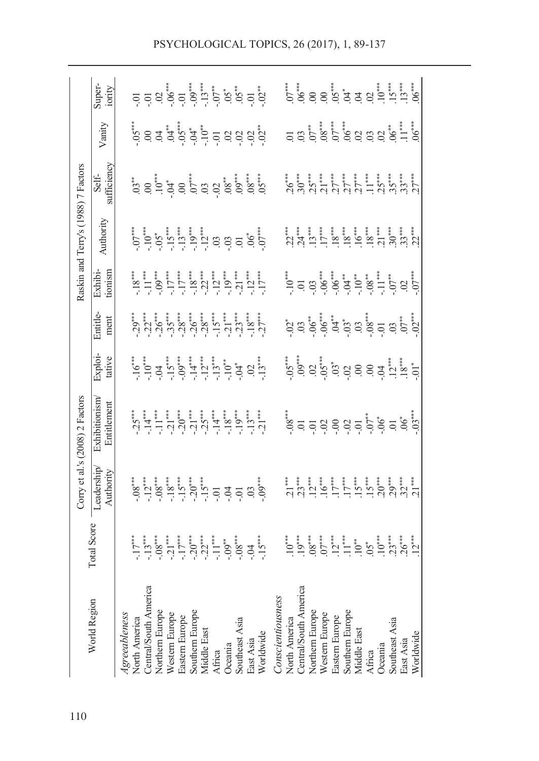|                                                                                                                                                                                                                                 |             |                                                                                                                                                                                  | Corry et al.'s (2008) 2 Factors                                                                                                                                                        |                                                                                                                                                                               |                  |                                                                                                 | Raskin and Terry's (1988) 7 Factors                                                                        |                      |                                                                                                                                                                                                                                                                                                                                                                                            |                   |
|---------------------------------------------------------------------------------------------------------------------------------------------------------------------------------------------------------------------------------|-------------|----------------------------------------------------------------------------------------------------------------------------------------------------------------------------------|----------------------------------------------------------------------------------------------------------------------------------------------------------------------------------------|-------------------------------------------------------------------------------------------------------------------------------------------------------------------------------|------------------|-------------------------------------------------------------------------------------------------|------------------------------------------------------------------------------------------------------------|----------------------|--------------------------------------------------------------------------------------------------------------------------------------------------------------------------------------------------------------------------------------------------------------------------------------------------------------------------------------------------------------------------------------------|-------------------|
| World Region                                                                                                                                                                                                                    | Total Score | Leadership<br>Authority                                                                                                                                                          | Exhibitionism<br>Entitlement                                                                                                                                                           | Exploi-<br>tative                                                                                                                                                             | Entitle-<br>ment | tionism<br>Exhibi-                                                                              | Authority                                                                                                  | Self-<br>sufficiency | Vanity                                                                                                                                                                                                                                                                                                                                                                                     | Super-<br>iority  |
| <b>Central/South America</b><br>Northern Europe<br>Southern Europe<br>Western Europe<br>Agreeableness<br><b>North America</b><br>Eastern Europe<br>Southeast Asia<br>Middle East<br>East Asia<br>Worldwide<br>Oceania<br>Africa |             | $-0.8$<br>$-1.2$<br>$-1.5$<br>$-1.5$<br>$-1.5$<br>$-1.5$<br>$-1.5$<br>$-1.5$<br>$-1.5$<br>$-1.5$<br>$-1.5$<br>$-1.5$<br>$-1.5$<br>$-1.5$<br>$-1.5$<br>$-1.5$<br>$-1.5$<br>$-1.5$ | $-25$ $-14$ $-11$ $-11$ $-11$ $-12$ $-120$ $-120$ $-120$ $-120$ $-120$ $-120$ $-120$ $-120$ $-120$ $-120$ $-120$ $-120$ $-120$ $-120$ $-120$ $-120$ $-120$ $-120$ $-120$ $-120$ $-120$ |                                                                                                                                                                               |                  |                                                                                                 | $-0.7$<br>$-1.0$<br>$-1.5$<br>$-1.5$<br>$-1.5$<br>$-1.2$<br>$-1.2$<br>$-1.2$<br>$-1.2$<br>$-1.2$<br>$-1.2$ | $35.8\%$             | $5^{\circ}$ $6^{\circ}$ $6^{\circ}$ $7^{\circ}$ $7^{\circ}$ $7^{\circ}$ $7^{\circ}$ $7^{\circ}$ $7^{\circ}$ $7^{\circ}$ $7^{\circ}$ $7^{\circ}$ $7^{\circ}$ $7^{\circ}$ $7^{\circ}$ $7^{\circ}$ $7^{\circ}$ $7^{\circ}$ $7^{\circ}$ $7^{\circ}$ $7^{\circ}$ $7^{\circ}$ $7^{\circ}$ $7^{\circ}$ $7^{\circ}$ $7^{\circ}$ $7^{\circ}$ $7^{\circ}$ $7^{\circ}$ $7^{\circ}$ $7^{\circ}$ $7^{\$ |                   |
| Central/South America<br>Northem Europe<br>Conscientiousness<br>Southern Europe<br>Middle East<br>Western Europe<br>Bastern Europe<br>North America<br>Southeast Asia<br>Worldwide<br>East Asia<br>Oceania<br>Africa            |             |                                                                                                                                                                                  |                                                                                                                                                                                        | $5^{**}$<br>$9^{*}$<br>$9^{*}$<br>$9^{*}$<br>$9^{*}$<br>$9^{*}$<br>$9^{*}$<br>$9^{*}$<br>$9^{*}$<br>$9^{*}$<br>$9^{*}$<br>$9^{*}$<br>$1^{*}$<br>$1^{*}$<br>$1^{*}$<br>$1^{*}$ |                  | $-10$<br>$-0.3$<br>$-0.6$<br>$+0.5$<br>$+0.5$<br>$+0.5$<br>$-0.8$<br>$-1.5$<br>$-0.2$<br>$-0.2$ |                                                                                                            |                      | 596888888778                                                                                                                                                                                                                                                                                                                                                                               | $5.6888878777788$ |
|                                                                                                                                                                                                                                 |             |                                                                                                                                                                                  |                                                                                                                                                                                        |                                                                                                                                                                               |                  |                                                                                                 |                                                                                                            |                      |                                                                                                                                                                                                                                                                                                                                                                                            |                   |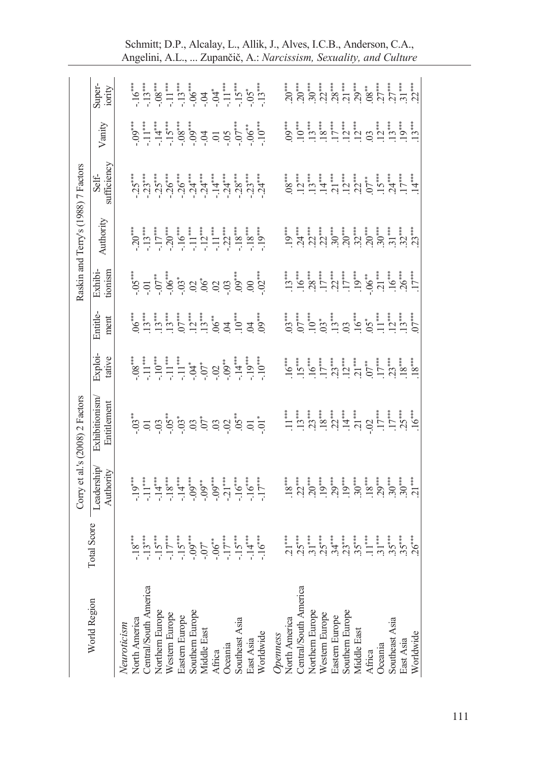| Super-<br>iority                                 |             |                              |                       |                 |                |                |                                |                                                                                                                                                                                                                                                                                                                                                                                                                         |                   |                |           |           |          |               |                       | $\overbrace{1}^{*},\overbrace{2}^{*},\overbrace{3}^{*},\overbrace{4}^{*},\overbrace{5}^{*},\overbrace{7}^{*},\overbrace{7}^{*},\overbrace{7}^{*},\overbrace{7}^{*},\overbrace{7}^{*},\overbrace{7}^{*},\overbrace{7}^{*},\overbrace{7}^{*},\overbrace{7}^{*},\overbrace{7}^{*},\overbrace{7}^{*},\overbrace{7}^{*},\overbrace{7}^{*},\overbrace{7}^{*},\overbrace{7}^{*},\overbrace{7}^{*},\overbrace{7}^{*},\overbrace{7}^{*},\overbrace{7}^{*},\overbrace{$                                                                                                                          |                                  |                                |        |         |                |           |           |  |
|--------------------------------------------------|-------------|------------------------------|-----------------------|-----------------|----------------|----------------|--------------------------------|-------------------------------------------------------------------------------------------------------------------------------------------------------------------------------------------------------------------------------------------------------------------------------------------------------------------------------------------------------------------------------------------------------------------------|-------------------|----------------|-----------|-----------|----------|---------------|-----------------------|----------------------------------------------------------------------------------------------------------------------------------------------------------------------------------------------------------------------------------------------------------------------------------------------------------------------------------------------------------------------------------------------------------------------------------------------------------------------------------------------------------------------------------------------------------------------------------------|----------------------------------|--------------------------------|--------|---------|----------------|-----------|-----------|--|
| Vanity                                           |             |                              |                       |                 |                |                |                                | $-09$<br>$-19$<br>$-09$<br>$-09$<br>$-09$<br>$-09$<br>$-09$<br>$-09$<br>$-09$<br>$-09$<br>$-09$<br>$-09$                                                                                                                                                                                                                                                                                                                |                   |                |           |           |          |               |                       |                                                                                                                                                                                                                                                                                                                                                                                                                                                                                                                                                                                        |                                  |                                |        |         |                |           |           |  |
| Self-<br>sufficiency                             |             |                              |                       |                 |                |                |                                |                                                                                                                                                                                                                                                                                                                                                                                                                         |                   |                |           |           |          |               |                       |                                                                                                                                                                                                                                                                                                                                                                                                                                                                                                                                                                                        |                                  |                                |        |         |                |           |           |  |
| Raskin and Terry's (1988) 7 Factors<br>Authority |             |                              |                       |                 |                |                |                                | $-20$<br>$-15$<br>$-15$<br>$-15$<br>$-16$<br>$-122$<br>$-122$<br>$-122$<br>$-122$                                                                                                                                                                                                                                                                                                                                       |                   |                |           |           |          |               |                       |                                                                                                                                                                                                                                                                                                                                                                                                                                                                                                                                                                                        |                                  |                                |        |         |                |           |           |  |
| Exhibi-                                          | tionism     |                              |                       |                 |                |                |                                | $-0.5$<br>$-0.7$<br>$-0.05$<br>$-0.05$<br>$-0.05$<br>$-0.05$<br>$-0.05$<br>$-0.05$<br>$-0.05$<br>$-0.05$<br>$-0.05$<br>$-0.05$                                                                                                                                                                                                                                                                                          |                   |                |           |           |          |               |                       |                                                                                                                                                                                                                                                                                                                                                                                                                                                                                                                                                                                        |                                  |                                |        |         |                |           |           |  |
| Entitle-                                         | ment        |                              |                       |                 |                |                |                                | <b>CHANGE AND SEARCH SEARCH SEARCH SEARCH SEARCH SEARCH SEARCH SEARCH SEARCH SEARCH SEARCH SEARCH SEARCH SEARCH</b>                                                                                                                                                                                                                                                                                                     |                   |                |           |           |          |               |                       |                                                                                                                                                                                                                                                                                                                                                                                                                                                                                                                                                                                        |                                  |                                |        |         |                |           |           |  |
| Exploi-                                          | tative      |                              |                       |                 |                |                |                                | $\begin{array}{l} -08^{***} \\ -11^{***} \\ -11^{***} \\ -11^{***} \\ -11^{***} \\ -11^{**} \\ -10^{**} \\ -10^{**} \\ -10^{**} \\ -10^{**} \\ -10^{***} \\ -10^{***} \\ -10^{***} \\ -10^{***} \\ -10^{***} \\ -10^{***} \\ -10^{***} \\ -10^{***} \\ -10^{***} \\ -10^{***} \\ -10^{***} \\ -10^{***} \\ -10^{***} \\ -10^{***} \\ -10^{***} \\ -10^{***} \\ -10^{***} \\ -10^{***} \\ -10^{***} \\ -10^{***} \\ -10$ |                   |                |           |           |          |               |                       | $\begin{array}{l} \mathbf{1} \stackrel{\bullet}{\mathbf{0}} \stackrel{\bullet}{\mathbf{1}} \stackrel{\bullet}{\mathbf{1}} \stackrel{\bullet}{\mathbf{1}} \stackrel{\bullet}{\mathbf{1}} \stackrel{\bullet}{\mathbf{1}} \stackrel{\bullet}{\mathbf{1}} \stackrel{\bullet}{\mathbf{1}} \stackrel{\bullet}{\mathbf{1}} \stackrel{\bullet}{\mathbf{1}} \stackrel{\bullet}{\mathbf{1}} \stackrel{\bullet}{\mathbf{1}} \stackrel{\bullet}{\mathbf{1}} \stackrel{\bullet}{\mathbf{1}} \stackrel{\bullet}{\mathbf{1}} \stackrel{\bullet}{\mathbf{1}} \stackrel{\bullet}{\mathbf{1}} \stackrel$ |                                  |                                |        |         |                |           |           |  |
| Corry et al.'s (2008) 2 Factors<br>Exhibitionism | Entitlement |                              |                       |                 |                |                |                                |                                                                                                                                                                                                                                                                                                                                                                                                                         |                   |                |           |           |          |               |                       |                                                                                                                                                                                                                                                                                                                                                                                                                                                                                                                                                                                        |                                  |                                |        |         |                |           |           |  |
| Leadership                                       | Authority   |                              |                       |                 |                |                |                                |                                                                                                                                                                                                                                                                                                                                                                                                                         |                   |                |           |           |          |               |                       | $\begin{array}{cccccccccc} \mathbf{z}^{*}_{1} & \mathbf{z}^{*}_{2} & \mathbf{z}^{*}_{3} & \mathbf{z}^{*}_{4} & \mathbf{z}^{*}_{5} & \mathbf{z}^{*}_{6} & \mathbf{z}^{*}_{7} & \mathbf{z}^{*}_{8} & \mathbf{z}^{*}_{9} & \mathbf{z}^{*}_{1} & \mathbf{z}^{*}_{1} & \mathbf{z}^{*}_{1} & \mathbf{z}^{*}_{2} & \mathbf{z}^{*}_{3} & \mathbf{z}^{*}_{5} & \mathbf{z}^{*}_{6} & \mathbf{z}^{*}_{7} & \mathbf{z}^{$                                                                                                                                                                          |                                  |                                |        |         |                |           |           |  |
| otal Score                                       |             |                              |                       |                 |                |                |                                |                                                                                                                                                                                                                                                                                                                                                                                                                         |                   |                |           |           |          |               |                       |                                                                                                                                                                                                                                                                                                                                                                                                                                                                                                                                                                                        |                                  |                                |        |         |                |           |           |  |
| World Region                                     |             | North America<br>Neuroticism | Central/South America | Northern Europe | Western Europe | Eastern Europe | Southern Europe<br>Middle East |                                                                                                                                                                                                                                                                                                                                                                                                                         | Africa<br>Oceania | Southeast Asia | East Asia | Worldwide | Openness | North America | Central/South America | Northern Europe                                                                                                                                                                                                                                                                                                                                                                                                                                                                                                                                                                        | Western Europe<br>Eastern Europe | Southern Europe<br>Middle East | Africa | Oceania | Southeast Asia | East Asia | Worldwide |  |

Schmitt; D.P., Alcalay, L., Allik, J., Alves, I.C.B., Anderson, C.A., Angelini, A.L., ... Zupančič, A.: *Narcissism, Sexuality, and Culture*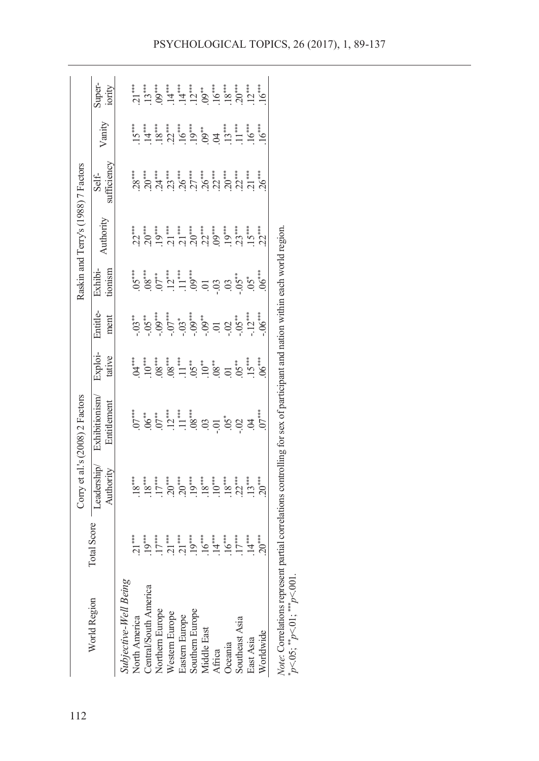|                                     | Super-<br>iority             | $12***$<br>$16***$<br>$21***$                                                                                                                                                                                                                                                                                                                                                                                                                                                                               |
|-------------------------------------|------------------------------|-------------------------------------------------------------------------------------------------------------------------------------------------------------------------------------------------------------------------------------------------------------------------------------------------------------------------------------------------------------------------------------------------------------------------------------------------------------------------------------------------------------|
|                                     | Vanity                       | $\frac{1}{2} \sum_{i=1}^{n} \frac{1}{2} \sum_{i=1}^{n} \frac{1}{2} \sum_{i=1}^{n} \frac{1}{2} \sum_{i=1}^{n} \frac{1}{2} \sum_{i=1}^{n} \frac{1}{2} \sum_{i=1}^{n} \frac{1}{2} \sum_{i=1}^{n} \frac{1}{2} \sum_{i=1}^{n} \frac{1}{2} \sum_{i=1}^{n} \frac{1}{2} \sum_{i=1}^{n} \frac{1}{2} \sum_{i=1}^{n} \frac{1}{2} \sum_{i=1}^{n} \frac{1}{2} \sum_{i=1}^{n$<br>$13***$<br>$11***$<br>$16***$<br>$16***$                                                                                                 |
|                                     | sufficiency<br>Self-         |                                                                                                                                                                                                                                                                                                                                                                                                                                                                                                             |
| Raskin and Terry's (1988) 7 Factors | Authority                    | $22***$                                                                                                                                                                                                                                                                                                                                                                                                                                                                                                     |
|                                     | tionism<br>Exhibi-           | $06***$                                                                                                                                                                                                                                                                                                                                                                                                                                                                                                     |
|                                     | Entitle-<br>ment             | $-0.5$<br>$-0.5$<br>$-0.5$<br>$-0.5$<br>$-0.5$<br>$-0.5$<br>$-0.5$<br>$-0.5$<br>$-0.5$<br>$-0.5$<br>$-0.5$<br>$-0.5$<br>$-0.5$<br>$06***$                                                                                                                                                                                                                                                                                                                                                                   |
|                                     | Exploi-<br>tative            | $06***$<br>$\mathcal{A}^{***}$                                                                                                                                                                                                                                                                                                                                                                                                                                                                              |
| Corry et al.'s (2008) 2 Factors     | Exhibitionism<br>Entitlement | $5.6\overset{}{\circ}5.7\overset{}{\circ}5.7\overset{}{\circ}5.8\overset{}{\circ}5.8\overset{}{\circ}5.8\overset{}{\circ}5.8\overset{}{\circ}5.8\overset{}{\circ}5.8\overset{}{\circ}5.8\overset{}{\circ}5.8\overset{}{\circ}5.8\overset{}{\circ}5.8\overset{}{\circ}5.8\overset{}{\circ}5.8\overset{}{\circ}5.8\overset{}{\circ}5.8\overset{}{\circ}5.8\overset{}{\circ}5.8\$<br>$07***$                                                                                                                   |
|                                     | Leadership<br>Authority      | $\begin{array}{c} 18 \overline{)11} \\ 18 \overline{)11} \\ 11 \overline{)11} \\ 13 \overline{)11} \\ 11 \overline{)11} \\ 13 \overline{)11} \\ 11 \overline{)11} \\ 19 \overline{)11} \\ 11 \overline{)11} \\ 12 \overline{)11} \\ 13 \overline{)11} \\ 14 \overline{)11} \\ 15 \overline{)11} \\ 16 \overline{)11} \\ 17 \overline{)11} \\ 19 \overline{)11} \\ 19 \overline{)11} \\ 19 \overline{)1$<br>$18***$<br>22***<br>$13***$<br>$\begin{array}{c} 18^{***} \\ 10^{***} \end{array}$<br>$20^{***}$ |
|                                     | <b>Total Score</b>           | $19***$<br>$.19***$<br>$14***$<br>$17***$<br>21***<br>$.16***$<br>$.16***$<br>$17***$<br>$14***$<br>$20***$<br>$21***$<br>$21***$                                                                                                                                                                                                                                                                                                                                                                           |
|                                     | World Region                 | <i>Note:</i> Correlations represent partial correlations controlling for sex of participant and nation within each world region $*_{p<05}$ , $*_{p<01}$ , $*_{p<001}$ .<br>Subjective-Well Being<br>Central/South America<br>Northern Europe<br>Southern Europe<br>Western Europe<br>North America<br>Eastern Europe<br>Southeast Asia<br>Middle East<br>Worldwide<br>East Asia<br>Oceania<br>Africa                                                                                                        |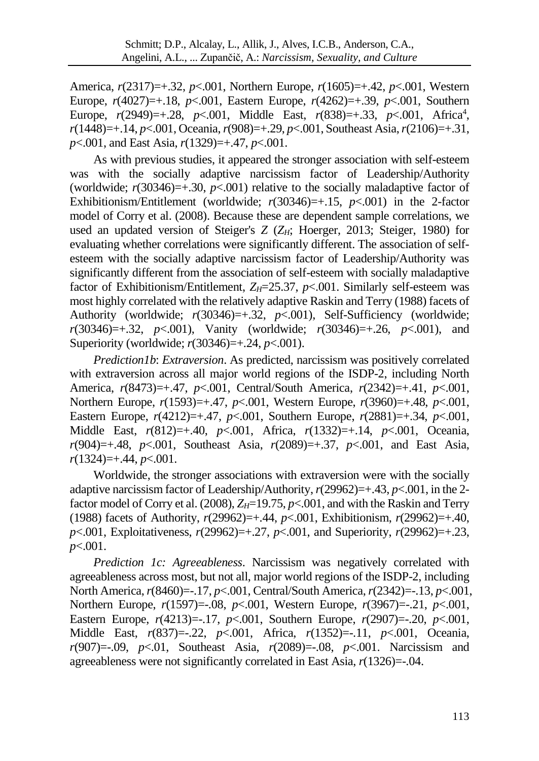America, *r*(2317)=+.32, *p*<.001, Northern Europe, *r*(1605)=+.42, *p*<.001, Western Europe, *r*(4027)=+.18, *p*<.001, Eastern Europe, *r*(4262)=+.39, *p*<.001, Southern Europe,  $r(2949)=+0.28$ ,  $p<.001$ , Middle East,  $r(838)=+0.33$ ,  $p<.001$ , Africa<sup>4</sup>, *r*(1448)=+.14, *p*<.001, Oceania, *r*(908)=+.29, *p*<.001, Southeast Asia, *r*(2106)=+.31, *p*<.001, and East Asia, *r*(1329)=+.47, *p*<.001.

As with previous studies, it appeared the stronger association with self-esteem was with the socially adaptive narcissism factor of Leadership/Authority (worldwide;  $r(30346)=+0.30$ ,  $p<.001$ ) relative to the socially maladaptive factor of Exhibitionism/Entitlement (worldwide;  $r(30346)=+0.15$ ,  $p<.001$ ) in the 2-factor model of Corry et al. (2008). Because these are dependent sample correlations, we used an updated version of Steiger's *Z* ( $Z_H$ ; Hoerger, 2013; Steiger, 1980) for evaluating whether correlations were significantly different. The association of selfesteem with the socially adaptive narcissism factor of Leadership/Authority was significantly different from the association of self-esteem with socially maladaptive factor of Exhibitionism/Entitlement,  $Z_H = 25.37$ ,  $p < .001$ . Similarly self-esteem was most highly correlated with the relatively adaptive Raskin and Terry (1988) facets of Authority (worldwide; *r*(30346)=+.32, *p*<.001), Self-Sufficiency (worldwide; *r*(30346)=+.32, *p*<.001), Vanity (worldwide; *r*(30346)=+.26, *p*<.001), and Superiority (worldwide; *r*(30346)=+.24, *p*<.001).

*Prediction1b*: *Extraversion*. As predicted, narcissism was positively correlated with extraversion across all major world regions of the ISDP-2, including North America, *r*(8473)=+.47, *p*<.001, Central/South America, *r*(2342)=+.41, *p*<.001, Northern Europe, *r*(1593)=+.47, *p*<.001, Western Europe, *r*(3960)=+.48, *p*<.001, Eastern Europe, *r*(4212)=+.47, *p*<.001, Southern Europe, *r*(2881)=+.34, *p*<.001, Middle East, *r*(812)=+.40, *p*<.001, Africa, *r*(1332)=+.14, *p*<.001, Oceania, *r*(904)=+.48, *p*<.001, Southeast Asia, *r*(2089)=+.37, *p*<.001, and East Asia, *r*(1324)=+.44, *p*<.001.

Worldwide, the stronger associations with extraversion were with the socially adaptive narcissism factor of Leadership/Authority, *r*(29962)=+.43, *p*<.001, in the 2 factor model of Corry et al. (2008),  $Z_H$ =19.75,  $p$ <.001, and with the Raskin and Terry (1988) facets of Authority, *r*(29962)=+.44, *p*<.001, Exhibitionism, *r*(29962)=+.40, *p*<.001, Exploitativeness, *r*(29962)=+.27, *p*<.001, and Superiority, *r*(29962)=+.23, *p*<.001.

*Prediction 1c: Agreeableness*. Narcissism was negatively correlated with agreeableness across most, but not all, major world regions of the ISDP-2, including North America, *r*(8460)=-.17, *p*<.001, Central/South America, *r*(2342)=-.13, *p*<.001, Northern Europe, *r*(1597)=-.08, *p*<.001, Western Europe, *r*(3967)=-.21, *p*<.001, Eastern Europe, *r*(4213)=-.17, *p*<.001, Southern Europe, *r*(2907)=-.20, *p*<.001, Middle East, *r*(837)=-.22, *p*<.001, Africa, *r*(1352)=-.11, *p*<.001, Oceania, *r*(907)=-.09, *p*<.01, Southeast Asia, *r*(2089)=-.08, *p*<.001. Narcissism and agreeableness were not significantly correlated in East Asia, *r*(1326)=-.04.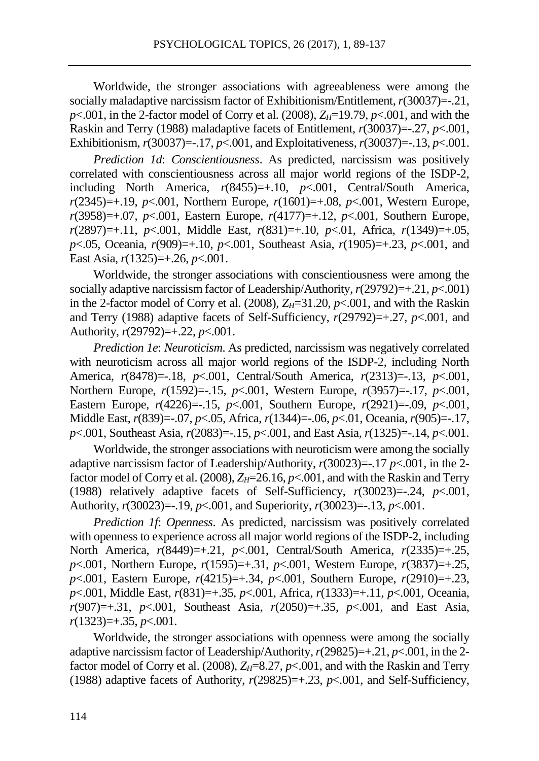Worldwide, the stronger associations with agreeableness were among the socially maladaptive narcissism factor of Exhibitionism/Entitlement, *r*(30037)=-.21,  $p$ <.001, in the 2-factor model of Corry et al. (2008),  $Z_H$ =19.79,  $p$ <.001, and with the Raskin and Terry (1988) maladaptive facets of Entitlement, *r*(30037)=-.27, *p*<.001, Exhibitionism, *r*(30037)=-.17, *p*<.001, and Exploitativeness, *r*(30037)=-.13, *p*<.001.

*Prediction 1d*: *Conscientiousness*. As predicted, narcissism was positively correlated with conscientiousness across all major world regions of the ISDP-2, including North America, *r*(8455)=+.10, *p*<.001, Central/South America, *r*(2345)=+.19, *p*<.001, Northern Europe, *r*(1601)=+.08, *p*<.001, Western Europe, *r*(3958)=+.07, *p*<.001, Eastern Europe, *r*(4177)=+.12, *p*<.001, Southern Europe, *r*(2897)=+.11, *p*<.001, Middle East, *r*(831)=+.10, *p*<.01, Africa, *r*(1349)=+.05, *p*<.05, Oceania, *r*(909)=+.10, *p*<.001, Southeast Asia, *r*(1905)=+.23, *p*<.001, and East Asia, *r*(1325)=+.26, *p*<.001.

Worldwide, the stronger associations with conscientiousness were among the socially adaptive narcissism factor of Leadership/Authority, *r*(29792)=+.21, *p*<.001) in the 2-factor model of Corry et al. (2008),  $Z_H=31.20$ ,  $p<.001$ , and with the Raskin and Terry (1988) adaptive facets of Self-Sufficiency,  $r(29792)=+0.27$ ,  $p<0.01$ , and Authority, *r*(29792)=+.22, *p*<.001.

*Prediction 1e*: *Neuroticism*. As predicted, narcissism was negatively correlated with neuroticism across all major world regions of the ISDP-2, including North America, *r*(8478)=-.18, *p*<.001, Central/South America, *r*(2313)=-.13, *p*<.001, Northern Europe, *r*(1592)=-.15, *p*<.001, Western Europe, *r*(3957)=-.17, *p*<.001, Eastern Europe, *r*(4226)=-.15, *p*<.001, Southern Europe, *r*(2921)=-.09, *p*<.001, Middle East, *r*(839)=-.07, *p*<.05, Africa, *r*(1344)=-.06, *p*<.01, Oceania, *r*(905)=-.17, *p*<.001, Southeast Asia, *r*(2083)=-.15, *p*<.001, and East Asia, *r*(1325)=-.14, *p*<.001.

Worldwide, the stronger associations with neuroticism were among the socially adaptive narcissism factor of Leadership/Authority, *r*(30023)=-.17 *p*<.001, in the 2 factor model of Corry et al. (2008),  $Z_H$ =26.16,  $p$ <.001, and with the Raskin and Terry (1988) relatively adaptive facets of Self-Sufficiency,  $r(30023) = -24$ ,  $p < .001$ , Authority, *r*(30023)=-.19, *p*<.001, and Superiority, *r*(30023)=-.13, *p*<.001.

*Prediction 1f*: *Openness*. As predicted, narcissism was positively correlated with openness to experience across all major world regions of the ISDP-2, including North America, *r*(8449)=+.21, *p*<.001, Central/South America, *r*(2335)=+.25, *p*<.001, Northern Europe, *r*(1595)=+.31, *p*<.001, Western Europe, *r*(3837)=+.25, *p*<.001, Eastern Europe, *r*(4215)=+.34, *p*<.001, Southern Europe, *r*(2910)=+.23, *p*<.001, Middle East, *r*(831)=+.35, *p*<.001, Africa, *r*(1333)=+.11, *p*<.001, Oceania, *r*(907)=+.31, *p*<.001, Southeast Asia, *r*(2050)=+.35, *p*<.001, and East Asia, *r*(1323)=+.35, *p*<.001.

Worldwide, the stronger associations with openness were among the socially adaptive narcissism factor of Leadership/Authority, *r*(29825)=+.21, *p*<.001, in the 2 factor model of Corry et al. (2008),  $Z_H=8.27$ ,  $p<.001$ , and with the Raskin and Terry (1988) adaptive facets of Authority,  $r(29825)=+0.23$ ,  $p<0.001$ , and Self-Sufficiency,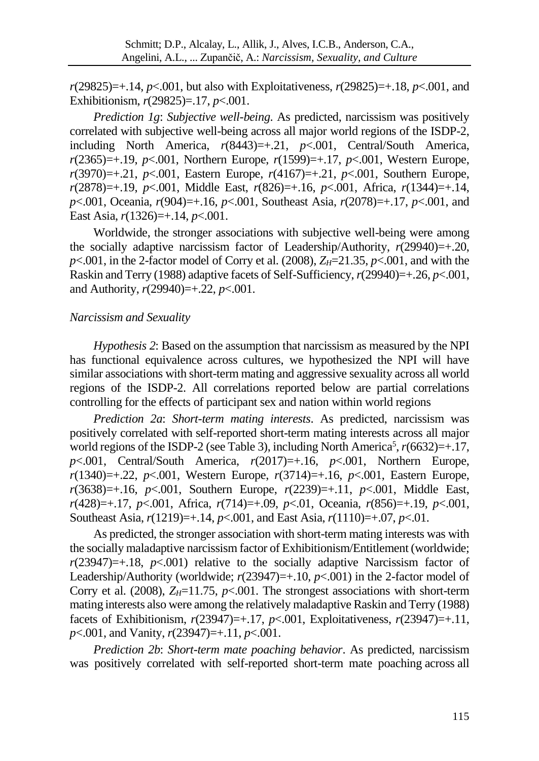*r*(29825)=+.14, *p*<.001, but also with Exploitativeness, *r*(29825)=+.18, *p*<.001, and Exhibitionism, *r*(29825)=.17, *p*<.001.

*Prediction 1g*: *Subjective well-being*. As predicted, narcissism was positively correlated with subjective well-being across all major world regions of the ISDP-2, including North America, *r*(8443)=+.21, *p*<.001, Central/South America, *r*(2365)=+.19, *p*<.001, Northern Europe, *r*(1599)=+.17, *p*<.001, Western Europe, *r*(3970)=+.21, *p*<.001, Eastern Europe, *r*(4167)=+.21, *p*<.001, Southern Europe, *r*(2878)=+.19, *p*<.001, Middle East, *r*(826)=+.16, *p*<.001, Africa, *r*(1344)=+.14, *p*<.001, Oceania, *r*(904)=+.16, *p*<.001, Southeast Asia, *r*(2078)=+.17, *p*<.001, and East Asia, *r*(1326)=+.14, *p*<.001.

Worldwide, the stronger associations with subjective well-being were among the socially adaptive narcissism factor of Leadership/Authority,  $r(29940)=+0.20$ ,  $p$ <.001, in the 2-factor model of Corry et al. (2008),  $Z_H$ =21.35,  $p$ <.001, and with the Raskin and Terry (1988) adaptive facets of Self-Sufficiency, *r*(29940)=+.26, *p*<.001, and Authority, *r*(29940)=+.22, *p*<.001.

#### *Narcissism and Sexuality*

*Hypothesis 2*: Based on the assumption that narcissism as measured by the NPI has functional equivalence across cultures, we hypothesized the NPI will have similar associations with short-term mating and aggressive sexuality across all world regions of the ISDP-2. All correlations reported below are partial correlations controlling for the effects of participant sex and nation within world regions

*Prediction 2a*: *Short-term mating interests*. As predicted, narcissism was positively correlated with self-reported short-term mating interests across all major world regions of the ISDP-2 (see Table 3), including North America<sup>5</sup>,  $r(6632)=+17$ , *p*<.001, Central/South America, *r*(2017)=+.16, *p*<.001, Northern Europe, *r*(1340)=+.22, *p*<.001, Western Europe, *r*(3714)=+.16, *p*<.001, Eastern Europe, *r*(3638)=+.16, *p*<.001, Southern Europe, *r*(2239)=+.11, *p*<.001, Middle East, *r*(428)=+.17, *p*<.001, Africa, *r*(714)=+.09, *p*<.01, Oceania, *r*(856)=+.19, *p*<.001, Southeast Asia, *r*(1219)=+.14, *p*<.001, and East Asia, *r*(1110)=+.07, *p*<.01.

As predicted, the stronger association with short-term mating interests was with the socially maladaptive narcissism factor of Exhibitionism/Entitlement (worldwide;  $r(23947)=+18$ ,  $p<0.001$ ) relative to the socially adaptive Narcissism factor of Leadership/Authority (worldwide;  $r(23947)=+10$ ,  $p<-1001$ ) in the 2-factor model of Corry et al. (2008),  $Z_H$ =11.75,  $p$ <.001. The strongest associations with short-term mating interests also were among the relatively maladaptive Raskin and Terry (1988) facets of Exhibitionism, *r*(23947)=+.17, *p*<.001, Exploitativeness, *r*(23947)=+.11, *p*<.001, and Vanity, *r*(23947)=+.11, *p*<.001.

*Prediction 2b*: *Short-term mate poaching behavior*. As predicted, narcissism was positively correlated with self-reported short-term mate poaching across all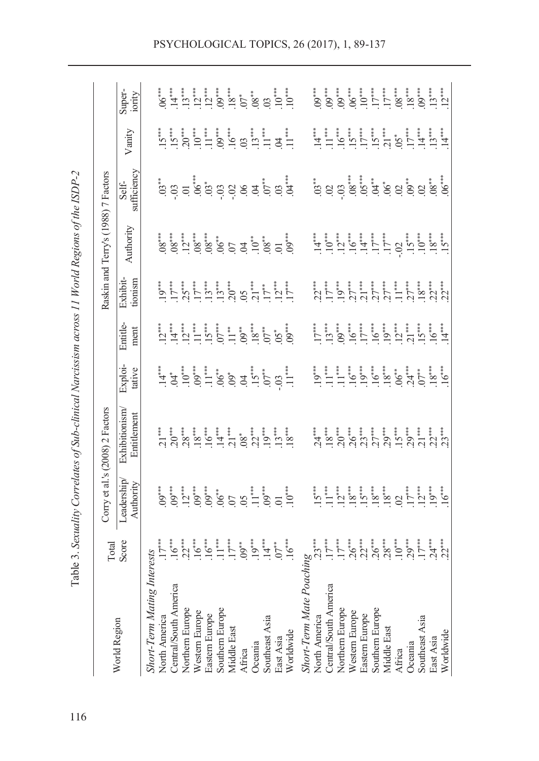| Skort-Term Mating Interests<br>$\frac{17^{***}}{17^{***}}$<br>North America<br>$\frac{17^{***}}{16^{***}}$<br>$\frac{1}{16^{***}}$<br>$\frac{1}{16^{***}}$<br>$\frac{1}{16^{***}}$<br>$\frac{1}{16^{***}}$<br>$\frac{1}{16^{***}}$<br>$\frac{1}{16^{***}}$<br>$\frac{1}{16^{***}}$<br>$\frac{1}{16^{***}}$<br>$\frac{1}{16^{***}}$<br>$\frac{1}{16^{***}}$<br>                      | Corry et al.'s (2008) 2 Factors |                                                                                                                                                                                                                                                                                                                                                                                                                                                                |                  |                     | Raskin and Terry's (1988) 7 Factors |                                                                                                                                                                                                                                                                                                                                                                                                                                        |        |                  |
|-------------------------------------------------------------------------------------------------------------------------------------------------------------------------------------------------------------------------------------------------------------------------------------------------------------------------------------------------------------------------------------|---------------------------------|----------------------------------------------------------------------------------------------------------------------------------------------------------------------------------------------------------------------------------------------------------------------------------------------------------------------------------------------------------------------------------------------------------------------------------------------------------------|------------------|---------------------|-------------------------------------|----------------------------------------------------------------------------------------------------------------------------------------------------------------------------------------------------------------------------------------------------------------------------------------------------------------------------------------------------------------------------------------------------------------------------------------|--------|------------------|
|                                                                                                                                                                                                                                                                                                                                                                                     | Exhibitionism<br>Entitlement    | Exploi-<br>tative                                                                                                                                                                                                                                                                                                                                                                                                                                              | Entitle-<br>ment | Exhibit-<br>tionism | Authority                           | Self-<br>sufficiency                                                                                                                                                                                                                                                                                                                                                                                                                   | Vanity | Super-<br>iority |
|                                                                                                                                                                                                                                                                                                                                                                                     |                                 |                                                                                                                                                                                                                                                                                                                                                                                                                                                                |                  |                     |                                     |                                                                                                                                                                                                                                                                                                                                                                                                                                        |        |                  |
|                                                                                                                                                                                                                                                                                                                                                                                     |                                 |                                                                                                                                                                                                                                                                                                                                                                                                                                                                |                  |                     |                                     |                                                                                                                                                                                                                                                                                                                                                                                                                                        |        |                  |
|                                                                                                                                                                                                                                                                                                                                                                                     |                                 |                                                                                                                                                                                                                                                                                                                                                                                                                                                                |                  |                     |                                     |                                                                                                                                                                                                                                                                                                                                                                                                                                        |        |                  |
|                                                                                                                                                                                                                                                                                                                                                                                     |                                 |                                                                                                                                                                                                                                                                                                                                                                                                                                                                |                  |                     |                                     |                                                                                                                                                                                                                                                                                                                                                                                                                                        |        |                  |
|                                                                                                                                                                                                                                                                                                                                                                                     |                                 |                                                                                                                                                                                                                                                                                                                                                                                                                                                                |                  |                     |                                     |                                                                                                                                                                                                                                                                                                                                                                                                                                        |        |                  |
|                                                                                                                                                                                                                                                                                                                                                                                     |                                 |                                                                                                                                                                                                                                                                                                                                                                                                                                                                |                  |                     |                                     |                                                                                                                                                                                                                                                                                                                                                                                                                                        |        |                  |
|                                                                                                                                                                                                                                                                                                                                                                                     |                                 |                                                                                                                                                                                                                                                                                                                                                                                                                                                                |                  |                     |                                     |                                                                                                                                                                                                                                                                                                                                                                                                                                        |        |                  |
|                                                                                                                                                                                                                                                                                                                                                                                     |                                 |                                                                                                                                                                                                                                                                                                                                                                                                                                                                |                  |                     |                                     |                                                                                                                                                                                                                                                                                                                                                                                                                                        |        |                  |
|                                                                                                                                                                                                                                                                                                                                                                                     |                                 |                                                                                                                                                                                                                                                                                                                                                                                                                                                                |                  |                     |                                     |                                                                                                                                                                                                                                                                                                                                                                                                                                        |        |                  |
|                                                                                                                                                                                                                                                                                                                                                                                     |                                 |                                                                                                                                                                                                                                                                                                                                                                                                                                                                |                  |                     |                                     |                                                                                                                                                                                                                                                                                                                                                                                                                                        |        |                  |
|                                                                                                                                                                                                                                                                                                                                                                                     |                                 |                                                                                                                                                                                                                                                                                                                                                                                                                                                                |                  |                     |                                     |                                                                                                                                                                                                                                                                                                                                                                                                                                        |        |                  |
|                                                                                                                                                                                                                                                                                                                                                                                     |                                 |                                                                                                                                                                                                                                                                                                                                                                                                                                                                |                  |                     |                                     |                                                                                                                                                                                                                                                                                                                                                                                                                                        |        |                  |
|                                                                                                                                                                                                                                                                                                                                                                                     |                                 | $\frac{1}{1} \underbrace{1}_{0} \underbrace{1}_{0} \underbrace{1}_{0} \underbrace{1}_{1} \underbrace{1}_{0} \underbrace{1}_{0} \underbrace{1}_{0} \underbrace{1}_{0} \underbrace{1}_{1} \underbrace{1}_{1} \underbrace{1}_{1} \underbrace{1}_{1} \underbrace{1}_{1} \underbrace{1}_{1} \underbrace{1}_{1} \underbrace{1}_{1} \underbrace{1}_{1} \underbrace{1}_{1}$                                                                                            |                  |                     |                                     | $\begin{array}{l} \stackrel{*}{\sim} \\ \stackrel{.}{\sim} \stackrel{.}{\sim} \\ \stackrel{.}{\sim} \stackrel{.}{\sim} \\ \stackrel{.}{\sim} \stackrel{.}{\sim} \stackrel{.}{\sim} \stackrel{.}{\sim} \\ \stackrel{.}{\sim} \stackrel{.}{\sim} \stackrel{.}{\sim} \stackrel{.}{\sim} \stackrel{.}{\sim} \stackrel{.}{\sim} \stackrel{.}{\sim} \stackrel{.}{\sim} \stackrel{.}{\sim} \stackrel{.}{\sim} \stackrel{.}{\sim} \end{array}$ |        |                  |
| $\lim_{\substack{r=1,2\\r\neq 1\\r\neq 2}} \lim_{\substack{r=1,2\\r=1,2\\r\neq 1\\r\neq 2}} \lim_{\substack{r=1,2\\r=1,2\\r\neq 1\\r\neq 2}} \lim_{\substack{r=1,2\\r=1,2\\r\neq 1\\r\neq 2}} \lim_{\substack{r=1,2\\r\neq 1\\r\neq 2}} \lim_{\substack{r=1,2\\r\neq 1\\r\neq 2}} \lim_{\substack{r=1,2\\r\neq 1\\r\neq 1}} \lim_{\substack{r=1,2\\$<br><b>Short-Term Mate Poac</b> |                                 |                                                                                                                                                                                                                                                                                                                                                                                                                                                                |                  |                     |                                     |                                                                                                                                                                                                                                                                                                                                                                                                                                        |        |                  |
| North America                                                                                                                                                                                                                                                                                                                                                                       |                                 |                                                                                                                                                                                                                                                                                                                                                                                                                                                                |                  |                     |                                     |                                                                                                                                                                                                                                                                                                                                                                                                                                        |        |                  |
| Central/South America                                                                                                                                                                                                                                                                                                                                                               |                                 |                                                                                                                                                                                                                                                                                                                                                                                                                                                                |                  |                     |                                     |                                                                                                                                                                                                                                                                                                                                                                                                                                        |        |                  |
| Northern Europe                                                                                                                                                                                                                                                                                                                                                                     |                                 | $\underbrace{1}^{1} \overbrace{1}^{1} \overbrace{1}^{1} \overbrace{1}^{1} \overbrace{1}^{1} \overbrace{1}^{1} \overbrace{1}^{1} \overbrace{1}^{1} \overbrace{1}^{1} \overbrace{1}^{1} \overbrace{1}^{1} \overbrace{1}^{1} \overbrace{1}^{1} \overbrace{1}^{1} \overbrace{1}^{1} \overbrace{1}^{1} \overbrace{1}^{1} \overbrace{1}^{1} \overbrace{1}^{1} \overbrace{1}^{1} \overbrace{1}^{1} \overbrace{1}^{1} \overbrace{1}^{1} \overbrace{1}^{1} \overbrace{$ |                  |                     |                                     |                                                                                                                                                                                                                                                                                                                                                                                                                                        |        |                  |
| Western Europe                                                                                                                                                                                                                                                                                                                                                                      |                                 |                                                                                                                                                                                                                                                                                                                                                                                                                                                                |                  |                     |                                     |                                                                                                                                                                                                                                                                                                                                                                                                                                        |        |                  |
| Eastern Europe                                                                                                                                                                                                                                                                                                                                                                      |                                 |                                                                                                                                                                                                                                                                                                                                                                                                                                                                |                  |                     |                                     |                                                                                                                                                                                                                                                                                                                                                                                                                                        |        |                  |
| Southern Europe                                                                                                                                                                                                                                                                                                                                                                     |                                 |                                                                                                                                                                                                                                                                                                                                                                                                                                                                |                  |                     |                                     |                                                                                                                                                                                                                                                                                                                                                                                                                                        |        |                  |
| Middle East                                                                                                                                                                                                                                                                                                                                                                         |                                 |                                                                                                                                                                                                                                                                                                                                                                                                                                                                |                  |                     |                                     |                                                                                                                                                                                                                                                                                                                                                                                                                                        |        |                  |
| Africa                                                                                                                                                                                                                                                                                                                                                                              |                                 |                                                                                                                                                                                                                                                                                                                                                                                                                                                                |                  |                     |                                     |                                                                                                                                                                                                                                                                                                                                                                                                                                        |        |                  |
| Oceania                                                                                                                                                                                                                                                                                                                                                                             |                                 |                                                                                                                                                                                                                                                                                                                                                                                                                                                                |                  |                     |                                     |                                                                                                                                                                                                                                                                                                                                                                                                                                        |        |                  |
| Southeast Asia                                                                                                                                                                                                                                                                                                                                                                      |                                 |                                                                                                                                                                                                                                                                                                                                                                                                                                                                |                  |                     |                                     |                                                                                                                                                                                                                                                                                                                                                                                                                                        |        |                  |
| East Asia                                                                                                                                                                                                                                                                                                                                                                           |                                 |                                                                                                                                                                                                                                                                                                                                                                                                                                                                |                  |                     |                                     |                                                                                                                                                                                                                                                                                                                                                                                                                                        |        |                  |
| Worldwide                                                                                                                                                                                                                                                                                                                                                                           |                                 |                                                                                                                                                                                                                                                                                                                                                                                                                                                                |                  |                     |                                     |                                                                                                                                                                                                                                                                                                                                                                                                                                        |        |                  |

PSYCHOLOGICAL TOPICS, 26 (2017), 1, 89-137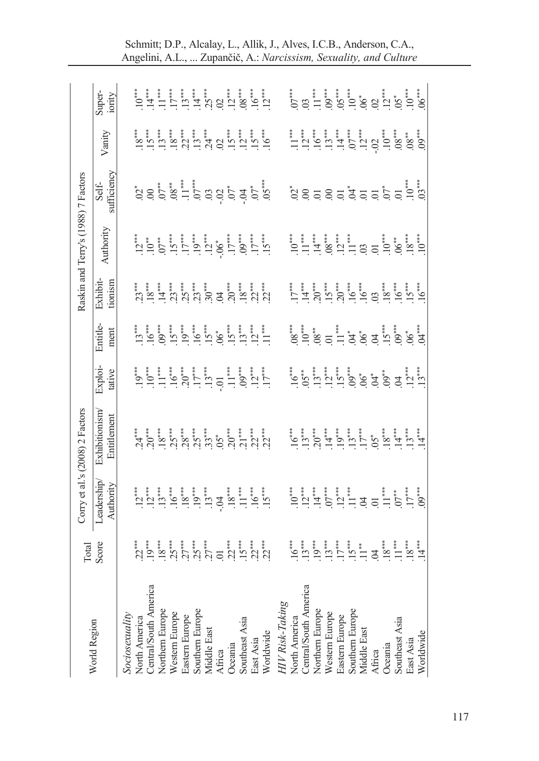|                                        |                |                         | Corry et al.'s (2008) 2 Factors |                   |                  |                     | Raskin and Terry's (1988) 7 Factors |                                               |        |                  |
|----------------------------------------|----------------|-------------------------|---------------------------------|-------------------|------------------|---------------------|-------------------------------------|-----------------------------------------------|--------|------------------|
| World Region                           | Total<br>Score | Leadership<br>Authority | Exhibitionism<br>Entitlement    | Exploi-<br>tative | Entitle-<br>ment | Exhibit-<br>tionism | Authority                           | Self-<br>sufficiency                          | Vanity | Super-<br>iority |
| Sociosexuality<br>North America        |                |                         |                                 |                   |                  |                     |                                     |                                               |        |                  |
| Central/South America                  |                |                         |                                 |                   |                  |                     |                                     |                                               |        |                  |
| Northern Europe                        |                |                         |                                 |                   |                  |                     |                                     |                                               |        |                  |
| Western Europe                         |                |                         |                                 |                   |                  |                     |                                     |                                               |        |                  |
| Eastern Europe                         |                |                         |                                 |                   |                  |                     |                                     |                                               |        |                  |
| Southern Europe<br>Middle East         |                |                         |                                 |                   |                  |                     |                                     | a s b a l b a d b a b a c a s d a d b d a d a |        |                  |
|                                        |                |                         |                                 |                   |                  |                     |                                     |                                               |        |                  |
| Africa<br>Oceania                      |                |                         |                                 |                   |                  |                     |                                     |                                               |        |                  |
| Southeast Asia                         |                |                         |                                 |                   |                  |                     |                                     |                                               |        |                  |
| East Asia<br>Worldwide                 |                |                         |                                 |                   |                  |                     |                                     |                                               |        |                  |
|                                        |                |                         |                                 |                   |                  |                     |                                     |                                               |        |                  |
| HIV Risk-Taking                        |                |                         |                                 |                   |                  |                     |                                     |                                               |        |                  |
| North America<br>Central/South America |                |                         |                                 |                   |                  |                     |                                     |                                               |        |                  |
|                                        |                |                         |                                 |                   |                  |                     |                                     |                                               |        |                  |
| Northern Europe                        |                |                         |                                 |                   |                  |                     |                                     |                                               |        |                  |
| Western Europe                         |                |                         |                                 |                   |                  |                     |                                     |                                               |        |                  |
| Eastern Europe                         |                |                         |                                 |                   |                  |                     |                                     |                                               |        |                  |
| Southern Europe<br>Middle East         |                |                         |                                 |                   |                  |                     |                                     |                                               |        |                  |
|                                        |                |                         |                                 |                   |                  |                     |                                     |                                               |        |                  |
|                                        |                |                         |                                 |                   |                  |                     |                                     |                                               |        |                  |
| Africa<br>Oceania                      |                |                         |                                 |                   |                  |                     |                                     |                                               |        |                  |
| Southeast Asia                         |                |                         |                                 |                   |                  |                     |                                     |                                               |        |                  |
| East Asia                              |                |                         |                                 |                   |                  |                     |                                     |                                               |        |                  |
| Worldwide                              |                |                         |                                 |                   |                  |                     |                                     |                                               |        |                  |
|                                        |                |                         |                                 |                   |                  |                     |                                     |                                               |        |                  |
|                                        |                |                         |                                 |                   |                  |                     |                                     |                                               |        |                  |

Schmitt; D.P., Alcalay, L., Allik, J., Alves, I.C.B., Anderson, C.A., Angelini, A.L., ... Zupančič, A.: *Narcissism, Sexuality, and Culture*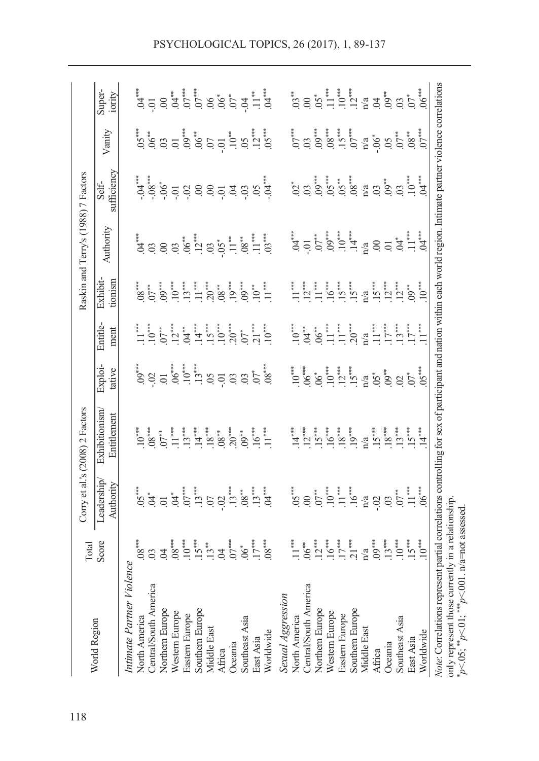|                                                                                                                                                                                                                                                                                                                                                                                                                                                                                                                                                                                                                                                                                                                                                                                                                             | Total                                                                                                                                                                                                                                                                                                                                                                                                                                                        |                                                                                                                                                                                                                                                                                                                                                                                                                                                                                                                                                                                                                                                                                                                                   | Corry et al.'s (2008) 2 Factors                                                                                                                                                                                                                                                                                                                                                                                     |                                                                                                                                                              |                                                                                                                                                                                                                                                                                                                                                                                                                                                                                                                           |                                                                                                                                                                                                                                                                                                                                                                                                                                                                                                                                                   | Raskin and Terry's (1988) 7 Factors                                                                                                                                                                                                                                                                                                                                                                                                                                                                                                 |                                                                                                                                                                                                                                                                                                                                           |                                                                                                                                                                                                                                                                                                                                                                   |                  |
|-----------------------------------------------------------------------------------------------------------------------------------------------------------------------------------------------------------------------------------------------------------------------------------------------------------------------------------------------------------------------------------------------------------------------------------------------------------------------------------------------------------------------------------------------------------------------------------------------------------------------------------------------------------------------------------------------------------------------------------------------------------------------------------------------------------------------------|--------------------------------------------------------------------------------------------------------------------------------------------------------------------------------------------------------------------------------------------------------------------------------------------------------------------------------------------------------------------------------------------------------------------------------------------------------------|-----------------------------------------------------------------------------------------------------------------------------------------------------------------------------------------------------------------------------------------------------------------------------------------------------------------------------------------------------------------------------------------------------------------------------------------------------------------------------------------------------------------------------------------------------------------------------------------------------------------------------------------------------------------------------------------------------------------------------------|---------------------------------------------------------------------------------------------------------------------------------------------------------------------------------------------------------------------------------------------------------------------------------------------------------------------------------------------------------------------------------------------------------------------|--------------------------------------------------------------------------------------------------------------------------------------------------------------|---------------------------------------------------------------------------------------------------------------------------------------------------------------------------------------------------------------------------------------------------------------------------------------------------------------------------------------------------------------------------------------------------------------------------------------------------------------------------------------------------------------------------|---------------------------------------------------------------------------------------------------------------------------------------------------------------------------------------------------------------------------------------------------------------------------------------------------------------------------------------------------------------------------------------------------------------------------------------------------------------------------------------------------------------------------------------------------|-------------------------------------------------------------------------------------------------------------------------------------------------------------------------------------------------------------------------------------------------------------------------------------------------------------------------------------------------------------------------------------------------------------------------------------------------------------------------------------------------------------------------------------|-------------------------------------------------------------------------------------------------------------------------------------------------------------------------------------------------------------------------------------------------------------------------------------------------------------------------------------------|-------------------------------------------------------------------------------------------------------------------------------------------------------------------------------------------------------------------------------------------------------------------------------------------------------------------------------------------------------------------|------------------|
| World Region                                                                                                                                                                                                                                                                                                                                                                                                                                                                                                                                                                                                                                                                                                                                                                                                                | Score                                                                                                                                                                                                                                                                                                                                                                                                                                                        | Leadership<br>Authority                                                                                                                                                                                                                                                                                                                                                                                                                                                                                                                                                                                                                                                                                                           | Exhibitionism<br>Entitlement                                                                                                                                                                                                                                                                                                                                                                                        | Exploi-<br>tative                                                                                                                                            | Entitle-<br>ment                                                                                                                                                                                                                                                                                                                                                                                                                                                                                                          | Exhibit-<br>tionism                                                                                                                                                                                                                                                                                                                                                                                                                                                                                                                               | Authority                                                                                                                                                                                                                                                                                                                                                                                                                                                                                                                           | sufficiency<br>Self-                                                                                                                                                                                                                                                                                                                      | Vanity                                                                                                                                                                                                                                                                                                                                                            | Super-<br>iority |
| Note: Correlations represent partial correlations controlling for sex of participant and nation within each world region. Intimate partner violence correlations<br>only represent those currently in a relationship ${}_{p}^{*}C_{p}S$ , ${}_{p}^{*}C_{p}S$ , ${}_{p}^{*}C_{p}S$ , ${}_{p}^{*}C_{p}S$ , ${}_{p}^{*}C_{p}S$ , ${}_{p}C_{p}S$ , $R_{p}S$ assessed.<br>Intimate Partner Violence<br>Central/South America<br>Central/South America<br>Sexual Aggression<br>Northern Europe<br>Southern Europe<br>Northern Europe<br>Southern Europe<br>Western Europe<br>Western Europe<br>Eastern Europe<br>Eastern Europe<br>Southeast Asia<br>North America<br>North America<br>Southeast Asia<br>Middle East<br>Middle East<br>Worldwide<br>Worldwide<br>East Asia<br>East Asia<br>Oceania<br>Oceania<br>Africa<br>Africa | $10***$<br>$.08***$<br>$\frac{15}{13}$<br>$\frac{3}{13}$<br>$\frac{3}{13}$<br>$\begin{array}{c} 06 \stackrel{**}{\longleftarrow} \\ 12 \stackrel{**}{\longleftarrow} \\ 15 \stackrel{**}{\longleftarrow} \\ 17 \stackrel{**}{\longleftarrow} \\ 21 \end{array}$<br>$n/a$<br>$.09***$<br>$.13***$<br>$10^{***}$<br>$15^{***}$<br>$.08***$<br>$07***$<br>$\begin{array}{c} 6 \ 8 \ 1 \end{array}$<br>$10^{***}$<br>$\mathbb{1}^*$<br>$\beta$<br>$\mathfrak{S}$ | $G \ddot{G} = \ddot{G} + \ddot{G} + \ddot{G} + \ddot{G} + \ddot{G} + \ddot{G} + \ddot{G} + \ddot{G} + \ddot{G} + \ddot{G} + \ddot{G} + \ddot{G} + \ddot{G} + \ddot{G} + \ddot{G} + \ddot{G} + \ddot{G} + \ddot{G} + \ddot{G} + \ddot{G} + \ddot{G} + \ddot{G} + \ddot{G} + \ddot{G} + \ddot{G} + \ddot{G} + \ddot{G} + \ddot{G} + \ddot{G} + \ddot{G} + \dd$<br>$65$<br>$\frac{3}{2}$<br>$\frac{1}{2}$<br>$\frac{1}{2}$<br>$\frac{1}{2}$<br>$\frac{1}{2}$<br>$\frac{1}{2}$<br>$\frac{1}{2}$<br>$\frac{1}{2}$<br>$\frac{1}{2}$<br>$\frac{1}{2}$<br>$\frac{1}{2}$<br>$\frac{1}{2}$<br>$\frac{1}{2}$<br>$\frac{1}{2}$<br>$\frac{1}{2}$<br>$\frac{1}{2}$<br>$\frac{1}{2}$<br>$\frac{1}{2}$<br>$\frac{1}{2}$<br>$\frac{1}{$<br>……<br>⊙ | $15***$<br>$\cdot$ 11<br>$\begin{array}{c} .13^{***}\\ .14^{***} \end{array}$<br>$18^{***}$<br>$.13***$<br>$.15***$<br>$18***$<br>$20***$<br>$\begin{array}{c} 16^{***} \\ 11^{***} \end{array}$<br>ייזה "ב<br>הים הי<br>$\begin{array}{c} 18^{***}\\ 19^{***}\\ \end{array}$<br>$14***$<br>$10^{***}$<br>$.08***$<br>$\stackrel{\ast}{\mathcal{A}}$<br>$07**$<br>$.08^{**}$<br>$.09***$<br>$\mathbf{n}/\mathbf{a}$ | $0^{\bullet\ast\ast}$<br>$0.02 \div 0.01^{\ast\ast}$<br>$0.04 \div 0.01^{\ast\ast}$<br>$0.04 \div 0.01^{\ast\ast}$<br>$0.04 \div 0.01^{\ast\ast}$<br>$05***$ | $\underbrace{5}_{\begin{array}{c} 1 \\ \vdots \\ 5 \\ \vdots \\ 5 \\ \end{array}} \vdots \quad \underbrace{1}_{\begin{array}{c} 2 \\ \vdots \\ 5 \\ \vdots \\ 5 \\ \end{array}} \vdots \quad \underbrace{1}_{\begin{array}{c} 2 \\ \vdots \\ 5 \\ \vdots \\ 5 \\ \end{array}} \vdots \quad \underbrace{1}_{\begin{array}{c} 1 \\ \vdots \\ 5 \\ \vdots \\ 5 \\ \end{array}} \vdots \quad \underbrace{1}_{\begin{array}{c} 1 \\ \vdots \\ 5 \\ \vdots \\ 5 \\ \end{array}}$<br>$13***$<br>$17***$<br>$11***$<br>$10^{***}$ | $\begin{array}{c} \mathbf{1} \\ \mathbf{1} \\ \mathbf{1} \\ \mathbf{1} \\ \mathbf{1} \\ \mathbf{1} \\ \mathbf{1} \\ \mathbf{1} \\ \mathbf{1} \\ \mathbf{1} \\ \mathbf{1} \\ \mathbf{1} \\ \mathbf{1} \\ \mathbf{1} \\ \mathbf{1} \\ \mathbf{1} \\ \mathbf{1} \\ \mathbf{1} \\ \mathbf{1} \\ \mathbf{1} \\ \mathbf{1} \\ \mathbf{1} \\ \mathbf{1} \\ \mathbf{1} \\ \mathbf{1} \\ \mathbf{1} \\ \mathbf{1} \\ \mathbf{1} \\ \mathbf{1} \\ \mathbf{1} \\ \mathbf$<br>$9^{***}_{00}$<br>$10^{**}_{01}$<br>$12***$<br>$11***$<br>$10^{***}$<br>$11***$ | $0.01$<br>$0.01$<br>$0.01$<br>$0.01$<br>$0.01$<br>$0.01$<br>$0.01$<br>$0.01$<br>$0.01$<br>$0.01$<br>$0.01$<br>$0.01$<br>$0.01$<br>$\begin{array}{ccccccccc}\n\ddot{a} & \ddot{a} & \dddot{a} & \dddot{a} & \dddot{a} & \dddot{a} & \dddot{a} & \dddot{a} & \dddot{a} & \dddot{a} & \dddot{a} & \dddot{a} & \dddot{a} & \dddot{a} & \dddot{a} & \dddot{a} & \dddot{a} & \dddot{a} & \dddot{a} & \dddot{a} & \dddot{a} & \dddot{a} & \dddot{a} & \dddot{a} & \dddot{a} & \dddot{a} & \dddot{a} & \dddot{a} & \dddot{a} & \dddot{a} &$ | $3^*$<br>$3^*$<br>$3^*$<br>$3^*$<br>$3^*$<br>$5^*$<br>$6^*$<br>$7^*$<br>$7^*$<br>$7^*$<br>$7^*$<br>$7^*$<br>$7^*$<br>$7^*$<br>$7^*$<br>$7^*$<br>$7^*$<br>$7^*$<br>$7^*$<br>$7^*$<br>$7^*$<br>$7^*$<br>$7^*$<br>$7^*$<br>$7^*$<br>$7^*$<br>$7^*$<br>$7^*$<br>$7^*$<br>$7^*$<br>$7^*$<br>$7^*$<br>$7^*$<br>$7^*$<br>$7^*$<br>$7^*$<br>$7^*$ | $S^* = \sum_{i=1}^{\infty} S^* \sum_{i=1}^{\infty} S^* \sum_{i=1}^{\infty} S^* \sum_{i=1}^{\infty} S^* \sum_{i=1}^{\infty} S^* \sum_{i=1}^{\infty} S^* \sum_{i=1}^{\infty} S^* \sum_{i=1}^{\infty} S^* \sum_{i=1}^{\infty} S^* \sum_{i=1}^{\infty} S^* \sum_{i=1}^{\infty} S^* \sum_{i=1}^{\infty} S^* \sum_{i=1}^{\infty} S^* \sum_{i=1}^{\infty} S^* \sum_{i=1$ |                  |
|                                                                                                                                                                                                                                                                                                                                                                                                                                                                                                                                                                                                                                                                                                                                                                                                                             |                                                                                                                                                                                                                                                                                                                                                                                                                                                              |                                                                                                                                                                                                                                                                                                                                                                                                                                                                                                                                                                                                                                                                                                                                   |                                                                                                                                                                                                                                                                                                                                                                                                                     |                                                                                                                                                              |                                                                                                                                                                                                                                                                                                                                                                                                                                                                                                                           |                                                                                                                                                                                                                                                                                                                                                                                                                                                                                                                                                   |                                                                                                                                                                                                                                                                                                                                                                                                                                                                                                                                     |                                                                                                                                                                                                                                                                                                                                           |                                                                                                                                                                                                                                                                                                                                                                   |                  |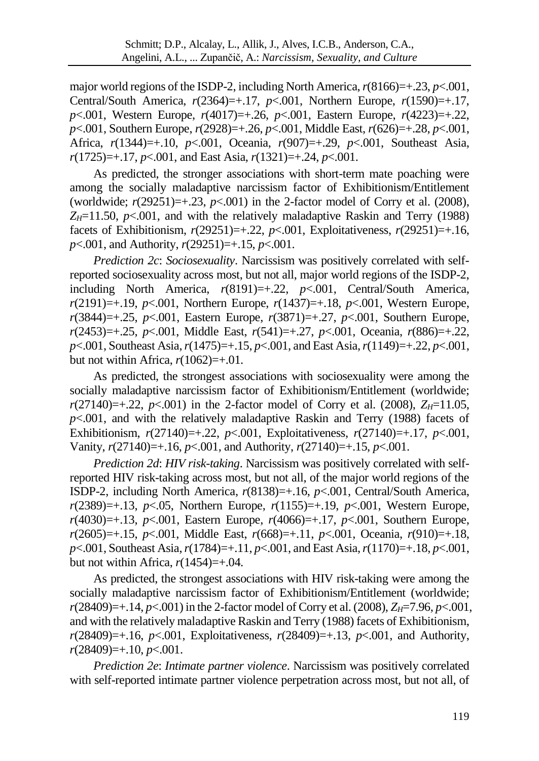major world regions of the ISDP-2, including North America,  $r(8166)=+0.23$ ,  $p<0.001$ , Central/South America, *r*(2364)=+.17, *p*<.001, Northern Europe, *r*(1590)=+.17, *p*<.001, Western Europe, *r*(4017)=+.26, *p*<.001, Eastern Europe, *r*(4223)=+.22, *p*<.001, Southern Europe, *r*(2928)=+.26, *p*<.001, Middle East, *r*(626)=+.28, *p*<.001, Africa, *r*(1344)=+.10, *p*<.001, Oceania, *r*(907)=+.29, *p*<.001, Southeast Asia, *r*(1725)=+.17, *p*<.001, and East Asia, *r*(1321)=+.24, *p*<.001.

As predicted, the stronger associations with short-term mate poaching were among the socially maladaptive narcissism factor of Exhibitionism/Entitlement (worldwide;  $r(29251)=+0.23$ ,  $p<-0.01$ ) in the 2-factor model of Corry et al. (2008),  $Z_H$ =11.50,  $p$ <.001, and with the relatively maladaptive Raskin and Terry (1988) facets of Exhibitionism, *r*(29251)=+.22, *p*<.001, Exploitativeness, *r*(29251)=+.16, *p*<.001, and Authority, *r*(29251)=+.15, *p*<.001.

*Prediction 2c*: *Sociosexuality*. Narcissism was positively correlated with selfreported sociosexuality across most, but not all, major world regions of the ISDP-2, including North America, *r*(8191)=+.22, *p*<.001, Central/South America, *r*(2191)=+.19, *p*<.001, Northern Europe, *r*(1437)=+.18, *p*<.001, Western Europe, *r*(3844)=+.25, *p*<.001, Eastern Europe, *r*(3871)=+.27, *p*<.001, Southern Europe, *r*(2453)=+.25, *p*<.001, Middle East, *r*(541)=+.27, *p*<.001, Oceania, *r*(886)=+.22, *p*<.001, Southeast Asia, *r*(1475)=+.15, *p*<.001, and East Asia, *r*(1149)=+.22, *p*<.001, but not within Africa,  $r(1062)=+.01$ .

As predicted, the strongest associations with sociosexuality were among the socially maladaptive narcissism factor of Exhibitionism/Entitlement (worldwide;  $r(27140)=+0.22$ ,  $p<0.001$ ) in the 2-factor model of Corry et al. (2008),  $Z_H=11.05$ ,  $p$ <.001, and with the relatively maladaptive Raskin and Terry (1988) facets of Exhibitionism, *r*(27140)=+.22, *p*<.001, Exploitativeness, *r*(27140)=+.17, *p*<.001, Vanity, *r*(27140)=+.16, *p*<.001, and Authority, *r*(27140)=+.15, *p*<.001.

*Prediction 2d*: *HIV risk-taking*. Narcissism was positively correlated with selfreported HIV risk-taking across most, but not all, of the major world regions of the ISDP-2, including North America, *r*(8138)=+.16, *p*<.001, Central/South America, *r*(2389)=+.13, *p*<.05, Northern Europe, *r*(1155)=+.19, *p*<.001, Western Europe, *r*(4030)=+.13, *p*<.001, Eastern Europe, *r*(4066)=+.17, *p*<.001, Southern Europe, *r*(2605)=+.15, *p*<.001, Middle East, *r*(668)=+.11, *p*<.001, Oceania, *r*(910)=+.18, *p*<.001, Southeast Asia, *r*(1784)=+.11, *p*<.001, and East Asia, *r*(1170)=+.18, *p*<.001, but not within Africa,  $r(1454)=+0.04$ .

As predicted, the strongest associations with HIV risk-taking were among the socially maladaptive narcissism factor of Exhibitionism/Entitlement (worldwide; *r*(28409)=+.14, *p*<.001) in the 2-factor model of Corry et al. (2008), *ZH*=7.96, *p*<.001, and with the relatively maladaptive Raskin and Terry (1988) facets of Exhibitionism,  $r(28409)=+16$ ,  $p<001$ , Exploitativeness,  $r(28409)=+13$ ,  $p<001$ , and Authority, *r*(28409)=+.10, *p*<.001.

*Prediction 2e*: *Intimate partner violence*. Narcissism was positively correlated with self-reported intimate partner violence perpetration across most, but not all, of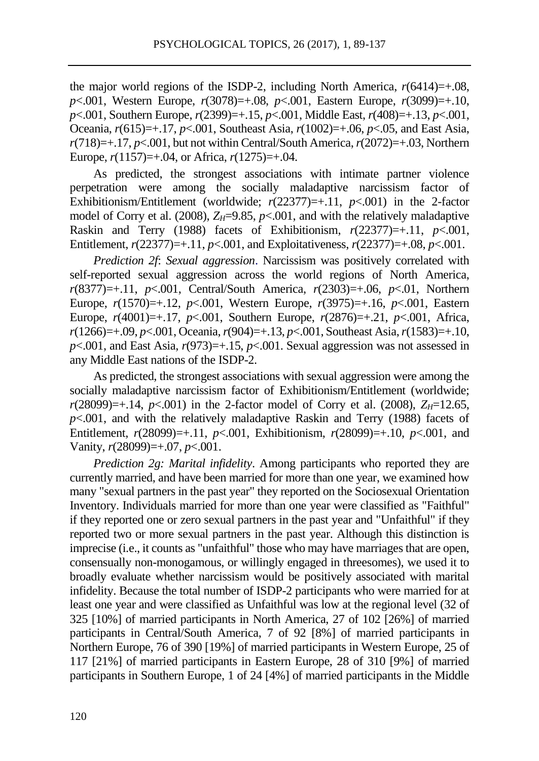the major world regions of the ISDP-2, including North America,  $r(6414)=+0.08$ , *p*<.001, Western Europe, *r*(3078)=+.08, *p*<.001, Eastern Europe, *r*(3099)=+.10, *p*<.001, Southern Europe, *r*(2399)=+.15, *p*<.001, Middle East, *r*(408)=+.13, *p*<.001, Oceania, *r*(615)=+.17, *p*<.001, Southeast Asia, *r*(1002)=+.06, *p*<.05, and East Asia,  $r(718)=+17$ ,  $p<.001$ , but not within Central/South America,  $r(2072)=+0.03$ , Northern Europe, *r*(1157)=+.04, or Africa, *r*(1275)=+.04.

As predicted, the strongest associations with intimate partner violence perpetration were among the socially maladaptive narcissism factor of Exhibitionism/Entitlement (worldwide;  $r(22377)=+0.11$ ,  $p<-0.01$ ) in the 2-factor model of Corry et al. (2008),  $Z_H=9.85$ ,  $p<0.001$ , and with the relatively maladaptive Raskin and Terry (1988) facets of Exhibitionism,  $r(22377)=+0.11$ ,  $p<0.001$ , Entitlement,  $r(22377)=+.11$ ,  $p<-001$ , and Exploitativeness,  $r(22377)=+.08$ ,  $p<-001$ .

*Prediction 2f*: *Sexual aggression*. Narcissism was positively correlated with self-reported sexual aggression across the world regions of North America, *r*(8377)=+.11, *p*<.001, Central/South America, *r*(2303)=+.06, *p*<.01, Northern Europe, *r*(1570)=+.12, *p*<.001, Western Europe, *r*(3975)=+.16, *p*<.001, Eastern Europe, *r*(4001)=+.17, *p*<.001, Southern Europe, *r*(2876)=+.21, *p*<.001, Africa, *r*(1266)=+.09, *p*<.001, Oceania, *r*(904)=+.13, *p*<.001, Southeast Asia, *r*(1583)=+.10,  $p \le 0.001$ , and East Asia,  $r(973)=+15$ ,  $p \le 0.001$ . Sexual aggression was not assessed in any Middle East nations of the ISDP-2.

As predicted, the strongest associations with sexual aggression were among the socially maladaptive narcissism factor of Exhibitionism/Entitlement (worldwide;  $r(28099)=+14$ ,  $p<.001$ ) in the 2-factor model of Corry et al. (2008),  $Z_H=12.65$ ,  $p$ <.001, and with the relatively maladaptive Raskin and Terry (1988) facets of Entitlement, *r*(28099)=+.11, *p*<.001, Exhibitionism, *r*(28099)=+.10, *p*<.001, and Vanity, *r*(28099)=+.07, *p*<.001.

*Prediction 2g: Marital infidelity*. Among participants who reported they are currently married, and have been married for more than one year, we examined how many "sexual partners in the past year" they reported on the Sociosexual Orientation Inventory. Individuals married for more than one year were classified as "Faithful" if they reported one or zero sexual partners in the past year and "Unfaithful" if they reported two or more sexual partners in the past year. Although this distinction is imprecise (i.e., it counts as "unfaithful" those who may have marriages that are open, consensually non-monogamous, or willingly engaged in threesomes), we used it to broadly evaluate whether narcissism would be positively associated with marital infidelity. Because the total number of ISDP-2 participants who were married for at least one year and were classified as Unfaithful was low at the regional level (32 of 325 [10%] of married participants in North America, 27 of 102 [26%] of married participants in Central/South America, 7 of 92 [8%] of married participants in Northern Europe, 76 of 390 [19%] of married participants in Western Europe, 25 of 117 [21%] of married participants in Eastern Europe, 28 of 310 [9%] of married participants in Southern Europe, 1 of 24 [4%] of married participants in the Middle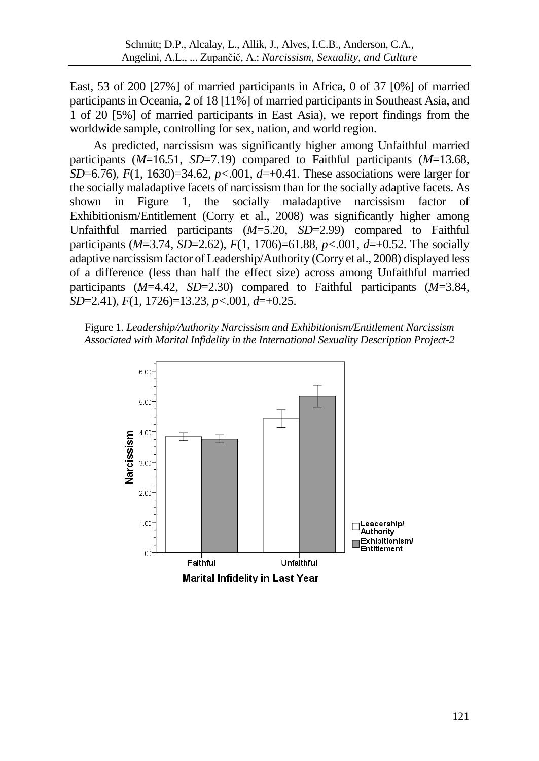East, 53 of 200 [27%] of married participants in Africa, 0 of 37 [0%] of married participants in Oceania, 2 of 18 [11%] of married participants in Southeast Asia, and 1 of 20 [5%] of married participants in East Asia), we report findings from the worldwide sample, controlling for sex, nation, and world region.

As predicted, narcissism was significantly higher among Unfaithful married participants (*M*=16.51, *SD*=7.19) compared to Faithful participants (*M*=13.68, *SD*=6.76), *F*(1, 1630)=34.62, *p<*.001, *d*=+0.41. These associations were larger for the socially maladaptive facets of narcissism than for the socially adaptive facets. As shown in Figure 1, the socially maladaptive narcissism factor of Exhibitionism/Entitlement (Corry et al., 2008) was significantly higher among Unfaithful married participants (*M*=5.20, *SD*=2.99) compared to Faithful participants (*M*=3.74, *SD*=2.62), *F*(1, 1706)=61.88, *p<*.001, *d*=+0.52. The socially adaptive narcissism factor of Leadership/Authority (Corry et al., 2008) displayed less of a difference (less than half the effect size) across among Unfaithful married participants (*M*=4.42, *SD*=2.30) compared to Faithful participants (*M*=3.84, *SD*=2.41), *F*(1, 1726)=13.23, *p<*.001, *d*=+0.25.



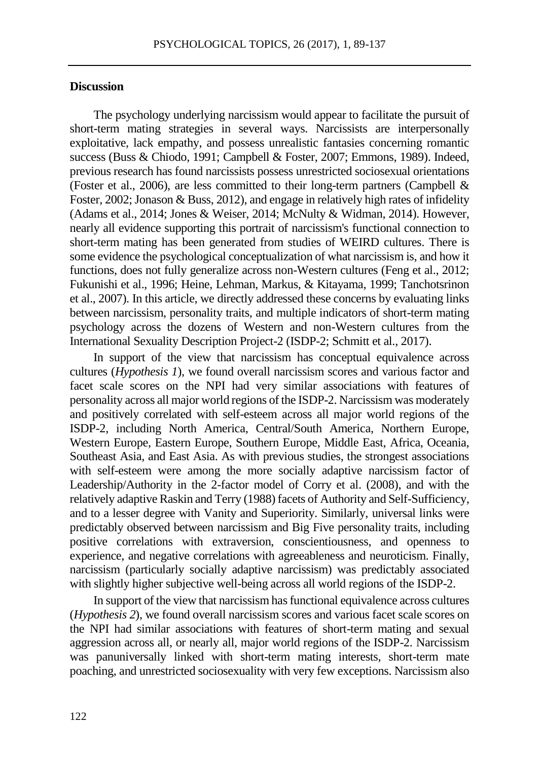#### **Discussion**

The psychology underlying narcissism would appear to facilitate the pursuit of short-term mating strategies in several ways. Narcissists are interpersonally exploitative, lack empathy, and possess unrealistic fantasies concerning romantic success (Buss & Chiodo, 1991; Campbell & Foster, 2007; Emmons, 1989). Indeed, previous research has found narcissists possess unrestricted sociosexual orientations (Foster et al., 2006), are less committed to their long-term partners (Campbell  $\&$ Foster, 2002; Jonason & Buss, 2012), and engage in relatively high rates of infidelity (Adams et al., 2014; Jones & Weiser, 2014; McNulty & Widman, 2014). However, nearly all evidence supporting this portrait of narcissism's functional connection to short-term mating has been generated from studies of WEIRD cultures. There is some evidence the psychological conceptualization of what narcissism is, and how it functions, does not fully generalize across non-Western cultures (Feng et al., 2012; Fukunishi et al., 1996; Heine, Lehman, Markus, & Kitayama, 1999; Tanchotsrinon et al., 2007). In this article, we directly addressed these concerns by evaluating links between narcissism, personality traits, and multiple indicators of short-term mating psychology across the dozens of Western and non-Western cultures from the International Sexuality Description Project-2 (ISDP-2; Schmitt et al., 2017).

In support of the view that narcissism has conceptual equivalence across cultures (*Hypothesis 1*), we found overall narcissism scores and various factor and facet scale scores on the NPI had very similar associations with features of personality across all major world regions of the ISDP-2. Narcissism was moderately and positively correlated with self-esteem across all major world regions of the ISDP-2, including North America, Central/South America, Northern Europe, Western Europe, Eastern Europe, Southern Europe, Middle East, Africa, Oceania, Southeast Asia, and East Asia. As with previous studies, the strongest associations with self-esteem were among the more socially adaptive narcissism factor of Leadership/Authority in the 2-factor model of Corry et al. (2008), and with the relatively adaptive Raskin and Terry (1988) facets of Authority and Self-Sufficiency, and to a lesser degree with Vanity and Superiority. Similarly, universal links were predictably observed between narcissism and Big Five personality traits, including positive correlations with extraversion, conscientiousness, and openness to experience, and negative correlations with agreeableness and neuroticism. Finally, narcissism (particularly socially adaptive narcissism) was predictably associated with slightly higher subjective well-being across all world regions of the ISDP-2.

In support of the view that narcissism has functional equivalence across cultures (*Hypothesis 2*), we found overall narcissism scores and various facet scale scores on the NPI had similar associations with features of short-term mating and sexual aggression across all, or nearly all, major world regions of the ISDP-2. Narcissism was panuniversally linked with short-term mating interests, short-term mate poaching, and unrestricted sociosexuality with very few exceptions. Narcissism also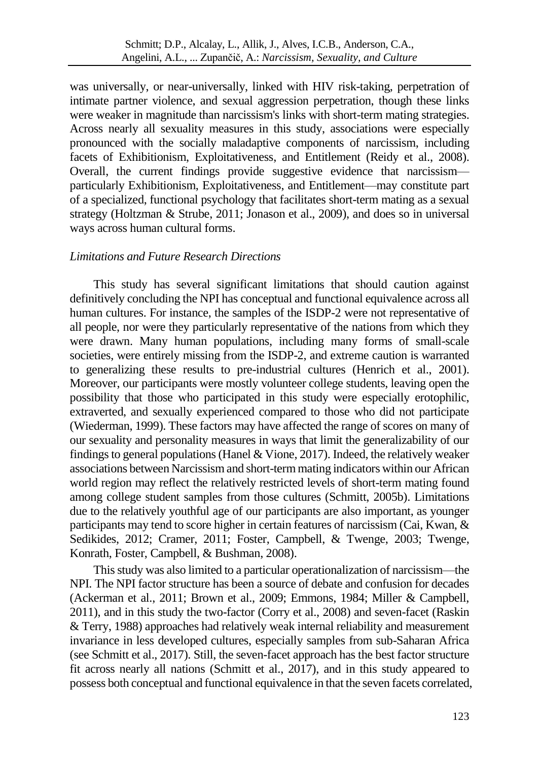was universally, or near-universally, linked with HIV risk-taking, perpetration of intimate partner violence, and sexual aggression perpetration, though these links were weaker in magnitude than narcissism's links with short-term mating strategies. Across nearly all sexuality measures in this study, associations were especially pronounced with the socially maladaptive components of narcissism, including facets of Exhibitionism, Exploitativeness, and Entitlement (Reidy et al., 2008). Overall, the current findings provide suggestive evidence that narcissism particularly Exhibitionism, Exploitativeness, and Entitlement—may constitute part of a specialized, functional psychology that facilitates short-term mating as a sexual strategy (Holtzman & Strube, 2011; Jonason et al., 2009), and does so in universal ways across human cultural forms.

#### *Limitations and Future Research Directions*

This study has several significant limitations that should caution against definitively concluding the NPI has conceptual and functional equivalence across all human cultures. For instance, the samples of the ISDP-2 were not representative of all people, nor were they particularly representative of the nations from which they were drawn. Many human populations, including many forms of small-scale societies, were entirely missing from the ISDP-2, and extreme caution is warranted to generalizing these results to pre-industrial cultures (Henrich et al., 2001). Moreover, our participants were mostly volunteer college students, leaving open the possibility that those who participated in this study were especially erotophilic, extraverted, and sexually experienced compared to those who did not participate (Wiederman, 1999). These factors may have affected the range of scores on many of our sexuality and personality measures in ways that limit the generalizability of our findings to general populations (Hanel  $&$  Vione, 2017). Indeed, the relatively weaker associations between Narcissism and short-term mating indicators within our African world region may reflect the relatively restricted levels of short-term mating found among college student samples from those cultures (Schmitt, 2005b). Limitations due to the relatively youthful age of our participants are also important, as younger participants may tend to score higher in certain features of narcissism (Cai, Kwan, & Sedikides, 2012; Cramer, 2011; Foster, Campbell, & Twenge, 2003; Twenge, Konrath, Foster, Campbell, & Bushman, 2008).

This study was also limited to a particular operationalization of narcissism—the NPI. The NPI factor structure has been a source of debate and confusion for decades (Ackerman et al., 2011; Brown et al., 2009; Emmons, 1984; Miller & Campbell, 2011), and in this study the two-factor (Corry et al., 2008) and seven-facet (Raskin & Terry, 1988) approaches had relatively weak internal reliability and measurement invariance in less developed cultures, especially samples from sub-Saharan Africa (see Schmitt et al., 2017). Still, the seven-facet approach has the best factor structure fit across nearly all nations (Schmitt et al., 2017), and in this study appeared to possess both conceptual and functional equivalence in that the seven facets correlated,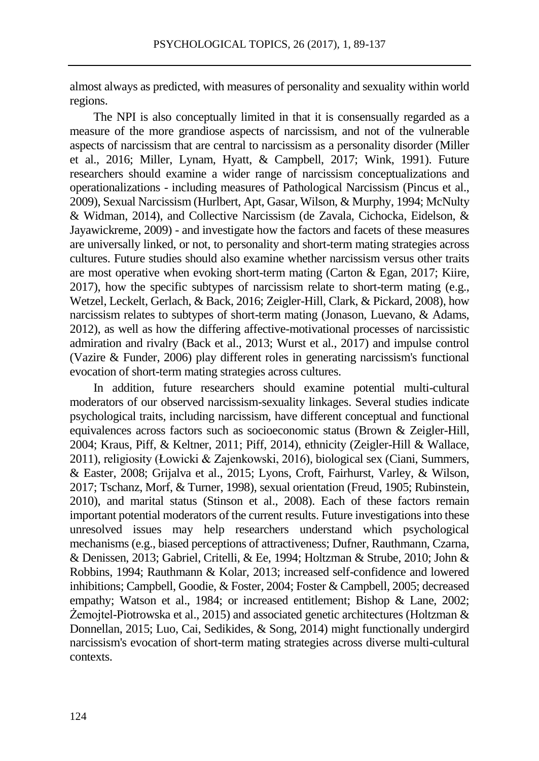almost always as predicted, with measures of personality and sexuality within world regions.

The NPI is also conceptually limited in that it is consensually regarded as a measure of the more grandiose aspects of narcissism, and not of the vulnerable aspects of narcissism that are central to narcissism as a personality disorder (Miller et al., 2016; Miller, Lynam, Hyatt, & Campbell, 2017; Wink, 1991). Future researchers should examine a wider range of narcissism conceptualizations and operationalizations - including measures of Pathological Narcissism (Pincus et al., 2009), Sexual Narcissism (Hurlbert, Apt, Gasar, Wilson, & Murphy, 1994; McNulty & Widman, 2014), and Collective Narcissism (de Zavala, Cichocka, Eidelson, & Jayawickreme, 2009) - and investigate how the factors and facets of these measures are universally linked, or not, to personality and short-term mating strategies across cultures. Future studies should also examine whether narcissism versus other traits are most operative when evoking short-term mating (Carton & Egan, 2017; Kiire, 2017), how the specific subtypes of narcissism relate to short-term mating (e.g., Wetzel, Leckelt, Gerlach, & Back, 2016; Zeigler-Hill, Clark, & Pickard, 2008), how narcissism relates to subtypes of short-term mating (Jonason, Luevano, & Adams, 2012), as well as how the differing affective-motivational processes of narcissistic admiration and rivalry (Back et al., 2013; Wurst et al., 2017) and impulse control (Vazire & Funder, 2006) play different roles in generating narcissism's functional evocation of short-term mating strategies across cultures.

In addition, future researchers should examine potential multi-cultural moderators of our observed narcissism-sexuality linkages. Several studies indicate psychological traits, including narcissism, have different conceptual and functional equivalences across factors such as socioeconomic status (Brown & Zeigler-Hill, 2004; Kraus, Piff, & Keltner, 2011; Piff, 2014), ethnicity (Zeigler-Hill & Wallace, 2011), religiosity (Łowicki & Zajenkowski, 2016), biological sex (Ciani, Summers, & Easter, 2008; Grijalva et al., 2015; Lyons, Croft, Fairhurst, Varley, & Wilson, 2017; Tschanz, Morf, & Turner, 1998), sexual orientation (Freud, 1905; Rubinstein, 2010), and marital status (Stinson et al., 2008). Each of these factors remain important potential moderators of the current results. Future investigations into these unresolved issues may help researchers understand which psychological mechanisms (e.g., biased perceptions of attractiveness; Dufner, Rauthmann, Czarna, & Denissen, 2013; Gabriel, Critelli, & Ee, 1994; Holtzman & Strube, 2010; John & Robbins, 1994; Rauthmann & Kolar, 2013; increased self-confidence and lowered inhibitions; Campbell, Goodie, & Foster, 2004; Foster & Campbell, 2005; decreased empathy; Watson et al., 1984; or increased entitlement; Bishop & Lane, 2002; Żemojtel-Piotrowska et al., 2015) and associated genetic architectures (Holtzman & Donnellan, 2015; Luo, Cai, Sedikides, & Song, 2014) might functionally undergird narcissism's evocation of short-term mating strategies across diverse multi-cultural contexts.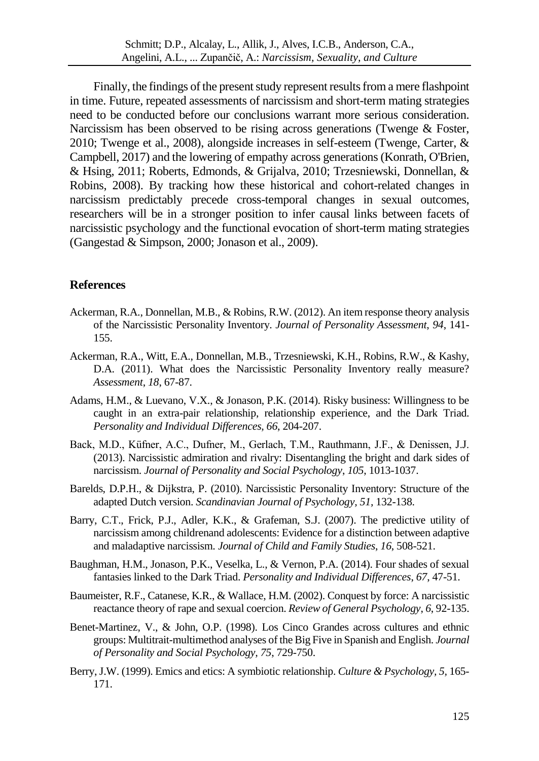Finally, the findings of the present study represent results from a mere flashpoint in time. Future, repeated assessments of narcissism and short-term mating strategies need to be conducted before our conclusions warrant more serious consideration. Narcissism has been observed to be rising across generations (Twenge & Foster, 2010; Twenge et al., 2008), alongside increases in self-esteem (Twenge, Carter, & Campbell, 2017) and the lowering of empathy across generations (Konrath, O'Brien, & Hsing, 2011; Roberts, Edmonds, & Grijalva, 2010; Trzesniewski, Donnellan, & Robins, 2008). By tracking how these historical and cohort-related changes in narcissism predictably precede cross-temporal changes in sexual outcomes, researchers will be in a stronger position to infer causal links between facets of narcissistic psychology and the functional evocation of short-term mating strategies (Gangestad & Simpson, 2000; Jonason et al., 2009).

## **References**

- Ackerman, R.A., Donnellan, M.B., & Robins, R.W. (2012). An item response theory analysis of the Narcissistic Personality Inventory. *Journal of Personality Assessment*, *94*, 141- 155.
- Ackerman, R.A., Witt, E.A., Donnellan, M.B., Trzesniewski, K.H., Robins, R.W., & Kashy, D.A. (2011). What does the Narcissistic Personality Inventory really measure? *Assessment*, *18*, 67-87.
- Adams, H.M., & Luevano, V.X., & Jonason, P.K. (2014). Risky business: Willingness to be caught in an extra-pair relationship, relationship experience, and the Dark Triad. *Personality and Individual Differences, 66*, 204-207.
- Back, M.D., Küfner, A.C., Dufner, M., Gerlach, T.M., Rauthmann, J.F., & Denissen, J.J. (2013). Narcissistic admiration and rivalry: Disentangling the bright and dark sides of narcissism. *Journal of Personality and Social Psychology*, *105*, 1013-1037.
- Barelds, D.P.H., & Dijkstra, P. (2010). Narcissistic Personality Inventory: Structure of the adapted Dutch version. *Scandinavian Journal of Psychology, 51,* 132-138.
- Barry, C.T., Frick, P.J., Adler, K.K., & Grafeman, S.J. (2007). The predictive utility of narcissism among childrenand adolescents: Evidence for a distinction between adaptive and maladaptive narcissism. *Journal of Child and Family Studies*, *16*, 508-521.
- Baughman, H.M., Jonason, P.K., Veselka, L., & Vernon, P.A. (2014). Four shades of sexual fantasies linked to the Dark Triad. *Personality and Individual Differences*, *67*, 47-51.
- Baumeister, R.F., Catanese, K.R., & Wallace, H.M. (2002). Conquest by force: A narcissistic reactance theory of rape and sexual coercion. *Review of General Psychology*, *6*, 92-135.
- Benet-Martinez, V., & John, O.P. (1998). Los Cinco Grandes across cultures and ethnic groups: Multitrait-multimethod analyses of the Big Five in Spanish and English. *Journal of Personality and Social Psychology, 75*, 729-750.
- Berry, J.W. (1999). Emics and etics: A symbiotic relationship. *Culture & Psychology, 5,* 165- 171.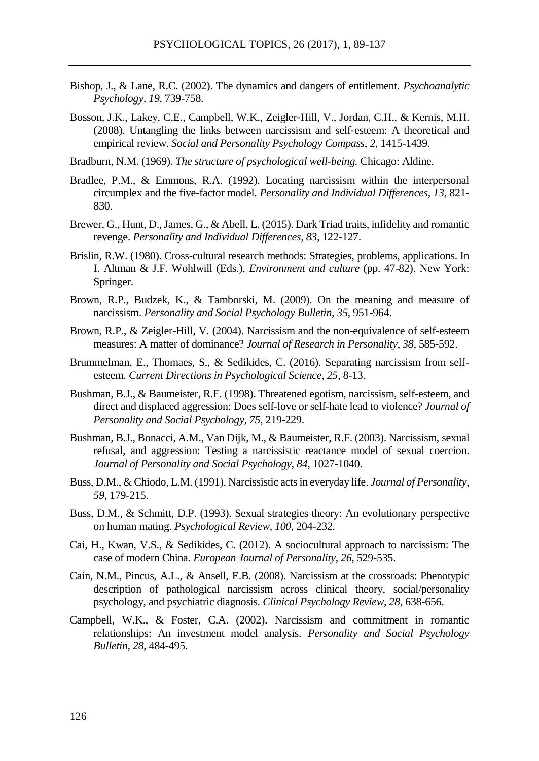- Bishop, J., & Lane, R.C. (2002). The dynamics and dangers of entitlement. *Psychoanalytic Psychology, 19,* 739-758.
- Bosson, J.K., Lakey, C.E., Campbell, W.K., Zeigler‐Hill, V., Jordan, C.H., & Kernis, M.H. (2008). Untangling the links between narcissism and self‐esteem: A theoretical and empirical review. *Social and Personality Psychology Compass*, *2*, 1415-1439.

Bradburn, N.M. (1969). *The structure of psychological well-being.* Chicago: Aldine.

- Bradlee, P.M., & Emmons, R.A. (1992). Locating narcissism within the interpersonal circumplex and the five-factor model. *Personality and Individual Differences*, *13*, 821- 830.
- Brewer, G., Hunt, D., James, G., & Abell, L. (2015). Dark Triad traits, infidelity and romantic revenge. *Personality and Individual Differences*, *83*, 122-127.
- Brislin, R.W. (1980). Cross-cultural research methods: Strategies, problems, applications. In I. Altman & J.F. Wohlwill (Eds.), *Environment and culture* (pp. 47-82). New York: Springer.
- Brown, R.P., Budzek, K., & Tamborski, M. (2009). On the meaning and measure of narcissism. *Personality and Social Psychology Bulletin*, *35*, 951-964.
- Brown, R.P., & Zeigler-Hill, V. (2004). Narcissism and the non-equivalence of self-esteem measures: A matter of dominance? *Journal of Research in Personality*, *38*, 585-592.
- Brummelman, E., Thomaes, S., & Sedikides, C. (2016). Separating narcissism from selfesteem. *Current Directions in Psychological Science*, *25*, 8-13.
- Bushman, B.J., & Baumeister, R.F. (1998). Threatened egotism, narcissism, self-esteem, and direct and displaced aggression: Does self-love or self-hate lead to violence? *Journal of Personality and Social Psychology, 75,* 219-229.
- Bushman, B.J., Bonacci, A.M., Van Dijk, M., & Baumeister, R.F. (2003). Narcissism, sexual refusal, and aggression: Testing a narcissistic reactance model of sexual coercion. *Journal of Personality and Social Psychology*, *84*, 1027-1040.
- Buss, D.M., & Chiodo, L.M. (1991). Narcissistic acts in everyday life. *Journal of Personality*, *59*, 179-215.
- Buss, D.M., & Schmitt, D.P. (1993). Sexual strategies theory: An evolutionary perspective on human mating. *Psychological Review*, *100*, 204-232.
- Cai, H., Kwan, V.S., & Sedikides, C. (2012). A sociocultural approach to narcissism: The case of modern China. *European Journal of Personality*, *26*, 529-535.
- Cain, N.M., Pincus, A.L., & Ansell, E.B. (2008). Narcissism at the crossroads: Phenotypic description of pathological narcissism across clinical theory, social/personality psychology, and psychiatric diagnosis. *Clinical Psychology Review*, *28*, 638-656.
- Campbell, W.K., & Foster, C.A. (2002). Narcissism and commitment in romantic relationships: An investment model analysis. *Personality and Social Psychology Bulletin*, *28*, 484-495.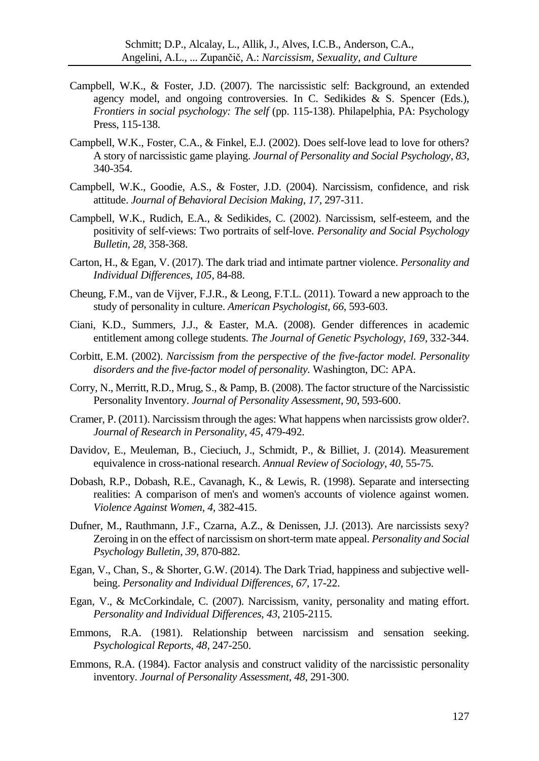- Campbell, W.K., & Foster, J.D. (2007). The narcissistic self: Background, an extended agency model, and ongoing controversies. In C. Sedikides & S. Spencer (Eds.), *Frontiers in social psychology: The self* (pp. 115-138). Philapelphia, PA: Psychology Press, 115-138.
- Campbell, W.K., Foster, C.A., & Finkel, E.J. (2002). Does self-love lead to love for others? A story of narcissistic game playing. *Journal of Personality and Social Psychology*, *83*, 340-354.
- Campbell, W.K., Goodie, A.S., & Foster, J.D. (2004). Narcissism, confidence, and risk attitude. *Journal of Behavioral Decision Making, 17*, 297-311.
- Campbell, W.K., Rudich, E.A., & Sedikides, C. (2002). Narcissism, self-esteem, and the positivity of self-views: Two portraits of self-love. *Personality and Social Psychology Bulletin*, *28*, 358-368.
- Carton, H., & Egan, V. (2017). The dark triad and intimate partner violence. *Personality and Individual Differences*, *105*, 84-88.
- Cheung, F.M., van de Vijver, F.J.R., & Leong, F.T.L. (2011). Toward a new approach to the study of personality in culture. *American Psychologist, 66*, 593-603.
- Ciani, K.D., Summers, J.J., & Easter, M.A. (2008). Gender differences in academic entitlement among college students. *The Journal of Genetic Psychology*, *169*, 332-344.
- Corbitt, E.M. (2002). *Narcissism from the perspective of the five-factor model. Personality disorders and the five-factor model of personality.* Washington, DC: APA.
- Corry, N., Merritt, R.D., Mrug, S., & Pamp, B. (2008). The factor structure of the Narcissistic Personality Inventory. *Journal of Personality Assessment*, *90*, 593-600.
- Cramer, P. (2011). Narcissism through the ages: What happens when narcissists grow older?. *Journal of Research in Personality*, *45*, 479-492.
- Davidov, E., Meuleman, B., Cieciuch, J., Schmidt, P., & Billiet, J. (2014). Measurement equivalence in cross-national research. *Annual Review of Sociology*, *40*, 55-75.
- Dobash, R.P., Dobash, R.E., Cavanagh, K., & Lewis, R. (1998). Separate and intersecting realities: A comparison of men's and women's accounts of violence against women. *Violence Against Women, 4,* 382-415.
- Dufner, M., Rauthmann, J.F., Czarna, A.Z., & Denissen, J.J. (2013). Are narcissists sexy? Zeroing in on the effect of narcissism on short-term mate appeal. *Personality and Social Psychology Bulletin*, *39*, 870-882.
- Egan, V., Chan, S., & Shorter, G.W. (2014). The Dark Triad, happiness and subjective wellbeing. *Personality and Individual Differences*, *67*, 17-22.
- Egan, V., & McCorkindale, C. (2007). Narcissism, vanity, personality and mating effort. *Personality and Individual Differences*, *43*, 2105-2115.
- Emmons, R.A. (1981). Relationship between narcissism and sensation seeking. *Psychological Reports, 48,* 247-250.
- Emmons, R.A. (1984). Factor analysis and construct validity of the narcissistic personality inventory. *Journal of Personality Assessment*, *48*, 291-300.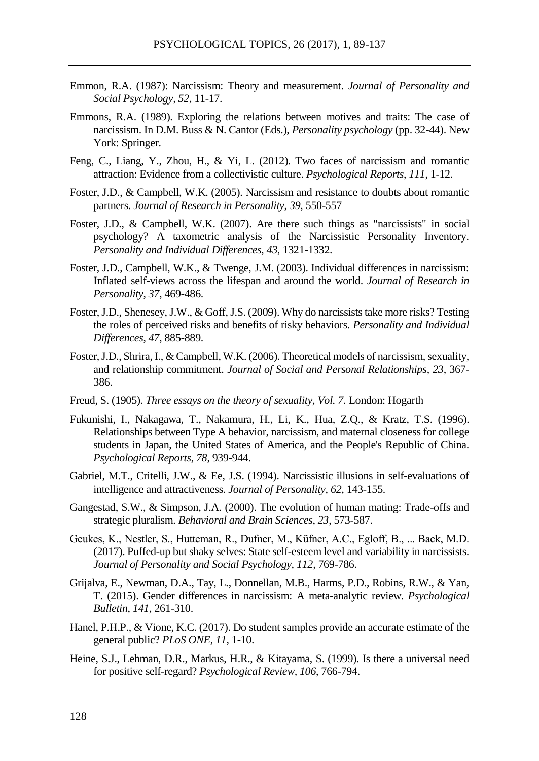- Emmon, R.A. (1987): Narcissism: Theory and measurement. *Journal of Personality and Social Psychology, 52*, 11-17.
- Emmons, R.A. (1989). Exploring the relations between motives and traits: The case of narcissism. In D.M. Buss & N. Cantor (Eds.), *Personality psychology* (pp. 32-44). New York: Springer.
- Feng, C., Liang, Y., Zhou, H., & Yi, L. (2012). Two faces of narcissism and romantic attraction: Evidence from a collectivistic culture. *Psychological Reports*, *111*, 1-12.
- Foster, J.D., & Campbell, W.K. (2005). Narcissism and resistance to doubts about romantic partners. *Journal of Research in Personality*, *39*, 550-557
- Foster, J.D., & Campbell, W.K. (2007). Are there such things as "narcissists" in social psychology? A taxometric analysis of the Narcissistic Personality Inventory. *Personality and Individual Differences*, *43*, 1321-1332.
- Foster, J.D., Campbell, W.K., & Twenge, J.M. (2003). Individual differences in narcissism: Inflated self-views across the lifespan and around the world. *Journal of Research in Personality*, *37*, 469-486.
- Foster, J.D., Shenesey, J.W., & Goff, J.S. (2009). Why do narcissists take more risks? Testing the roles of perceived risks and benefits of risky behaviors. *Personality and Individual Differences*, *47*, 885-889.
- Foster, J.D., Shrira, I., & Campbell, W.K. (2006). Theoretical models of narcissism, sexuality, and relationship commitment. *Journal of Social and Personal Relationships*, *23*, 367- 386.
- Freud, S. (1905). *Three essays on the theory of sexuality, Vol. 7*. London: Hogarth
- Fukunishi, I., Nakagawa, T., Nakamura, H., Li, K., Hua, Z.Q., & Kratz, T.S. (1996). Relationships between Type A behavior, narcissism, and maternal closeness for college students in Japan, the United States of America, and the People's Republic of China. *Psychological Reports*, *78*, 939-944.
- Gabriel, M.T., Critelli, J.W., & Ee, J.S. (1994). Narcissistic illusions in self-evaluations of intelligence and attractiveness. *Journal of Personality, 62*, 143-155.
- Gangestad, S.W., & Simpson, J.A. (2000). The evolution of human mating: Trade-offs and strategic pluralism. *Behavioral and Brain Sciences*, *23*, 573-587.
- Geukes, K., Nestler, S., Hutteman, R., Dufner, M., Küfner, A.C., Egloff, B., ... Back, M.D. (2017). Puffed-up but shaky selves: State self-esteem level and variability in narcissists. *Journal of Personality and Social Psychology, 112,* 769-786.
- Grijalva, E., Newman, D.A., Tay, L., Donnellan, M.B., Harms, P.D., Robins, R.W., & Yan, T. (2015). Gender differences in narcissism: A meta-analytic review. *Psychological Bulletin*, *141*, 261-310.
- Hanel, P.H.P., & Vione, K.C. (2017). Do student samples provide an accurate estimate of the general public? *PLoS ONE, 11,* 1-10.
- Heine, S.J., Lehman, D.R., Markus, H.R., & Kitayama, S. (1999). Is there a universal need for positive self-regard? *Psychological Review, 106*, 766-794.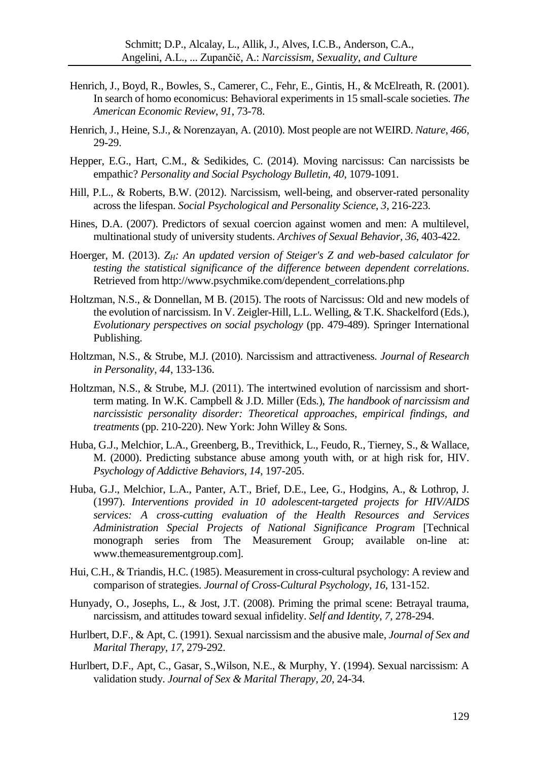- Henrich, J., Boyd, R., Bowles, S., Camerer, C., Fehr, E., Gintis, H., & McElreath, R. (2001). In search of homo economicus: Behavioral experiments in 15 small-scale societies. *The American Economic Review*, *91*, 73-78.
- Henrich, J., Heine, S.J., & Norenzayan, A. (2010). Most people are not WEIRD. *Nature*, *466*, 29-29.
- Hepper, E.G., Hart, C.M., & Sedikides, C. (2014). Moving narcissus: Can narcissists be empathic? *Personality and Social Psychology Bulletin*, *40*, 1079-1091.
- Hill, P.L., & Roberts, B.W. (2012). Narcissism, well-being, and observer-rated personality across the lifespan. *Social Psychological and Personality Science*, *3*, 216-223.
- Hines, D.A. (2007). Predictors of sexual coercion against women and men: A multilevel, multinational study of university students. *Archives of Sexual Behavior*, *36*, 403-422.
- Hoerger, M. (2013). *ZH: An updated version of Steiger's Z and web-based calculator for testing the statistical significance of the difference between dependent correlations*. Retrieved from http://www.psychmike.com/dependent\_correlations.php
- Holtzman, N.S., & Donnellan, M B. (2015). The roots of Narcissus: Old and new models of the evolution of narcissism. In V. Zeigler-Hill, L.L. Welling, & T.K. Shackelford (Eds.), *Evolutionary perspectives on social psychology* (pp. 479-489). Springer International Publishing.
- Holtzman, N.S., & Strube, M.J. (2010). Narcissism and attractiveness. *Journal of Research in Personality*, *44*, 133-136.
- Holtzman, N.S., & Strube, M.J. (2011). The intertwined evolution of narcissism and shortterm mating. In W.K. Campbell & J.D. Miller (Eds.), *The handbook of narcissism and narcissistic personality disorder: Theoretical approaches, empirical findings, and treatments* (pp. 210-220). New York: John Willey & Sons.
- Huba, G.J., Melchior, L.A., Greenberg, B., Trevithick, L., Feudo, R., Tierney, S., & Wallace, M. (2000). Predicting substance abuse among youth with, or at high risk for, HIV. *Psychology of Addictive Behaviors, 14*, 197-205.
- Huba, G.J., Melchior, L.A., Panter, A.T., Brief, D.E., Lee, G., Hodgins, A., & Lothrop, J. (1997). *Interventions provided in 10 adolescent-targeted projects for HIV/AIDS services: A cross-cutting evaluation of the Health Resources and Services Administration Special Projects of National Significance Program* [Technical monograph series from The Measurement Group; available on-line at: www.themeasurementgroup.com].
- Hui, C.H., & Triandis, H.C. (1985). Measurement in cross-cultural psychology: A review and comparison of strategies. *Journal of Cross-Cultural Psychology*, *16*, 131-152.
- Hunyady, O., Josephs, L., & Jost, J.T. (2008). Priming the primal scene: Betrayal trauma, narcissism, and attitudes toward sexual infidelity. *Self and Identity*, *7*, 278-294.
- Hurlbert, D.F., & Apt, C. (1991). Sexual narcissism and the abusive male, *Journal of Sex and Marital Therapy, 17*, 279-292.
- Hurlbert, D.F., Apt, C., Gasar, S.,Wilson, N.E., & Murphy, Y. (1994). Sexual narcissism: A validation study. *Journal of Sex & Marital Therapy, 20*, 24-34.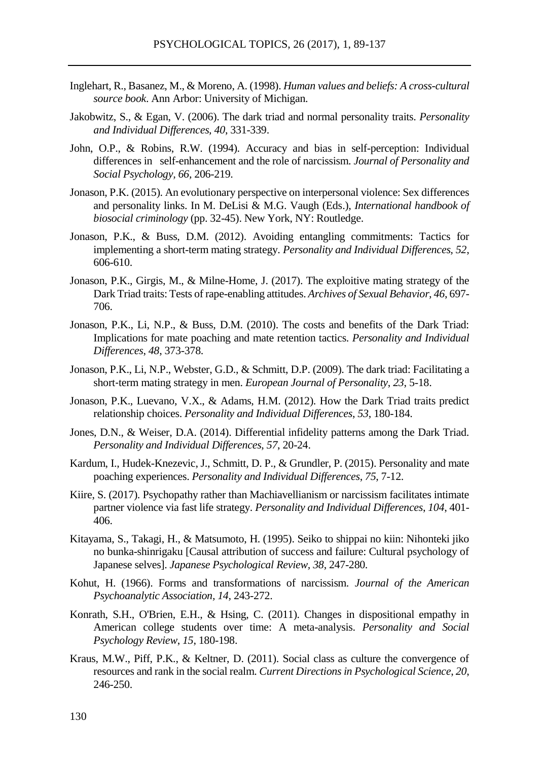- Inglehart, R., Basanez, M., & Moreno, A. (1998). *Human values and beliefs: A cross-cultural source book*. Ann Arbor: University of Michigan.
- Jakobwitz, S., & Egan, V. (2006). The dark triad and normal personality traits. *Personality and Individual Differences, 40*, 331-339.
- John, O.P., & Robins, R.W. (1994). Accuracy and bias in self-perception: Individual differences in self-enhancement and the role of narcissism. *Journal of Personality and Social Psychology, 66,* 206-219.
- Jonason, P.K. (2015). An evolutionary perspective on interpersonal violence: Sex differences and personality links. In M. DeLisi & M.G. Vaugh (Eds.), *International handbook of biosocial criminology* (pp. 32-45). New York, NY: Routledge.
- Jonason, P.K., & Buss, D.M. (2012). Avoiding entangling commitments: Tactics for implementing a short-term mating strategy. *Personality and Individual Differences, 52*, 606-610.
- Jonason, P.K., Girgis, M., & Milne-Home, J. (2017). The exploitive mating strategy of the Dark Triad traits: Tests of rape-enabling attitudes. *Archives of Sexual Behavior, 46*, 697- 706.
- Jonason, P.K., Li, N.P., & Buss, D.M. (2010). The costs and benefits of the Dark Triad: Implications for mate poaching and mate retention tactics. *Personality and Individual Differences*, *48*, 373-378.
- Jonason, P.K., Li, N.P., Webster, G.D., & Schmitt, D.P. (2009). The dark triad: Facilitating a short‐term mating strategy in men. *European Journal of Personality*, *23*, 5-18.
- Jonason, P.K., Luevano, V.X., & Adams, H.M. (2012). How the Dark Triad traits predict relationship choices. *Personality and Individual Differences*, *53*, 180-184.
- Jones, D.N., & Weiser, D.A. (2014). Differential infidelity patterns among the Dark Triad. *Personality and Individual Differences*, *57*, 20-24.
- Kardum, I., Hudek-Knezevic, J., Schmitt, D. P., & Grundler, P. (2015). Personality and mate poaching experiences. *Personality and Individual Differences*, *75*, 7-12.
- Kiire, S. (2017). Psychopathy rather than Machiavellianism or narcissism facilitates intimate partner violence via fast life strategy. *Personality and Individual Differences*, *104*, 401- 406.
- Kitayama, S., Takagi, H., & Matsumoto, H. (1995). Seiko to shippai no kiin: Nihonteki jiko no bunka-shinrigaku [Causal attribution of success and failure: Cultural psychology of Japanese selves]. *Japanese Psychological Review, 38*, 247-280.
- Kohut, H. (1966). Forms and transformations of narcissism. *Journal of the American Psychoanalytic Association, 14,* 243-272.
- Konrath, S.H., O'Brien, E.H., & Hsing, C. (2011). Changes in dispositional empathy in American college students over time: A meta-analysis. *Personality and Social Psychology Review*, *15*, 180-198.
- Kraus, M.W., Piff, P.K., & Keltner, D. (2011). Social class as culture the convergence of resources and rank in the social realm. *Current Directions in Psychological Science*, *20*, 246-250.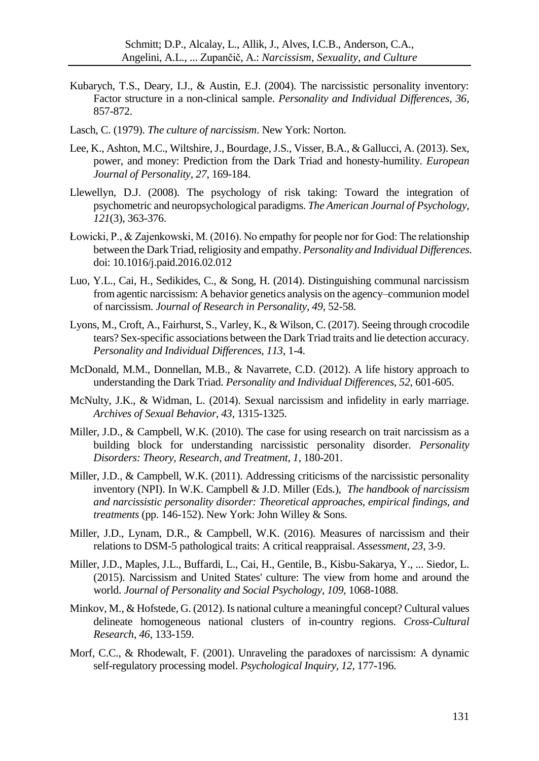- Kubarych, T.S., Deary, I.J., & Austin, E.J. (2004). The narcissistic personality inventory: Factor structure in a non-clinical sample. *Personality and Individual Differences, 36*, 857-872.
- Lasch, C. (1979). *The culture of narcissism*. New York: Norton.
- Lee, K., Ashton, M.C., Wiltshire, J., Bourdage, J.S., Visser, B.A., & Gallucci, A. (2013). Sex, power, and money: Prediction from the Dark Triad and honesty-humility. *European Journal of Personality*, *27*, 169-184.
- Llewellyn, D.J. (2008). The psychology of risk taking: Toward the integration of psychometric and neuropsychological paradigms. *The American Journal of Psychology*, *121*(3), 363-376.
- Łowicki, P., & Zajenkowski, M. (2016). No empathy for people nor for God: The relationship between the Dark Triad, religiosity and empathy. *Personality and Individual Differences*. doi: 10.1016/j.paid.2016.02.012
- Luo, Y.L., Cai, H., Sedikides, C., & Song, H. (2014). Distinguishing communal narcissism from agentic narcissism: A behavior genetics analysis on the agency–communion model of narcissism. *Journal of Research in Personality*, *49*, 52-58.
- Lyons, M., Croft, A., Fairhurst, S., Varley, K., & Wilson, C. (2017). Seeing through crocodile tears? Sex-specific associations between the Dark Triad traits and lie detection accuracy. *Personality and Individual Differences*, *113*, 1-4.
- McDonald, M.M., Donnellan, M.B., & Navarrete, C.D. (2012). A life history approach to understanding the Dark Triad. *Personality and Individual Differences*, *52*, 601-605.
- McNulty, J.K., & Widman, L. (2014). Sexual narcissism and infidelity in early marriage. *Archives of Sexual Behavior*, *43*, 1315-1325.
- Miller, J.D., & Campbell, W.K. (2010). The case for using research on trait narcissism as a building block for understanding narcissistic personality disorder. *Personality Disorders: Theory, Research, and Treatment*, *1*, 180-201.
- Miller, J.D., & Campbell, W.K. (2011). Addressing criticisms of the narcissistic personality inventory (NPI). In W.K. Campbell & J.D. Miller (Eds.), *The handbook of narcissism and narcissistic personality disorder: Theoretical approaches, empirical findings, and treatments* (pp. 146-152). New York: John Willey & Sons.
- Miller, J.D., Lynam, D.R., & Campbell, W.K. (2016). Measures of narcissism and their relations to DSM-5 pathological traits: A critical reappraisal. *Assessment*, *23*, 3-9.
- Miller, J.D., Maples, J.L., Buffardi, L., Cai, H., Gentile, B., Kisbu-Sakarya, Y., ... Siedor, L. (2015). Narcissism and United States' culture: The view from home and around the world. *Journal of Personality and Social Psychology*, *109*, 1068-1088.
- Minkov, M., & Hofstede, G. (2012). Is national culture a meaningful concept? Cultural values delineate homogeneous national clusters of in-country regions. *Cross-Cultural Research*, *46*, 133-159.
- Morf, C.C., & Rhodewalt, F. (2001). Unraveling the paradoxes of narcissism: A dynamic self-regulatory processing model. *Psychological Inquiry, 12,* 177-196.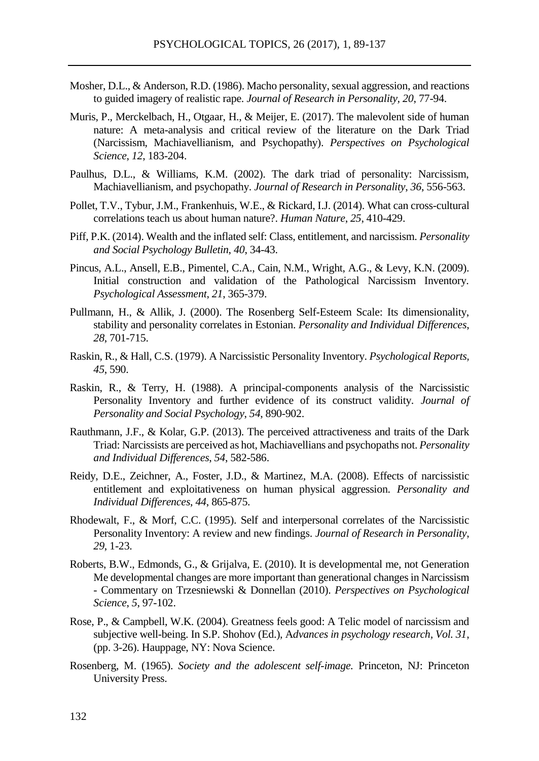- Mosher, D.L., & Anderson, R.D. (1986). Macho personality, sexual aggression, and reactions to guided imagery of realistic rape. *Journal of Research in Personality, 20*, 77-94.
- Muris, P., Merckelbach, H., Otgaar, H., & Meijer, E. (2017). The malevolent side of human nature: A meta-analysis and critical review of the literature on the Dark Triad (Narcissism, Machiavellianism, and Psychopathy). *Perspectives on Psychological Science*, *12*, 183-204.
- Paulhus, D.L., & Williams, K.M. (2002). The dark triad of personality: Narcissism, Machiavellianism, and psychopathy. *Journal of Research in Personality*, *36*, 556-563.
- Pollet, T.V., Tybur, J.M., Frankenhuis, W.E., & Rickard, I.J. (2014). What can cross-cultural correlations teach us about human nature?. *Human Nature*, *25*, 410-429.
- Piff, P.K. (2014). Wealth and the inflated self: Class, entitlement, and narcissism. *Personality and Social Psychology Bulletin*, *40*, 34-43.
- Pincus, A.L., Ansell, E.B., Pimentel, C.A., Cain, N.M., Wright, A.G., & Levy, K.N. (2009). Initial construction and validation of the Pathological Narcissism Inventory. *Psychological Assessment*, *21*, 365-379.
- Pullmann, H., & Allik, J. (2000). The Rosenberg Self-Esteem Scale: Its dimensionality, stability and personality correlates in Estonian. *Personality and Individual Differences*, *28*, 701-715.
- Raskin, R., & Hall, C.S. (1979). A Narcissistic Personality Inventory. *Psychological Reports, 45*, 590.
- Raskin, R., & Terry, H. (1988). A principal-components analysis of the Narcissistic Personality Inventory and further evidence of its construct validity. *Journal of Personality and Social Psychology*, *54*, 890-902.
- Rauthmann, J.F., & Kolar, G.P. (2013). The perceived attractiveness and traits of the Dark Triad: Narcissists are perceived as hot, Machiavellians and psychopaths not. *Personality and Individual Differences*, *54*, 582-586.
- Reidy, D.E., Zeichner, A., Foster, J.D., & Martinez, M.A. (2008). Effects of narcissistic entitlement and exploitativeness on human physical aggression. *Personality and Individual Differences*, *44*, 865-875.
- Rhodewalt, F., & Morf, C.C. (1995). Self and interpersonal correlates of the Narcissistic Personality Inventory: A review and new findings. *Journal of Research in Personality*, *29*, 1-23.
- Roberts, B.W., Edmonds, G., & Grijalva, E. (2010). It is developmental me, not Generation Me developmental changes are more important than generational changes in Narcissism - Commentary on Trzesniewski & Donnellan (2010). *Perspectives on Psychological Science*, *5*, 97-102.
- Rose, P., & Campbell, W.K. (2004). Greatness feels good: A Telic model of narcissism and subjective well-being. In S.P. Shohov (Ed.), A*dvances in psychology research, Vol. 31*, (pp. 3-26). Hauppage, NY: Nova Science.
- Rosenberg, M. (1965). *Society and the adolescent self-image.* Princeton, NJ: Princeton University Press.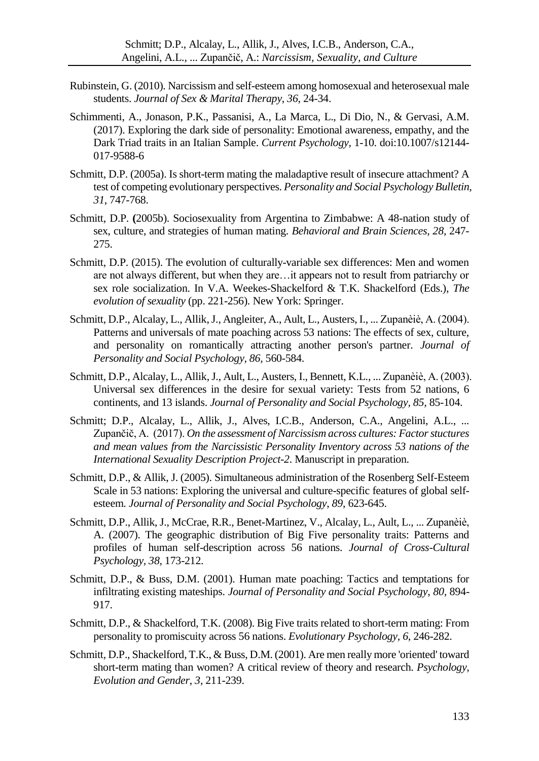- Rubinstein, G. (2010). Narcissism and self-esteem among homosexual and heterosexual male students. *Journal of Sex & Marital Therapy*, *36*, 24-34.
- Schimmenti, A., Jonason, P.K., Passanisi, A., La Marca, L., Di Dio, N., & Gervasi, A.M. (2017). Exploring the dark side of personality: Emotional awareness, empathy, and the Dark Triad traits in an Italian Sample. *Current Psychology*, 1-10. doi:10.1007/s12144- 017-9588-6
- Schmitt, D.P. (2005a). Is short-term mating the maladaptive result of insecure attachment? A test of competing evolutionary perspectives. *Personality and Social Psychology Bulletin, 31*, 747-768.
- Schmitt, D.P. **(**2005b). Sociosexuality from Argentina to Zimbabwe: A 48-nation study of sex, culture, and strategies of human mating. *Behavioral and Brain Sciences, 28*, 247- 275.
- Schmitt, D.P. (2015). The evolution of culturally-variable sex differences: Men and women are not always different, but when they are…it appears not to result from patriarchy or sex role socialization. In V.A. Weekes-Shackelford & T.K. Shackelford (Eds.), *The evolution of sexuality* (pp. 221-256). New York: Springer.
- Schmitt, D.P., Alcalay, L., Allik, J., Angleiter, A., Ault, L., Austers, I., ... Zupanèiè, A. (2004). Patterns and universals of mate poaching across 53 nations: The effects of sex, culture, and personality on romantically attracting another person's partner. *Journal of Personality and Social Psychology, 86,* 560-584.
- Schmitt, D.P., Alcalay, L., Allik, J., Ault, L., Austers, I., Bennett, K.L., ... Zupanèiè, A. (2003). Universal sex differences in the desire for sexual variety: Tests from 52 nations, 6 continents, and 13 islands. *Journal of Personality and Social Psychology, 85,* 85-104.
- Schmitt; D.P., Alcalay, L., Allik, J., Alves, I.C.B., Anderson, C.A., Angelini, A.L., ... Zupančič, A. (2017). *On the assessment of Narcissism across cultures: Factor stuctures and mean values from the Narcissistic Personality Inventory across 53 nations of the International Sexuality Description Project-2*. Manuscript in preparation.
- Schmitt, D.P., & Allik, J. (2005). Simultaneous administration of the Rosenberg Self-Esteem Scale in 53 nations: Exploring the universal and culture-specific features of global selfesteem. *Journal of Personality and Social Psychology*, *89*, 623-645.
- Schmitt, D.P., Allik, J., McCrae, R.R., Benet-Martinez, V., Alcalay, L., Ault, L., ... Zupanèiè, A. (2007). The geographic distribution of Big Five personality traits: Patterns and profiles of human self-description across 56 nations. *Journal of Cross-Cultural Psychology, 38,* 173-212.
- Schmitt, D.P., & Buss, D.M. (2001). Human mate poaching: Tactics and temptations for infiltrating existing mateships. *Journal of Personality and Social Psychology*, *80*, 894- 917.
- Schmitt, D.P., & Shackelford, T.K. (2008). Big Five traits related to short-term mating: From personality to promiscuity across 56 nations. *Evolutionary Psychology, 6*, 246-282.
- Schmitt, D.P., Shackelford, T.K., & Buss, D.M. (2001). Are men really more 'oriented' toward short-term mating than women? A critical review of theory and research. *Psychology, Evolution and Gender*, *3*, 211-239.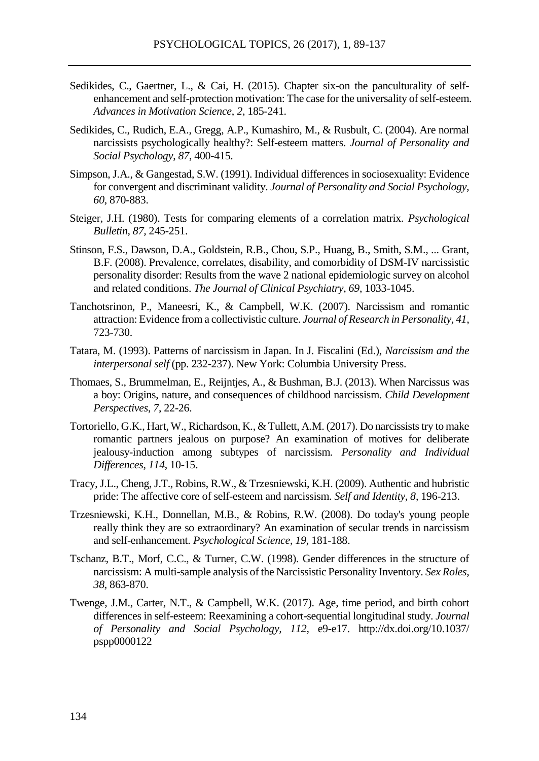- Sedikides, C., Gaertner, L., & Cai, H. (2015). Chapter six-on the panculturality of selfenhancement and self-protection motivation: The case for the universality of self-esteem. *Advances in Motivation Science*, *2*, 185-241.
- Sedikides, C., Rudich, E.A., Gregg, A.P., Kumashiro, M., & Rusbult, C. (2004). Are normal narcissists psychologically healthy?: Self-esteem matters. *Journal of Personality and Social Psychology*, *87*, 400-415.
- Simpson, J.A., & Gangestad, S.W. (1991). Individual differences in sociosexuality: Evidence for convergent and discriminant validity. *Journal of Personality and Social Psychology, 60*, 870-883.
- Steiger, J.H. (1980). Tests for comparing elements of a correlation matrix. *Psychological Bulletin, 87,* 245-251.
- Stinson, F.S., Dawson, D.A., Goldstein, R.B., Chou, S.P., Huang, B., Smith, S.M., ... Grant, B.F. (2008). Prevalence, correlates, disability, and comorbidity of DSM-IV narcissistic personality disorder: Results from the wave 2 national epidemiologic survey on alcohol and related conditions. *The Journal of Clinical Psychiatry*, *69*, 1033-1045.
- Tanchotsrinon, P., Maneesri, K., & Campbell, W.K. (2007). Narcissism and romantic attraction: Evidence from a collectivistic culture. *Journal of Research in Personality*, *41*, 723-730.
- Tatara, M. (1993). Patterns of narcissism in Japan. In J. Fiscalini (Ed.), *Narcissism and the interpersonal self* (pp. 232-237). New York: Columbia University Press.
- Thomaes, S., Brummelman, E., Reijntjes, A., & Bushman, B.J. (2013). When Narcissus was a boy: Origins, nature, and consequences of childhood narcissism. *Child Development Perspectives*, *7*, 22-26.
- Tortoriello, G.K., Hart, W., Richardson, K., & Tullett, A.M. (2017). Do narcissists try to make romantic partners jealous on purpose? An examination of motives for deliberate jealousy-induction among subtypes of narcissism. *Personality and Individual Differences*, *114*, 10-15.
- Tracy, J.L., Cheng, J.T., Robins, R.W., & Trzesniewski, K.H. (2009). Authentic and hubristic pride: The affective core of self-esteem and narcissism. *Self and Identity*, *8*, 196-213.
- Trzesniewski, K.H., Donnellan, M.B., & Robins, R.W. (2008). Do today's young people really think they are so extraordinary? An examination of secular trends in narcissism and self-enhancement. *Psychological Science*, *19*, 181-188.
- Tschanz, B.T., Morf, C.C., & Turner, C.W. (1998). Gender differences in the structure of narcissism: A multi-sample analysis of the Narcissistic Personality Inventory. *Sex Roles*, *38*, 863-870.
- Twenge, J.M., Carter, N.T., & Campbell, W.K. (2017). Age, time period, and birth cohort differences in self-esteem: Reexamining a cohort-sequential longitudinal study. *Journal of Personality and Social Psychology, 112,* e9-e17. http://dx.doi.org/10.1037/ pspp0000122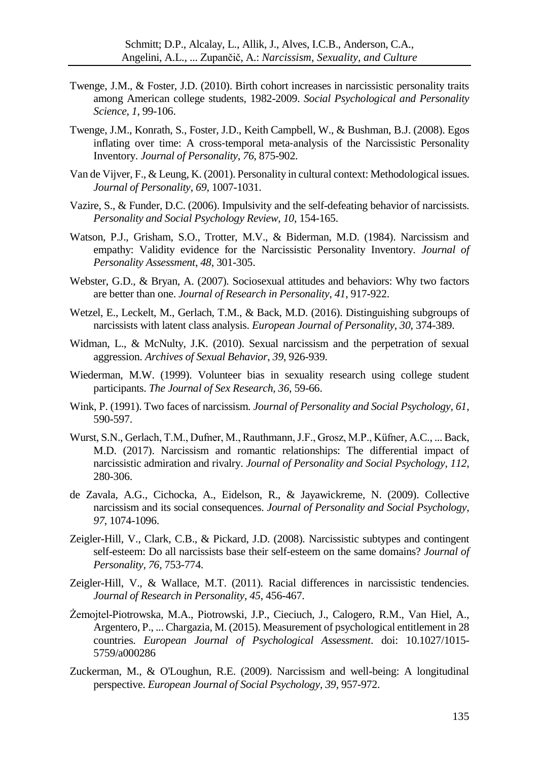- Twenge, J.M., & Foster, J.D. (2010). Birth cohort increases in narcissistic personality traits among American college students, 1982-2009. *Social Psychological and Personality Science, 1,* 99-106.
- Twenge, J.M., Konrath, S., Foster, J.D., Keith Campbell, W., & Bushman, B.J. (2008). Egos inflating over time: A cross-temporal meta-analysis of the Narcissistic Personality Inventory. *Journal of Personality*, *76*, 875-902.
- Van de Vijver, F., & Leung, K. (2001). Personality in cultural context: Methodological issues. *Journal of Personality*, *69*, 1007-1031.
- Vazire, S., & Funder, D.C. (2006). Impulsivity and the self-defeating behavior of narcissists. *Personality and Social Psychology Review, 10,* 154-165.
- Watson, P.J., Grisham, S.O., Trotter, M.V., & Biderman, M.D. (1984). Narcissism and empathy: Validity evidence for the Narcissistic Personality Inventory. *Journal of Personality Assessment*, *48*, 301-305.
- Webster, G.D., & Bryan, A. (2007). Sociosexual attitudes and behaviors: Why two factors are better than one. *Journal of Research in Personality*, *41*, 917-922.
- Wetzel, E., Leckelt, M., Gerlach, T.M., & Back, M.D. (2016). Distinguishing subgroups of narcissists with latent class analysis. *European Journal of Personality*, *30*, 374-389.
- Widman, L., & McNulty, J.K. (2010). Sexual narcissism and the perpetration of sexual aggression. *Archives of Sexual Behavior*, *39*, 926-939.
- Wiederman, M.W. (1999). Volunteer bias in sexuality research using college student participants. *The Journal of Sex Research, 36,* 59-66.
- Wink, P. (1991). Two faces of narcissism. *Journal of Personality and Social Psychology, 61*, 590-597.
- Wurst, S.N., Gerlach, T.M., Dufner, M., Rauthmann, J.F., Grosz, M.P., Küfner, A.C., ... Back, M.D. (2017). Narcissism and romantic relationships: The differential impact of narcissistic admiration and rivalry. *Journal of Personality and Social Psychology*, *112*, 280-306.
- de Zavala, A.G., Cichocka, A., Eidelson, R., & Jayawickreme, N. (2009). Collective narcissism and its social consequences. *Journal of Personality and Social Psychology*, *97*, 1074-1096.
- Zeigler-Hill, V., Clark, C.B., & Pickard, J.D. (2008). Narcissistic subtypes and contingent self-esteem: Do all narcissists base their self-esteem on the same domains? *Journal of Personality, 76,* 753-774.
- Zeigler-Hill, V., & Wallace, M.T. (2011). Racial differences in narcissistic tendencies. *Journal of Research in Personality*, *45*, 456-467.
- Żemojtel-Piotrowska, M.A., Piotrowski, J.P., Cieciuch, J., Calogero, R.M., Van Hiel, A., Argentero, P., ... Chargazia, M. (2015). Measurement of psychological entitlement in 28 countries. *European Journal of Psychological Assessment*. doi: 10.1027/1015- 5759/a000286
- Zuckerman, M., & O'Loughun, R.E. (2009). Narcissism and well-being: A longitudinal perspective. *European Journal of Social Psychology, 39,* 957-972.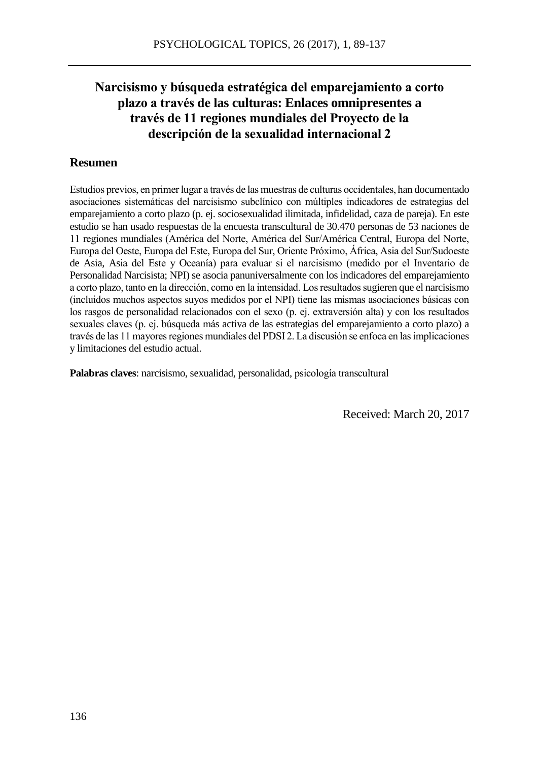## **Narcisismo y búsqueda estratégica del emparejamiento a corto plazo a través de las culturas: Enlaces omnipresentes a través de 11 regiones mundiales del Proyecto de la descripción de la sexualidad internacional 2**

#### **Resumen**

Estudios previos, en primer lugar a través de las muestras de culturas occidentales, han documentado asociaciones sistemáticas del narcisismo subclínico con múltiples indicadores de estrategias del emparejamiento a corto plazo (p. ej. sociosexualidad ilimitada, infidelidad, caza de pareja). En este estudio se han usado respuestas de la encuesta transcultural de 30.470 personas de 53 naciones de 11 regiones mundiales (América del Norte, América del Sur/América Central, Europa del Norte, Europa del Oeste, Europa del Este, Europa del Sur, Oriente Próximo, África, Asia del Sur/Sudoeste de Asia, Asia del Este y Oceanía) para evaluar si el narcisismo (medido por el Inventario de Personalidad Narcisista; NPI) se asocia panuniversalmente con los indicadores del emparejamiento a corto plazo, tanto en la dirección, como en la intensidad. Los resultados sugieren que el narcisismo (incluidos muchos aspectos suyos medidos por el NPI) tiene las mismas asociaciones básicas con los rasgos de personalidad relacionados con el sexo (p. ej. extraversión alta) y con los resultados sexuales claves (p. ej. búsqueda más activa de las estrategias del emparejamiento a corto plazo) a través de las 11 mayores regiones mundiales del PDSI 2. La discusión se enfoca en las implicaciones y limitaciones del estudio actual.

**Palabras claves**: narcisismo, sexualidad, personalidad, psicología transcultural

Received: March 20, 2017